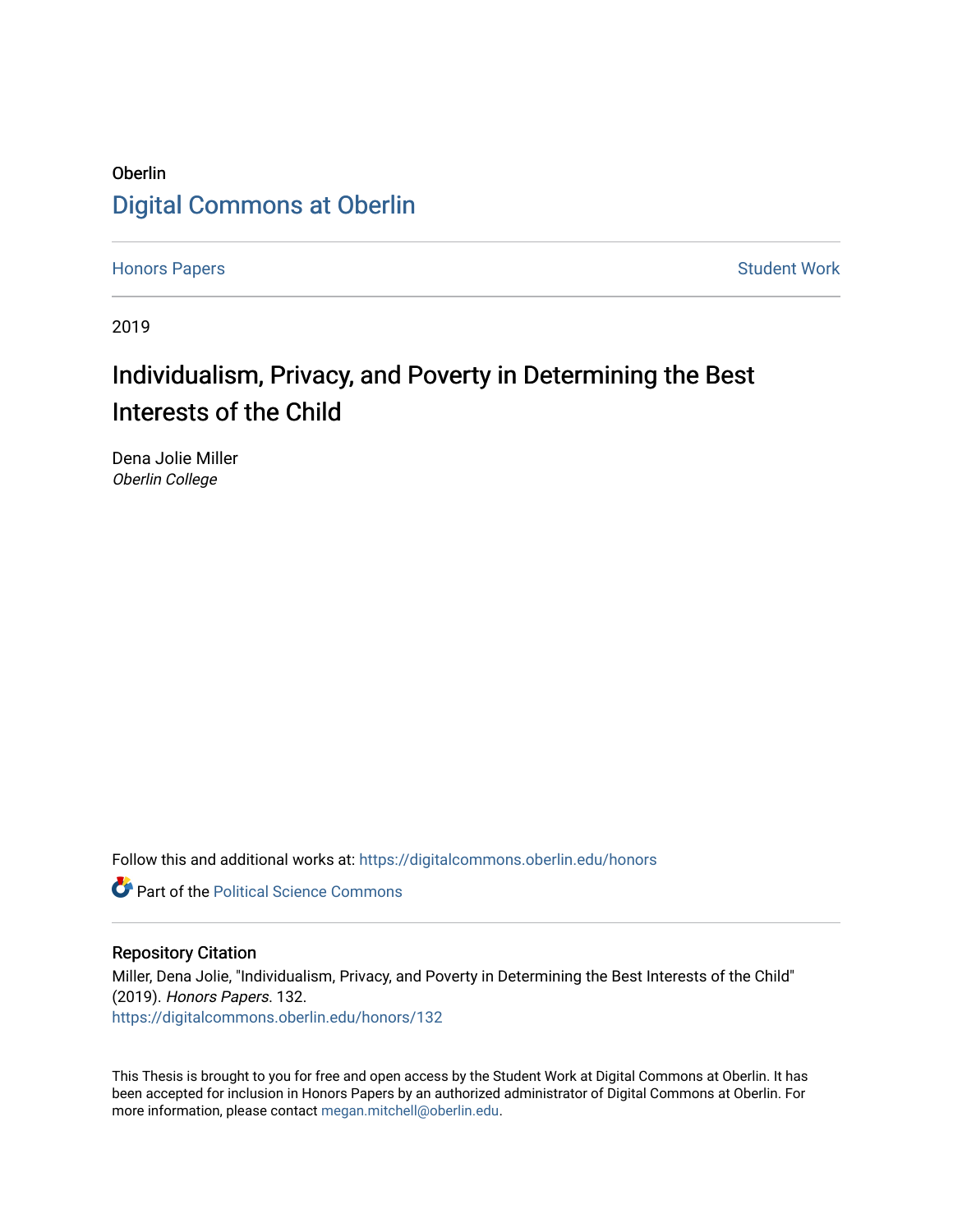### Oberlin [Digital Commons at Oberlin](https://digitalcommons.oberlin.edu/)

[Honors Papers](https://digitalcommons.oberlin.edu/honors) **Student Work** 

2019

# Individualism, Privacy, and Poverty in Determining the Best Interests of the Child

Dena Jolie Miller Oberlin College

Follow this and additional works at: [https://digitalcommons.oberlin.edu/honors](https://digitalcommons.oberlin.edu/honors?utm_source=digitalcommons.oberlin.edu%2Fhonors%2F132&utm_medium=PDF&utm_campaign=PDFCoverPages) 

**Part of the Political Science Commons** 

#### Repository Citation

Miller, Dena Jolie, "Individualism, Privacy, and Poverty in Determining the Best Interests of the Child" (2019). Honors Papers. 132. [https://digitalcommons.oberlin.edu/honors/132](https://digitalcommons.oberlin.edu/honors/132?utm_source=digitalcommons.oberlin.edu%2Fhonors%2F132&utm_medium=PDF&utm_campaign=PDFCoverPages) 

This Thesis is brought to you for free and open access by the Student Work at Digital Commons at Oberlin. It has been accepted for inclusion in Honors Papers by an authorized administrator of Digital Commons at Oberlin. For more information, please contact [megan.mitchell@oberlin.edu.](mailto:megan.mitchell@oberlin.edu)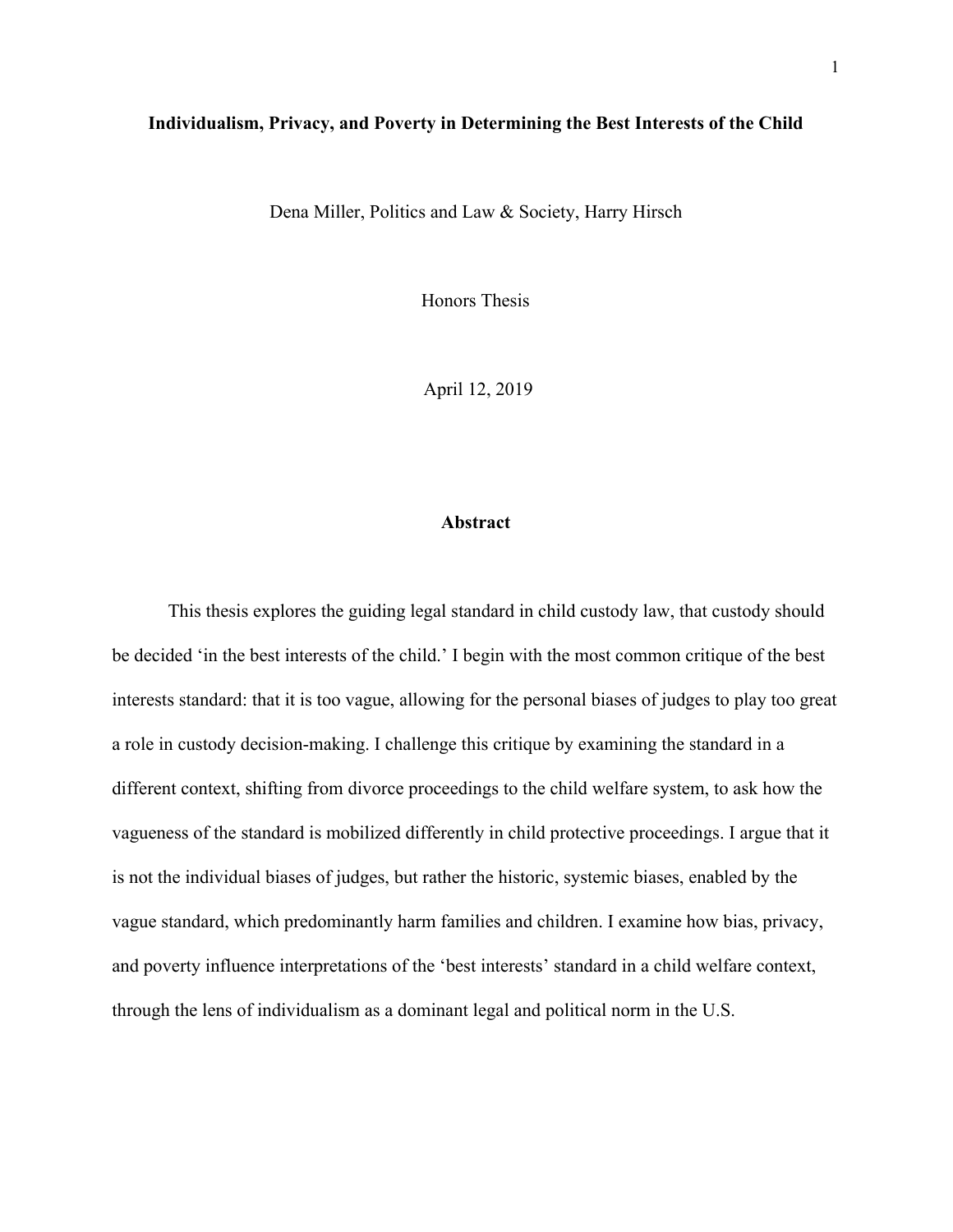### **Individualism, Privacy, and Poverty in Determining the Best Interests of the Child**

Dena Miller, Politics and Law & Society, Harry Hirsch

Honors Thesis

April 12, 2019

### **Abstract**

This thesis explores the guiding legal standard in child custody law, that custody should be decided 'in the best interests of the child.' I begin with the most common critique of the best interests standard: that it is too vague, allowing for the personal biases of judges to play too great a role in custody decision-making. I challenge this critique by examining the standard in a different context, shifting from divorce proceedings to the child welfare system, to ask how the vagueness of the standard is mobilized differently in child protective proceedings. I argue that it is not the individual biases of judges, but rather the historic, systemic biases, enabled by the vague standard, which predominantly harm families and children. I examine how bias, privacy, and poverty influence interpretations of the 'best interests' standard in a child welfare context, through the lens of individualism as a dominant legal and political norm in the U.S.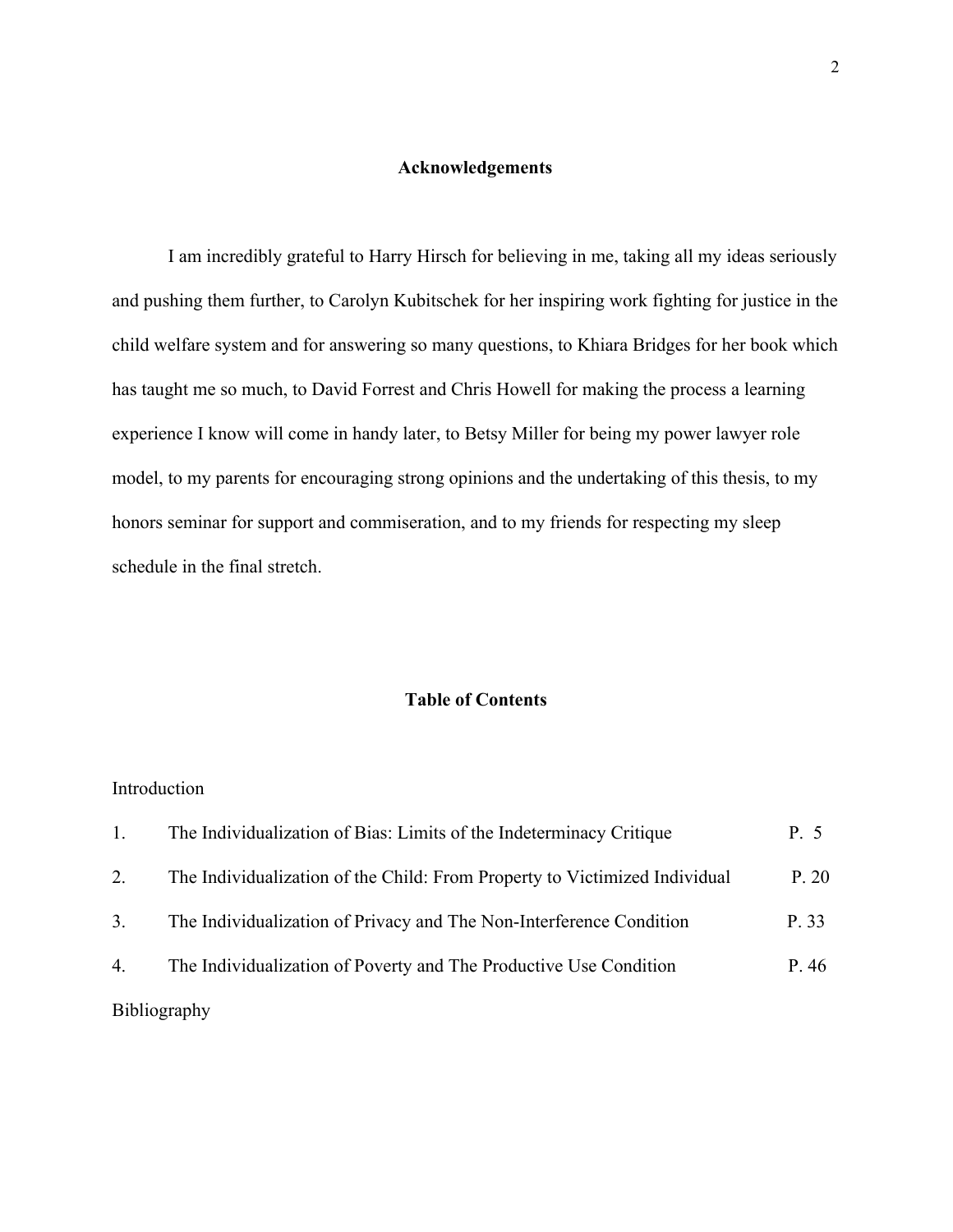### **Acknowledgements**

I am incredibly grateful to Harry Hirsch for believing in me, taking all my ideas seriously and pushing them further, to Carolyn Kubitschek for her inspiring work fighting for justice in the child welfare system and for answering so many questions, to Khiara Bridges for her book which has taught me so much, to David Forrest and Chris Howell for making the process a learning experience I know will come in handy later, to Betsy Miller for being my power lawyer role model, to my parents for encouraging strong opinions and the undertaking of this thesis, to my honors seminar for support and commiseration, and to my friends for respecting my sleep schedule in the final stretch.

### **Table of Contents**

### Introduction

|    | The Individualization of Bias: Limits of the Indeterminacy Critique        | P. 5  |
|----|----------------------------------------------------------------------------|-------|
| 2. | The Individualization of the Child: From Property to Victimized Individual | P. 20 |
| 3. | The Individualization of Privacy and The Non-Interference Condition        | P. 33 |
| 4. | The Individualization of Poverty and The Productive Use Condition          | P.46  |
|    | <b>Bibliography</b>                                                        |       |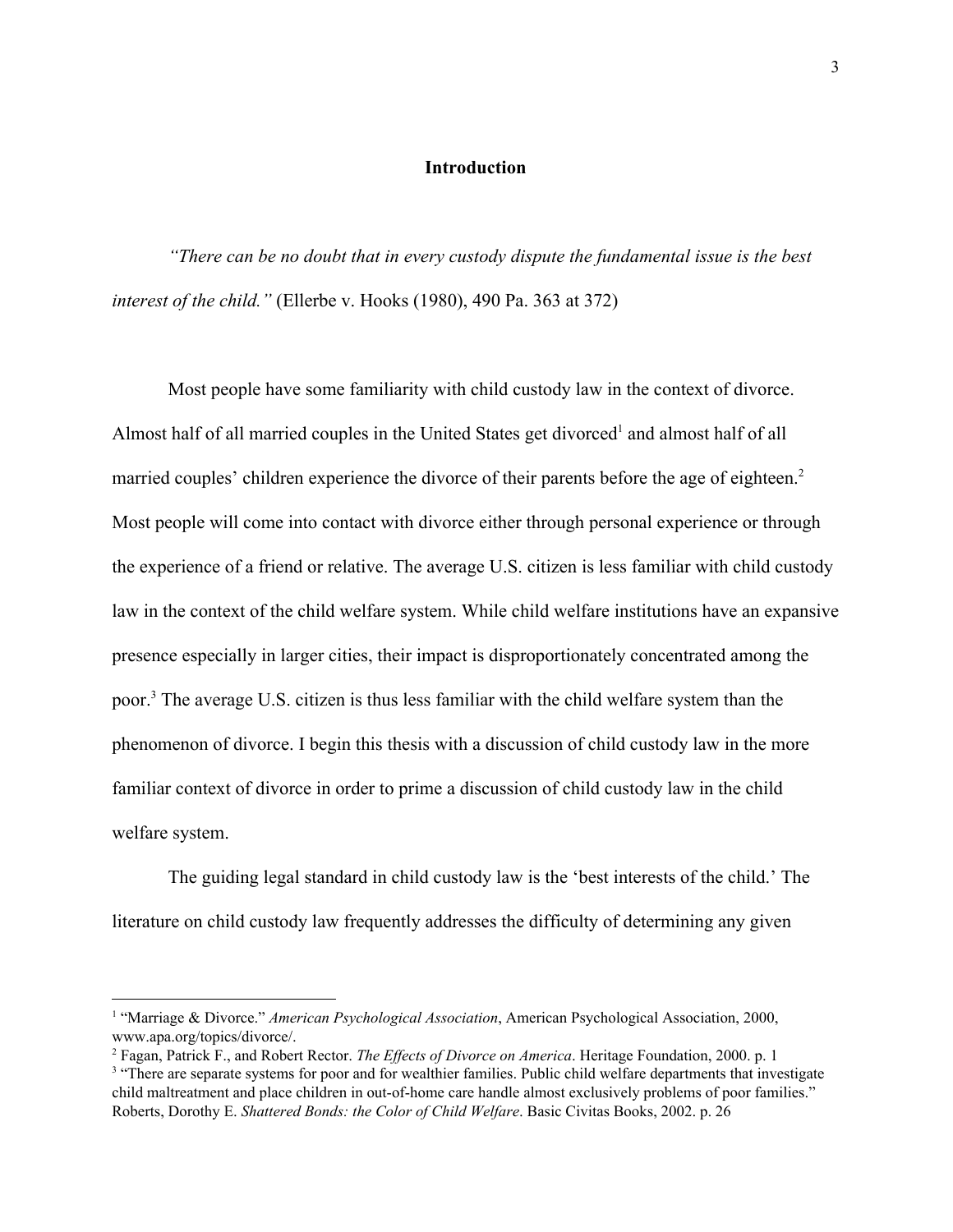### **Introduction**

*"There can be no doubt that in every custody dispute the fundamental issue is the best interest of the child."* (Ellerbe v. Hooks (1980), 490 Pa. 363 at 372)

Most people have some familiarity with child custody law in the context of divorce. Almost half of all married couples in the United States get divorced<sup>1</sup> and almost half of all married couples' children experience the divorce of their parents before the age of eighteen.<sup>2</sup> Most people will come into contact with divorce either through personal experience or through the experience of a friend or relative. The average U.S. citizen is less familiar with child custody law in the context of the child welfare system. While child welfare institutions have an expansive presence especially in larger cities, their impact is disproportionately concentrated among the poor.<sup>3</sup> The average U.S. citizen is thus less familiar with the child welfare system than the phenomenon of divorce. I begin this thesis with a discussion of child custody law in the more familiar context of divorce in order to prime a discussion of child custody law in the child welfare system.

The guiding legal standard in child custody law is the 'best interests of the child.' The literature on child custody law frequently addresses the difficulty of determining any given

<sup>1</sup> "Marriage & Divorce." *American Psychological Association*, American Psychological Association, 2000, www.apa.org/topics/divorce/.

<sup>&</sup>lt;sup>2</sup> Fagan, Patrick F., and Robert Rector. *The Effects of Divorce on America*. Heritage Foundation, 2000. p. 1

<sup>&</sup>lt;sup>3</sup> "There are separate systems for poor and for wealthier families. Public child welfare departments that investigate child maltreatment and place children in out-of-home care handle almost exclusively problems of poor families." Roberts, Dorothy E. *Shattered Bonds: the Color of Child Welfare*. Basic Civitas Books, 2002. p. 26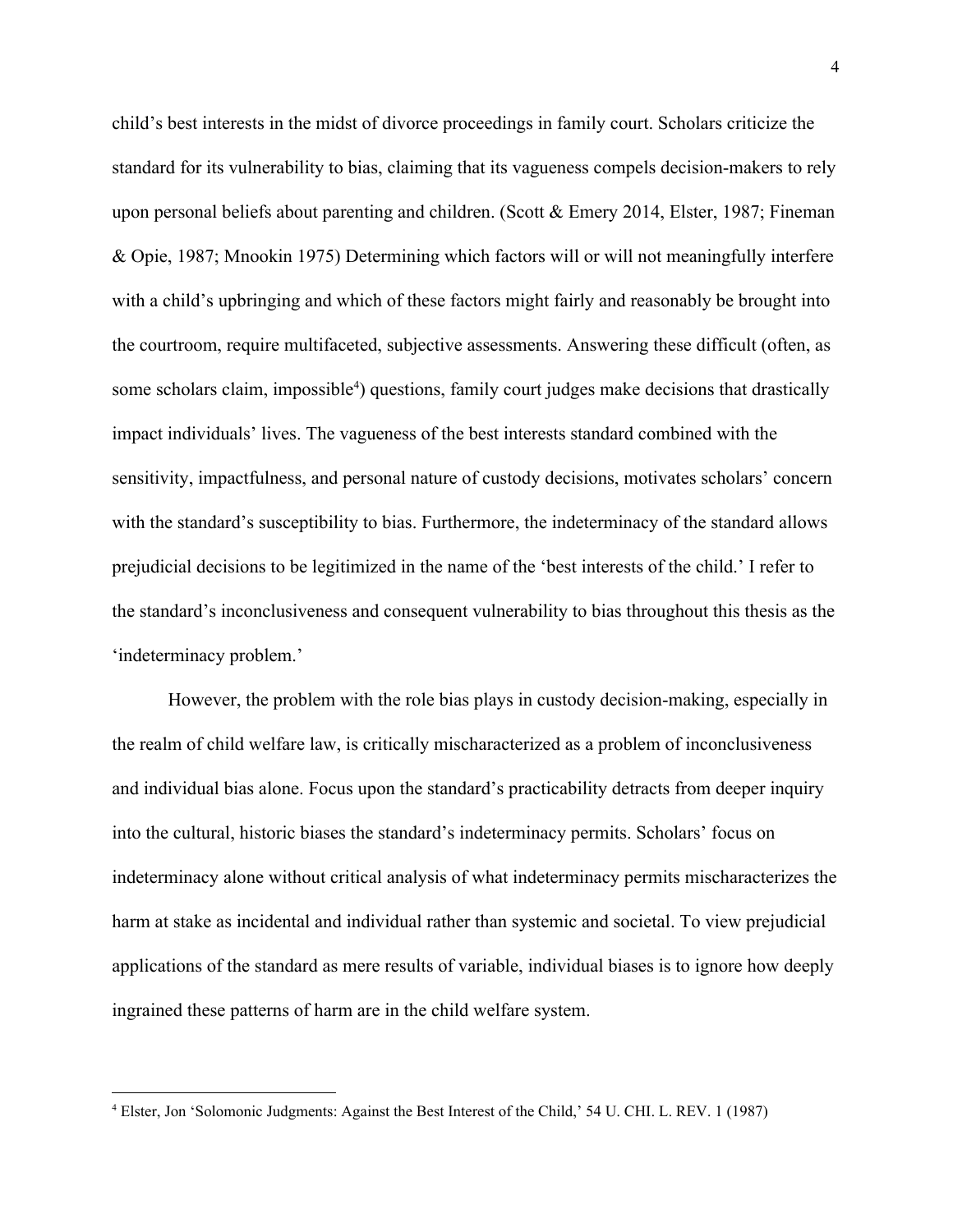child's best interests in the midst of divorce proceedings in family court. Scholars criticize the standard for its vulnerability to bias, claiming that its vagueness compels decision-makers to rely upon personal beliefs about parenting and children. (Scott & Emery 2014, Elster, 1987; Fineman & Opie, 1987; Mnookin 1975) Determining which factors will or will not meaningfully interfere with a child's upbringing and which of these factors might fairly and reasonably be brought into the courtroom, require multifaceted, subjective assessments. Answering these difficult (often, as some scholars claim, impossible<sup>4</sup>) questions, family court judges make decisions that drastically impact individuals' lives. The vagueness of the best interests standard combined with the sensitivity, impactfulness, and personal nature of custody decisions, motivates scholars' concern with the standard's susceptibility to bias. Furthermore, the indeterminacy of the standard allows prejudicial decisions to be legitimized in the name of the 'best interests of the child.' I refer to the standard's inconclusiveness and consequent vulnerability to bias throughout this thesis as the 'indeterminacy problem.'

However, the problem with the role bias plays in custody decision-making, especially in the realm of child welfare law, is critically mischaracterized as a problem of inconclusiveness and individual bias alone. Focus upon the standard's practicability detracts from deeper inquiry into the cultural, historic biases the standard's indeterminacy permits. Scholars' focus on indeterminacy alone without critical analysis of what indeterminacy permits mischaracterizes the harm at stake as incidental and individual rather than systemic and societal. To view prejudicial applications of the standard as mere results of variable, individual biases is to ignore how deeply ingrained these patterns of harm are in the child welfare system.

<sup>4</sup> Elster, Jon 'Solomonic Judgments: Against the Best Interest of the Child,' 54 U. CHI. L. REV. 1 (1987)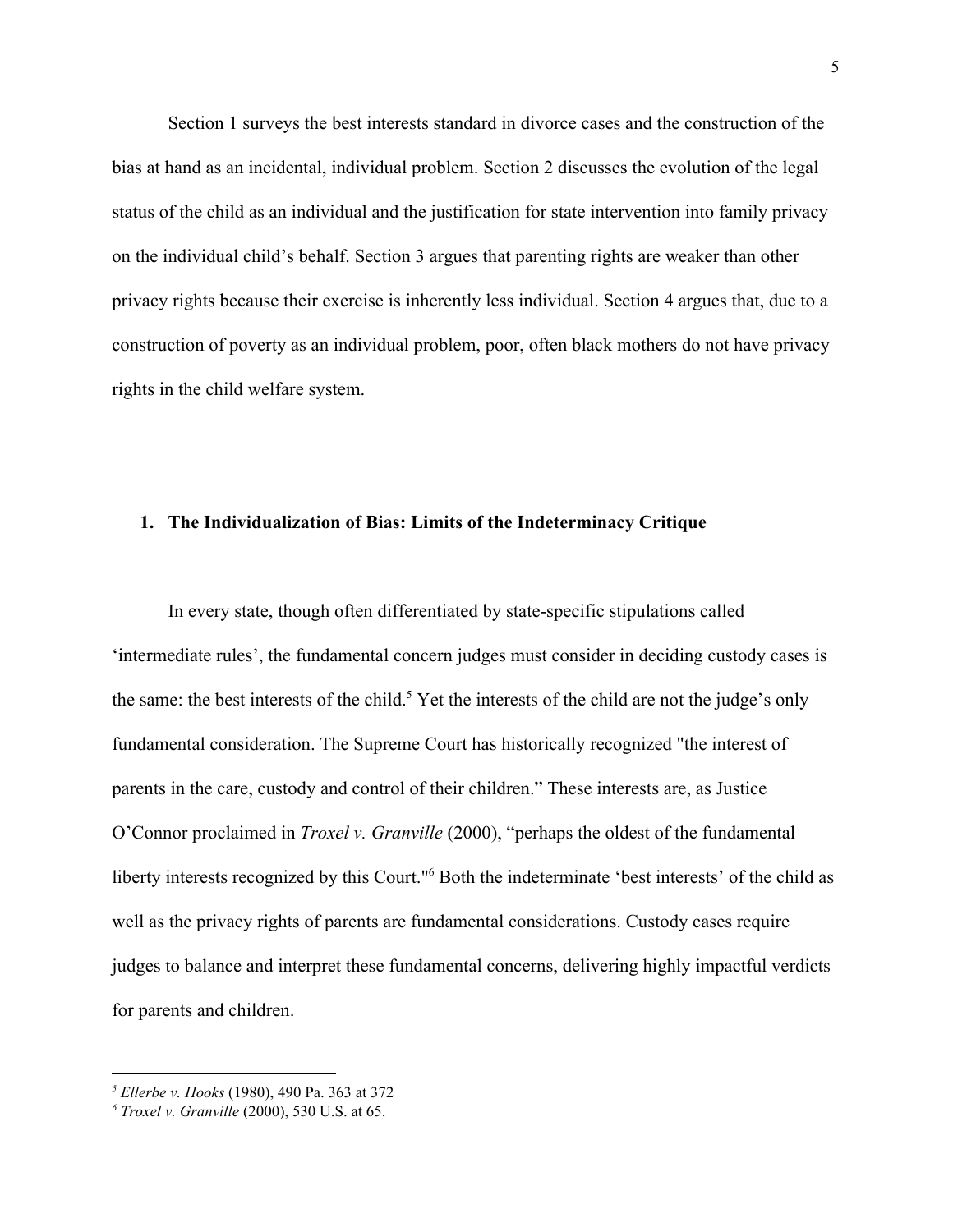Section 1 surveys the best interests standard in divorce cases and the construction of the bias at hand as an incidental, individual problem. Section 2 discusses the evolution of the legal status of the child as an individual and the justification for state intervention into family privacy on the individual child's behalf. Section 3 argues that parenting rights are weaker than other privacy rights because their exercise is inherently less individual. Section 4 argues that, due to a construction of poverty as an individual problem, poor, often black mothers do not have privacy rights in the child welfare system.

### **1. The Individualization of Bias: Limits of the Indeterminacy Critique**

In every state, though often differentiated by state-specific stipulations called 'intermediate rules', the fundamental concern judges must consider in deciding custody cases is the same: the best interests of the child.<sup>5</sup> Yet the interests of the child are not the judge's only fundamental consideration. The Supreme Court has historically recognized "the interest of parents in the care, custody and control of their children." These interests are, as Justice O'Connor proclaimed in *Troxel v. Granville* (2000), "perhaps the oldest of the fundamental liberty interests recognized by this Court."<sup>6</sup> Both the indeterminate 'best interests' of the child as well as the privacy rights of parents are fundamental considerations. Custody cases require judges to balance and interpret these fundamental concerns, delivering highly impactful verdicts for parents and children.

*<sup>5</sup> Ellerbe v. Hooks* (1980), 490 Pa. 363 at 372

*<sup>6</sup> Troxel v. Granville* (2000), 530 U.S. at 65.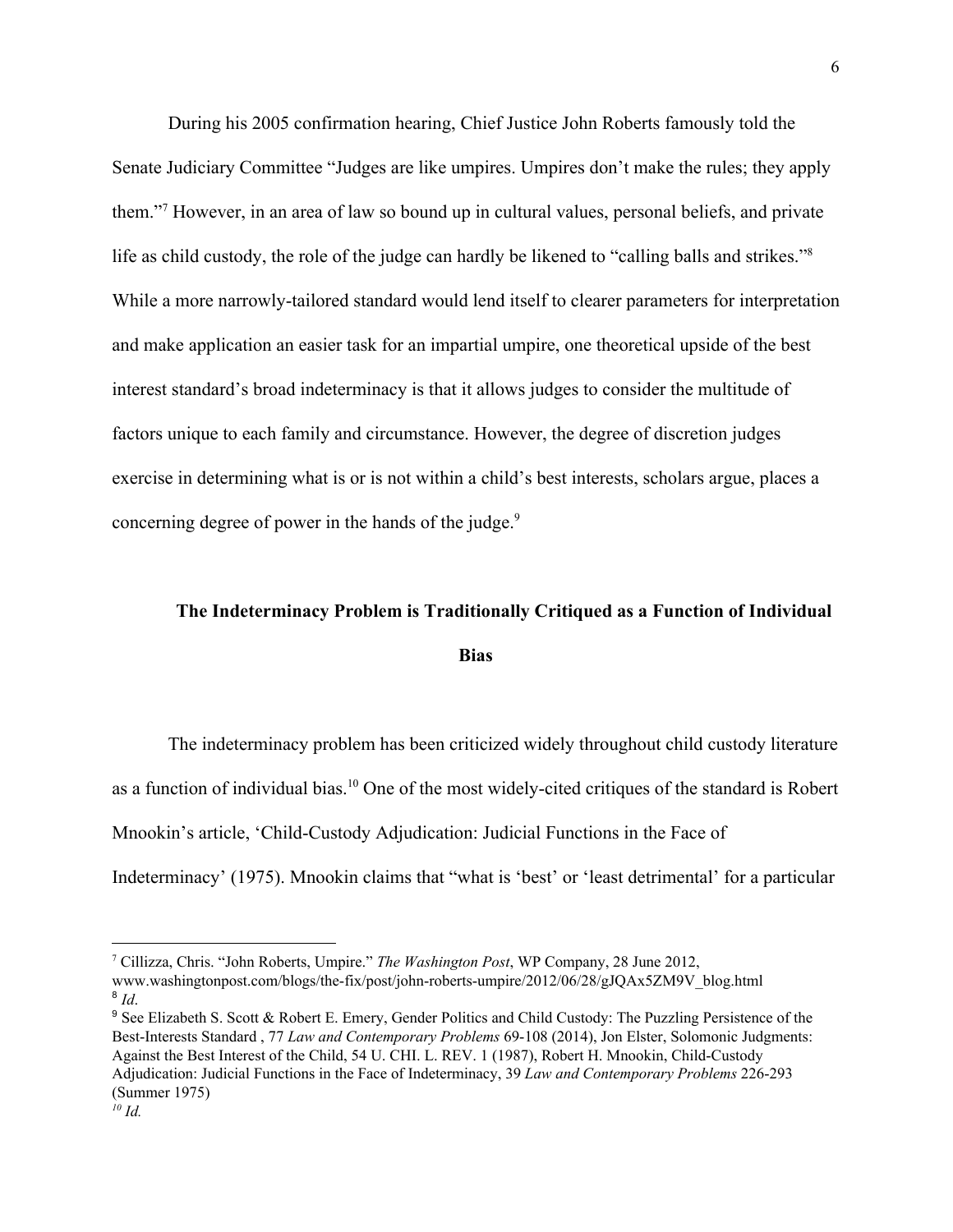During his 2005 confirmation hearing, Chief Justice John Roberts famously told the Senate Judiciary Committee "Judges are like umpires. Umpires don't make the rules; they apply them."<sup>7</sup> However, in an area of law so bound up in cultural values, personal beliefs, and private life as child custody, the role of the judge can hardly be likened to "calling balls and strikes."<sup>8</sup> While a more narrowly-tailored standard would lend itself to clearer parameters for interpretation and make application an easier task for an impartial umpire, one theoretical upside of the best interest standard's broad indeterminacy is that it allows judges to consider the multitude of factors unique to each family and circumstance. However, the degree of discretion judges exercise in determining what is or is not within a child's best interests, scholars argue, places a concerning degree of power in the hands of the judge.<sup>9</sup>

### **The Indeterminacy Problem is Traditionally Critiqued as a Function of Individual Bias**

The indeterminacy problem has been criticized widely throughout child custody literature as a function of individual bias.<sup>10</sup> One of the most widely-cited critiques of the standard is Robert Mnookin's article, 'Child-Custody Adjudication: Judicial Functions in the Face of Indeterminacy' (1975). Mnookin claims that "what is 'best' or 'least detrimental' for a particular

<sup>9</sup> See Elizabeth S. Scott & Robert E. Emery, Gender Politics and Child Custody: The Puzzling Persistence of the Best-Interests Standard , 77 *Law and Contemporary Problems* 69-108 (2014), Jon Elster, Solomonic Judgments: Against the Best Interest of the Child, 54 U. CHI. L. REV. 1 (1987), Robert H. Mnookin, Child-Custody Adjudication: Judicial Functions in the Face of Indeterminacy, 39 *Law and Contemporary Problems* 226-293 (Summer 1975) *<sup>10</sup> Id.*

<sup>7</sup> Cillizza, Chris. "John Roberts, Umpire." *The Washington Post*, WP Company, 28 June 2012,

www.washingtonpost.com/blogs/the-fix/post/john-roberts-umpire/2012/06/28/gJQAx5ZM9V\_blog.html 8 *Id*.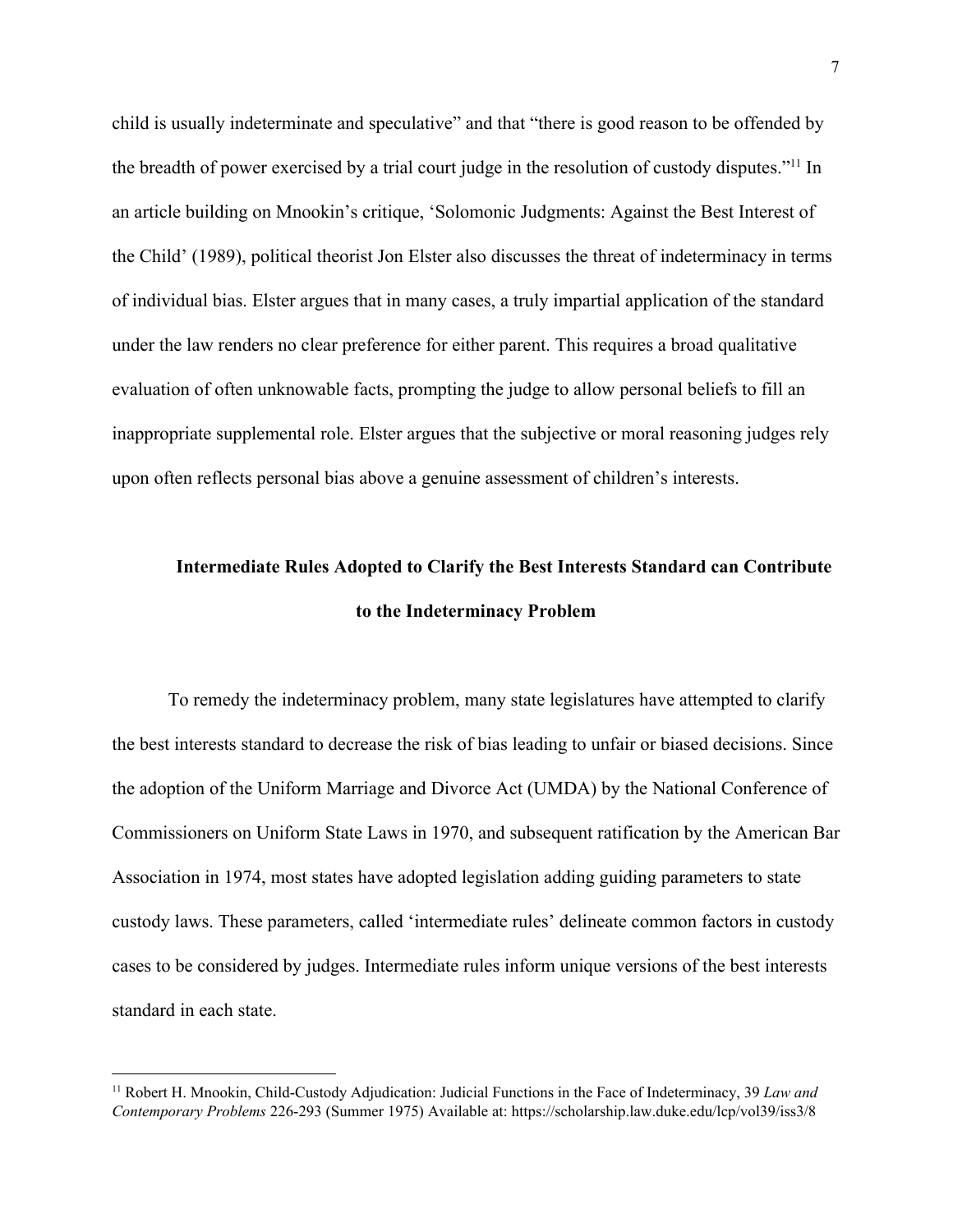child is usually indeterminate and speculative" and that "there is good reason to be offended by the breadth of power exercised by a trial court judge in the resolution of custody disputes."<sup>11</sup> In an article building on Mnookin's critique, 'Solomonic Judgments: Against the Best Interest of the Child' (1989), political theorist Jon Elster also discusses the threat of indeterminacy in terms of individual bias. Elster argues that in many cases, a truly impartial application of the standard under the law renders no clear preference for either parent. This requires a broad qualitative evaluation of often unknowable facts, prompting the judge to allow personal beliefs to fill an inappropriate supplemental role. Elster argues that the subjective or moral reasoning judges rely upon often reflects personal bias above a genuine assessment of children's interests.

# **Intermediate Rules Adopted to Clarify the Best Interests Standard can Contribute to the Indeterminacy Problem**

To remedy the indeterminacy problem, many state legislatures have attempted to clarify the best interests standard to decrease the risk of bias leading to unfair or biased decisions. Since the adoption of the Uniform Marriage and Divorce Act (UMDA) by the National Conference of Commissioners on Uniform State Laws in 1970, and subsequent ratification by the American Bar Association in 1974, most states have adopted legislation adding guiding parameters to state custody laws. These parameters, called 'intermediate rules' delineate common factors in custody cases to be considered by judges. Intermediate rules inform unique versions of the best interests standard in each state.

<sup>11</sup> Robert H. Mnookin, Child-Custody Adjudication: Judicial Functions in the Face of Indeterminacy, 39 *Law and Contemporary Problems* 226-293 (Summer 1975) Available at: https://scholarship.law.duke.edu/lcp/vol39/iss3/8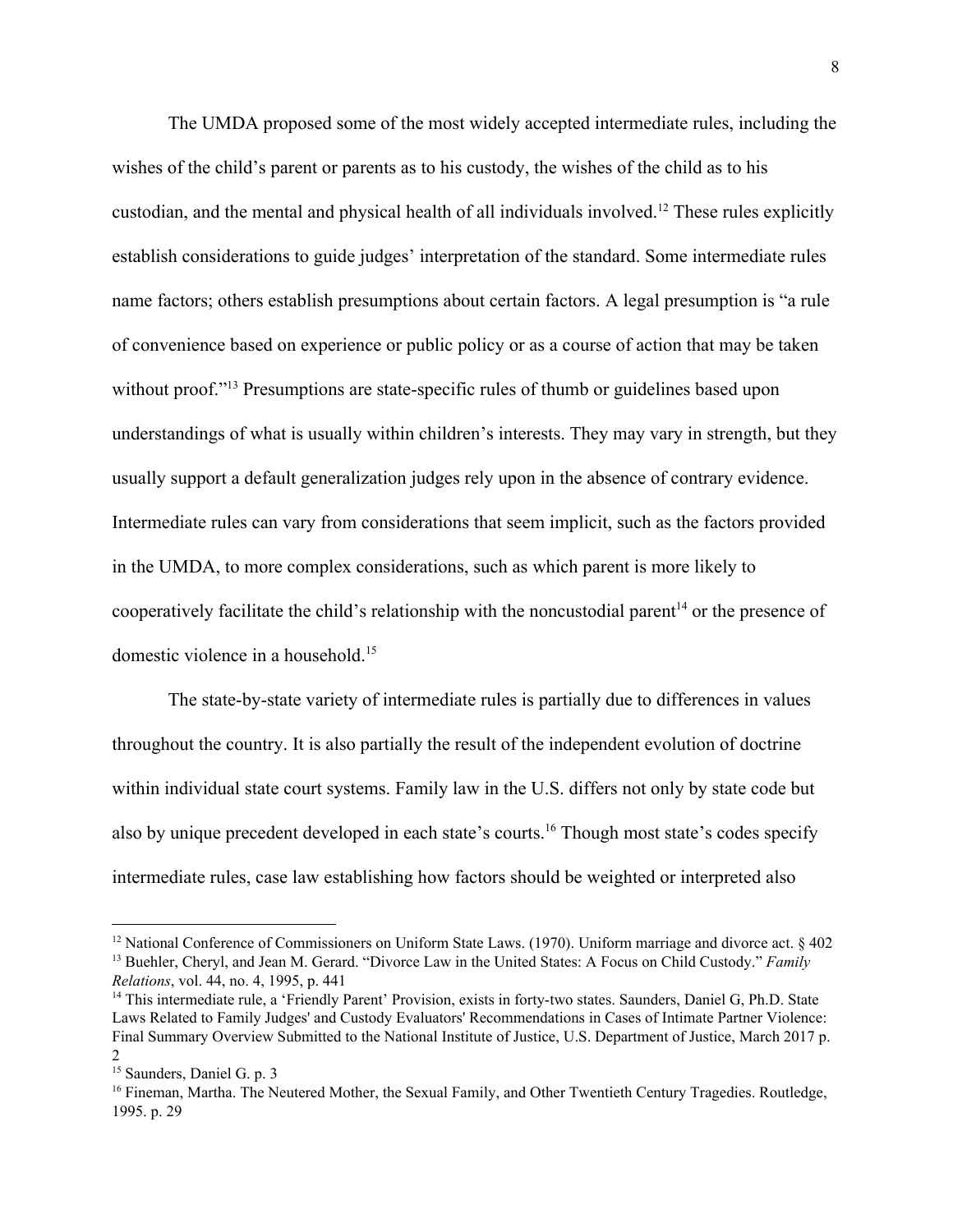The UMDA proposed some of the most widely accepted intermediate rules, including the wishes of the child's parent or parents as to his custody, the wishes of the child as to his custodian, and the mental and physical health of all individuals involved.<sup>12</sup> These rules explicitly establish considerations to guide judges' interpretation of the standard. Some intermediate rules name factors; others establish presumptions about certain factors. A legal presumption is "a rule of convenience based on experience or public policy or as a course of action that may be taken without proof."<sup>13</sup> Presumptions are state-specific rules of thumb or guidelines based upon understandings of what is usually within children's interests. They may vary in strength, but they usually support a default generalization judges rely upon in the absence of contrary evidence. Intermediate rules can vary from considerations that seem implicit, such as the factors provided in the UMDA, to more complex considerations, such as which parent is more likely to cooperatively facilitate the child's relationship with the noncustodial parent<sup>14</sup> or the presence of domestic violence in a household.<sup>15</sup>

The state-by-state variety of intermediate rules is partially due to differences in values throughout the country. It is also partially the result of the independent evolution of doctrine within individual state court systems. Family law in the U.S. differs not only by state code but also by unique precedent developed in each state's courts.<sup>16</sup> Though most state's codes specify intermediate rules, case law establishing how factors should be weighted or interpreted also

<sup>&</sup>lt;sup>12</sup> National Conference of Commissioners on Uniform State Laws. (1970). Uniform marriage and divorce act. § 402 <sup>13</sup> Buehler, Cheryl, and Jean M. Gerard. "Divorce Law in the United States: A Focus on Child Custody." *Family Relations*, vol. 44, no. 4, 1995, p. 441

<sup>14</sup> This intermediate rule, a 'Friendly Parent' Provision, exists in forty-two states. Saunders, Daniel G, Ph.D. State Laws Related to Family Judges' and Custody Evaluators' Recommendations in Cases of Intimate Partner Violence: Final Summary Overview Submitted to the National Institute of Justice, U.S. Department of Justice, March 2017 p. 2

<sup>15</sup> Saunders, Daniel G. p. 3

<sup>16</sup> Fineman, Martha. The Neutered Mother, the Sexual Family, and Other Twentieth Century Tragedies. Routledge, 1995. p. 29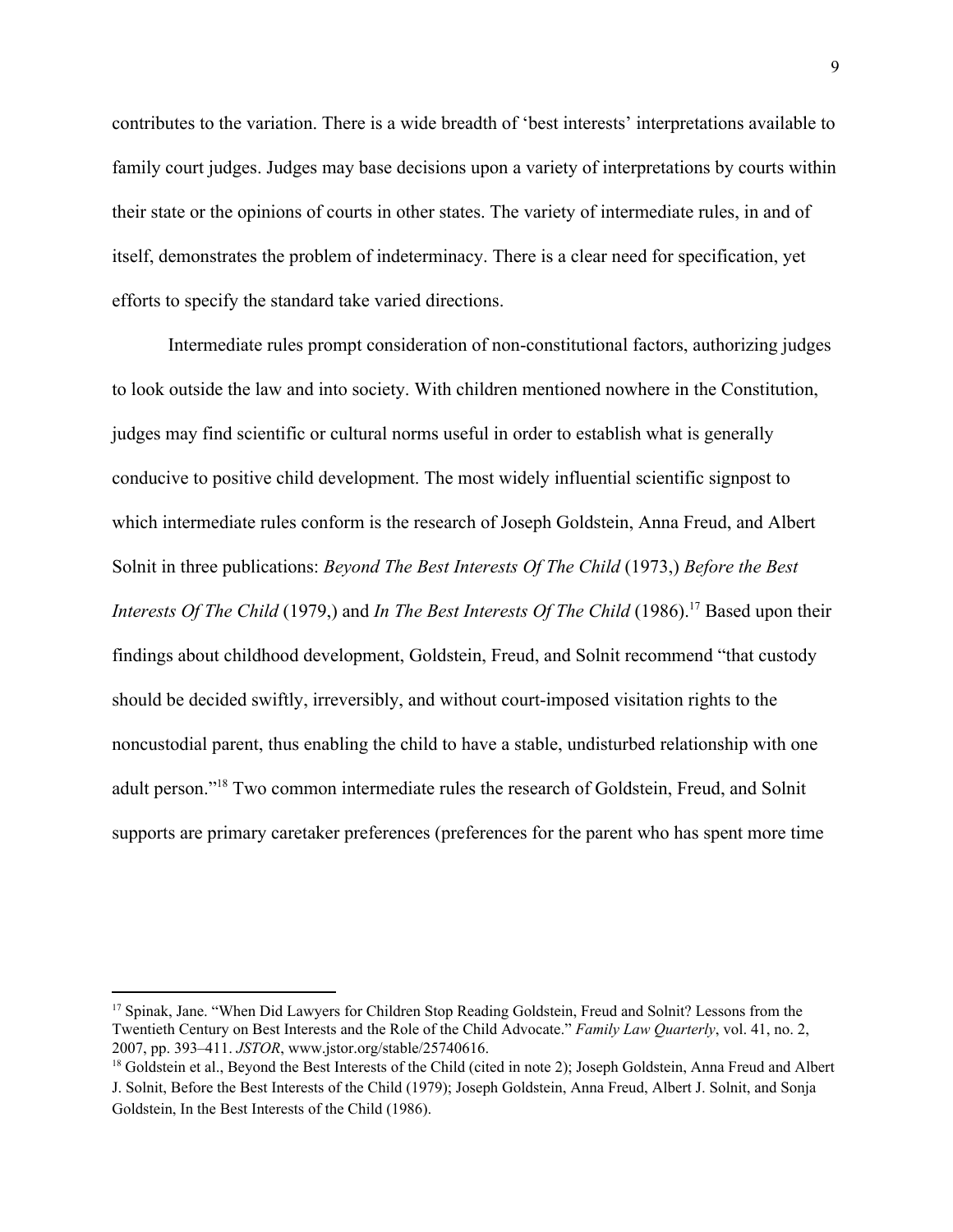contributes to the variation. There is a wide breadth of 'best interests' interpretations available to family court judges. Judges may base decisions upon a variety of interpretations by courts within their state or the opinions of courts in other states. The variety of intermediate rules, in and of itself, demonstrates the problem of indeterminacy. There is a clear need for specification, yet efforts to specify the standard take varied directions.

Intermediate rules prompt consideration of non-constitutional factors, authorizing judges to look outside the law and into society. With children mentioned nowhere in the Constitution, judges may find scientific or cultural norms useful in order to establish what is generally conducive to positive child development. The most widely influential scientific signpost to which intermediate rules conform is the research of Joseph Goldstein, Anna Freud, and Albert Solnit in three publications: *Beyond The Best Interests Of The Child* (1973,) *Before the Best Interests Of The Child* (1979,) and *In The Best Interests Of The Child* (1986).<sup>17</sup> Based upon their findings about childhood development, Goldstein, Freud, and Solnit recommend "that custody should be decided swiftly, irreversibly, and without court-imposed visitation rights to the noncustodial parent, thus enabling the child to have a stable, undisturbed relationship with one adult person."<sup>18</sup> Two common intermediate rules the research of Goldstein, Freud, and Solnit supports are primary caretaker preferences (preferences for the parent who has spent more time

<sup>&</sup>lt;sup>17</sup> Spinak, Jane. "When Did Lawyers for Children Stop Reading Goldstein, Freud and Solnit? Lessons from the Twentieth Century on Best Interests and the Role of the Child Advocate." *Family Law Quarterly*, vol. 41, no. 2, 2007, pp. 393–411. *JSTOR*, www.jstor.org/stable/25740616.

<sup>&</sup>lt;sup>18</sup> Goldstein et al., Beyond the Best Interests of the Child (cited in note 2); Joseph Goldstein, Anna Freud and Albert J. Solnit, Before the Best Interests of the Child (1979); Joseph Goldstein, Anna Freud, Albert J. Solnit, and Sonja Goldstein, In the Best Interests of the Child (1986).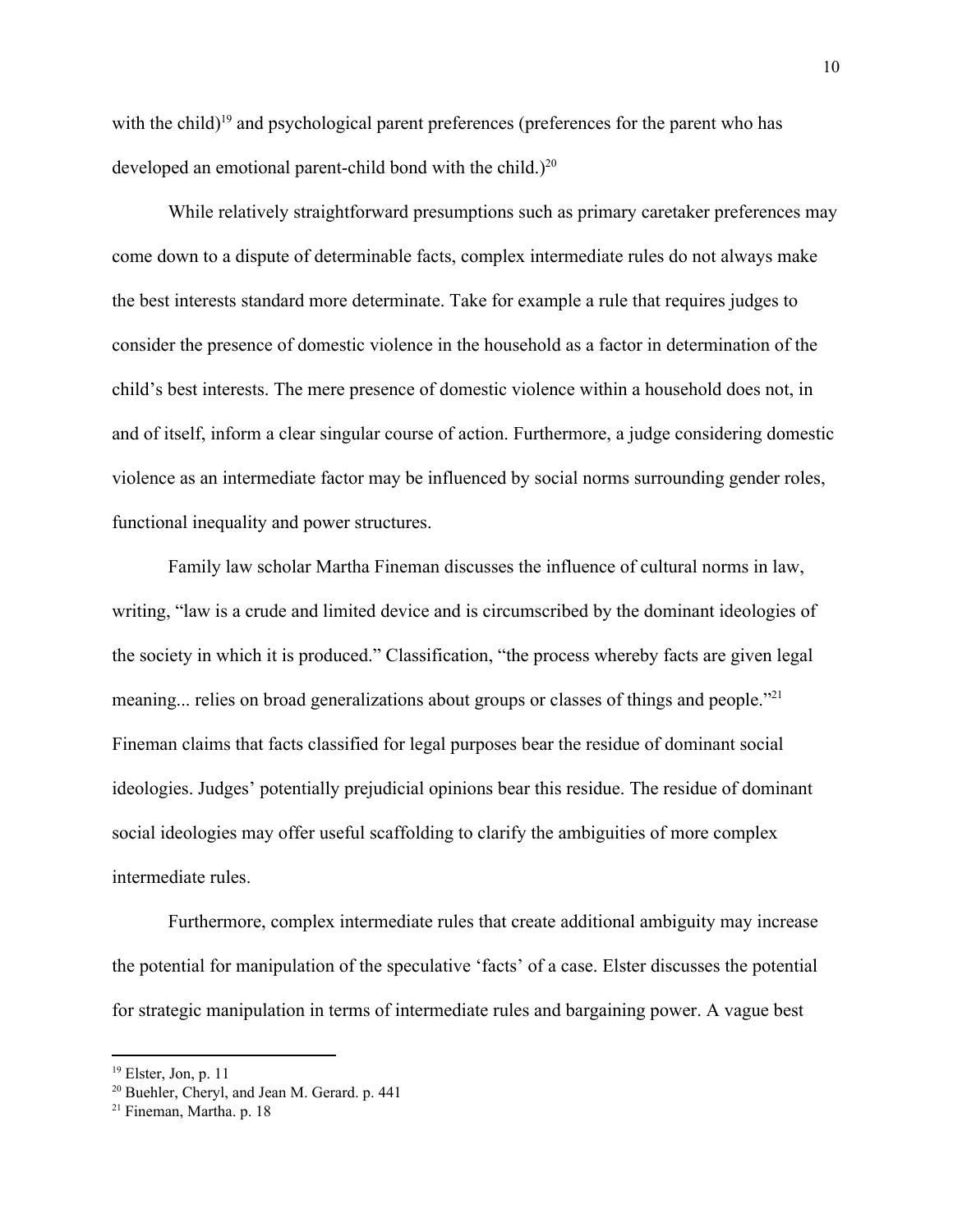with the child)<sup> $19$ </sup> and psychological parent preferences (preferences for the parent who has developed an emotional parent-child bond with the child.)<sup>20</sup>

While relatively straightforward presumptions such as primary caretaker preferences may come down to a dispute of determinable facts, complex intermediate rules do not always make the best interests standard more determinate. Take for example a rule that requires judges to consider the presence of domestic violence in the household as a factor in determination of the child's best interests. The mere presence of domestic violence within a household does not, in and of itself, inform a clear singular course of action. Furthermore, a judge considering domestic violence as an intermediate factor may be influenced by social norms surrounding gender roles, functional inequality and power structures.

Family law scholar Martha Fineman discusses the influence of cultural norms in law, writing, "law is a crude and limited device and is circumscribed by the dominant ideologies of the society in which it is produced." Classification, "the process whereby facts are given legal meaning... relies on broad generalizations about groups or classes of things and people."<sup>21</sup> Fineman claims that facts classified for legal purposes bear the residue of dominant social ideologies. Judges' potentially prejudicial opinions bear this residue. The residue of dominant social ideologies may offer useful scaffolding to clarify the ambiguities of more complex intermediate rules.

Furthermore, complex intermediate rules that create additional ambiguity may increase the potential for manipulation of the speculative 'facts' of a case. Elster discusses the potential for strategic manipulation in terms of intermediate rules and bargaining power. A vague best

 $19$  Elster, Jon, p. 11

<sup>20</sup> Buehler, Cheryl, and Jean M. Gerard. p. 441

<sup>21</sup> Fineman, Martha. p. 18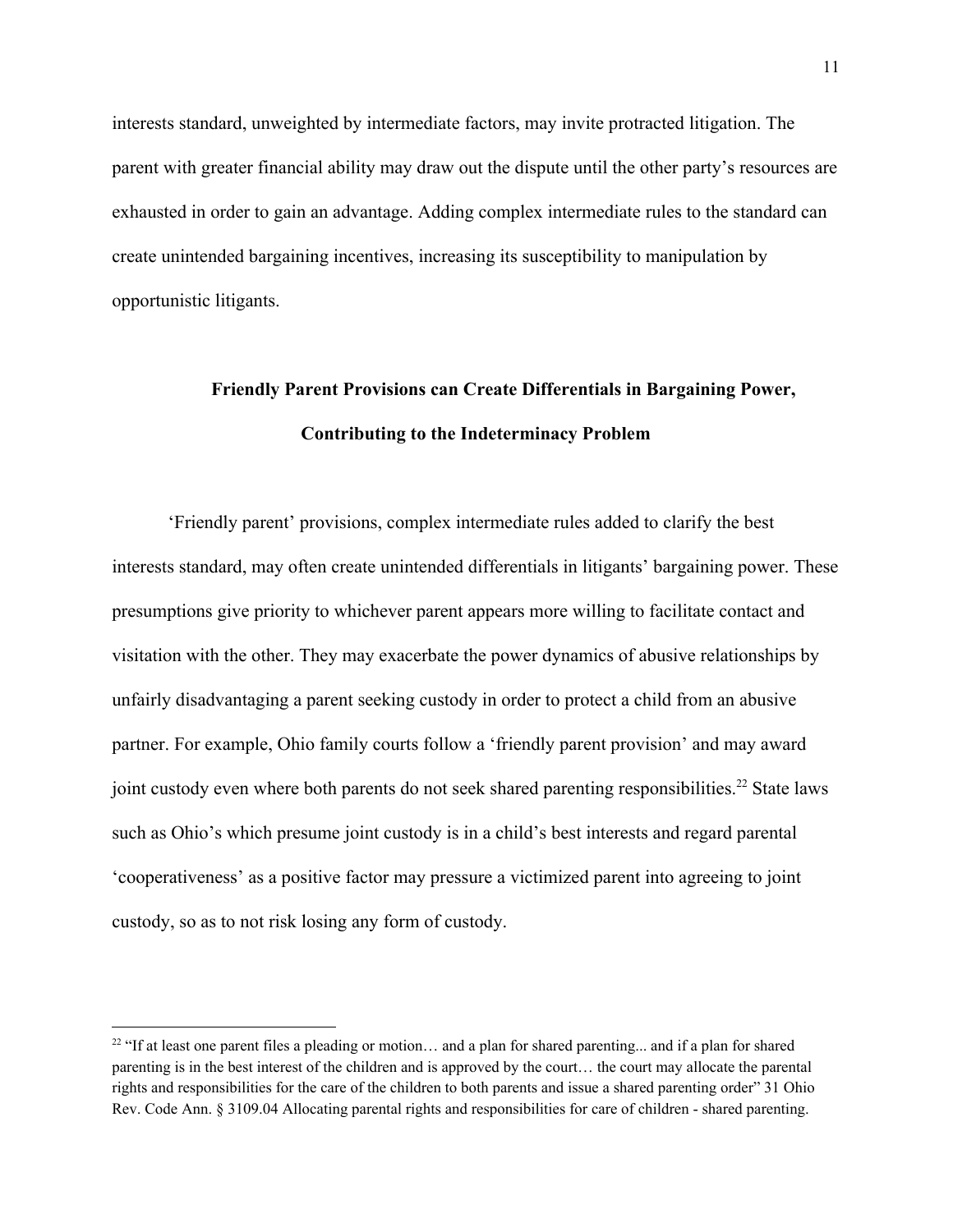interests standard, unweighted by intermediate factors, may invite protracted litigation. The parent with greater financial ability may draw out the dispute until the other party's resources are exhausted in order to gain an advantage. Adding complex intermediate rules to the standard can create unintended bargaining incentives, increasing its susceptibility to manipulation by opportunistic litigants.

# **Friendly Parent Provisions can Create Differentials in Bargaining Power, Contributing to the Indeterminacy Problem**

'Friendly parent' provisions, complex intermediate rules added to clarify the best interests standard, may often create unintended differentials in litigants' bargaining power. These presumptions give priority to whichever parent appears more willing to facilitate contact and visitation with the other. They may exacerbate the power dynamics of abusive relationships by unfairly disadvantaging a parent seeking custody in order to protect a child from an abusive partner. For example, Ohio family courts follow a 'friendly parent provision' and may award joint custody even where both parents do not seek shared parenting responsibilities.<sup>22</sup> State laws such as Ohio's which presume joint custody is in a child's best interests and regard parental 'cooperativeness' as a positive factor may pressure a victimized parent into agreeing to joint custody, so as to not risk losing any form of custody.

<sup>&</sup>lt;sup>22</sup> "If at least one parent files a pleading or motion... and a plan for shared parenting... and if a plan for shared parenting is in the best interest of the children and is approved by the court… the court may allocate the parental rights and responsibilities for the care of the children to both parents and issue a shared parenting order" 31 Ohio Rev. Code Ann. § 3109.04 Allocating parental rights and responsibilities for care of children - shared parenting.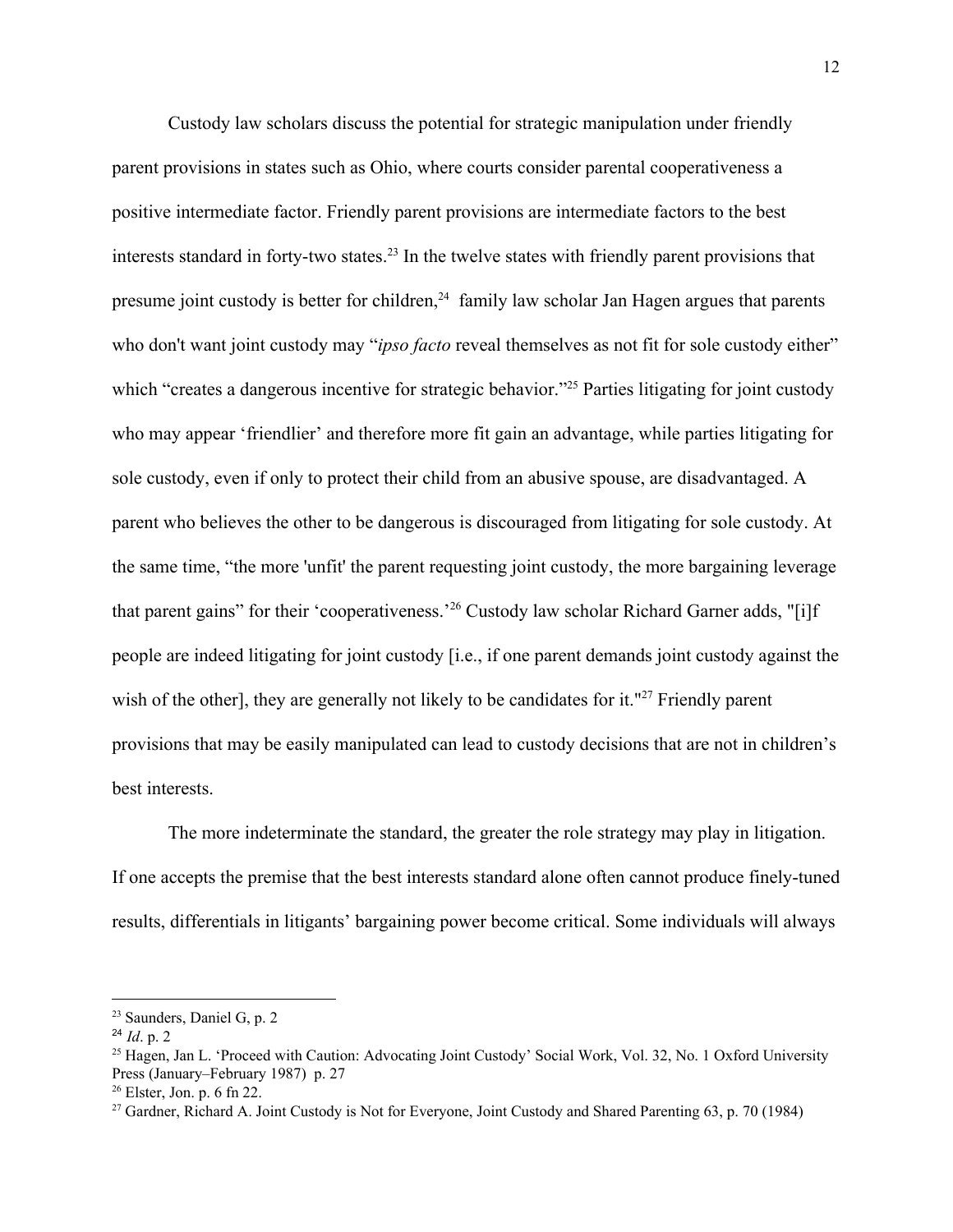Custody law scholars discuss the potential for strategic manipulation under friendly parent provisions in states such as Ohio, where courts consider parental cooperativeness a positive intermediate factor. Friendly parent provisions are intermediate factors to the best interests standard in forty-two states.<sup>23</sup> In the twelve states with friendly parent provisions that presume joint custody is better for children,  $24$  family law scholar Jan Hagen argues that parents who don't want joint custody may "*ipso facto* reveal themselves as not fit for sole custody either" which "creates a dangerous incentive for strategic behavior."<sup>25</sup> Parties litigating for joint custody who may appear 'friendlier' and therefore more fit gain an advantage, while parties litigating for sole custody, even if only to protect their child from an abusive spouse, are disadvantaged. A parent who believes the other to be dangerous is discouraged from litigating for sole custody. At the same time, "the more 'unfit' the parent requesting joint custody, the more bargaining leverage that parent gains" for their 'cooperativeness.<sup>26</sup> Custody law scholar Richard Garner adds, "[i]f people are indeed litigating for joint custody [i.e., if one parent demands joint custody against the wish of the other], they are generally not likely to be candidates for it."<sup>27</sup> Friendly parent provisions that may be easily manipulated can lead to custody decisions that are not in children's best interests.

The more indeterminate the standard, the greater the role strategy may play in litigation. If one accepts the premise that the best interests standard alone often cannot produce finely-tuned results, differentials in litigants' bargaining power become critical. Some individuals will always

<sup>23</sup> Saunders, Daniel G, p. 2

<sup>24</sup> *Id*. p. 2

<sup>&</sup>lt;sup>25</sup> Hagen, Jan L. 'Proceed with Caution: Advocating Joint Custody' Social Work, Vol. 32, No. 1 Oxford University Press (January–February 1987) p. 27

 $26$  Elster, Jon. p. 6 fn 22.

<sup>&</sup>lt;sup>27</sup> Gardner, Richard A. Joint Custody is Not for Everyone, Joint Custody and Shared Parenting 63, p. 70 (1984)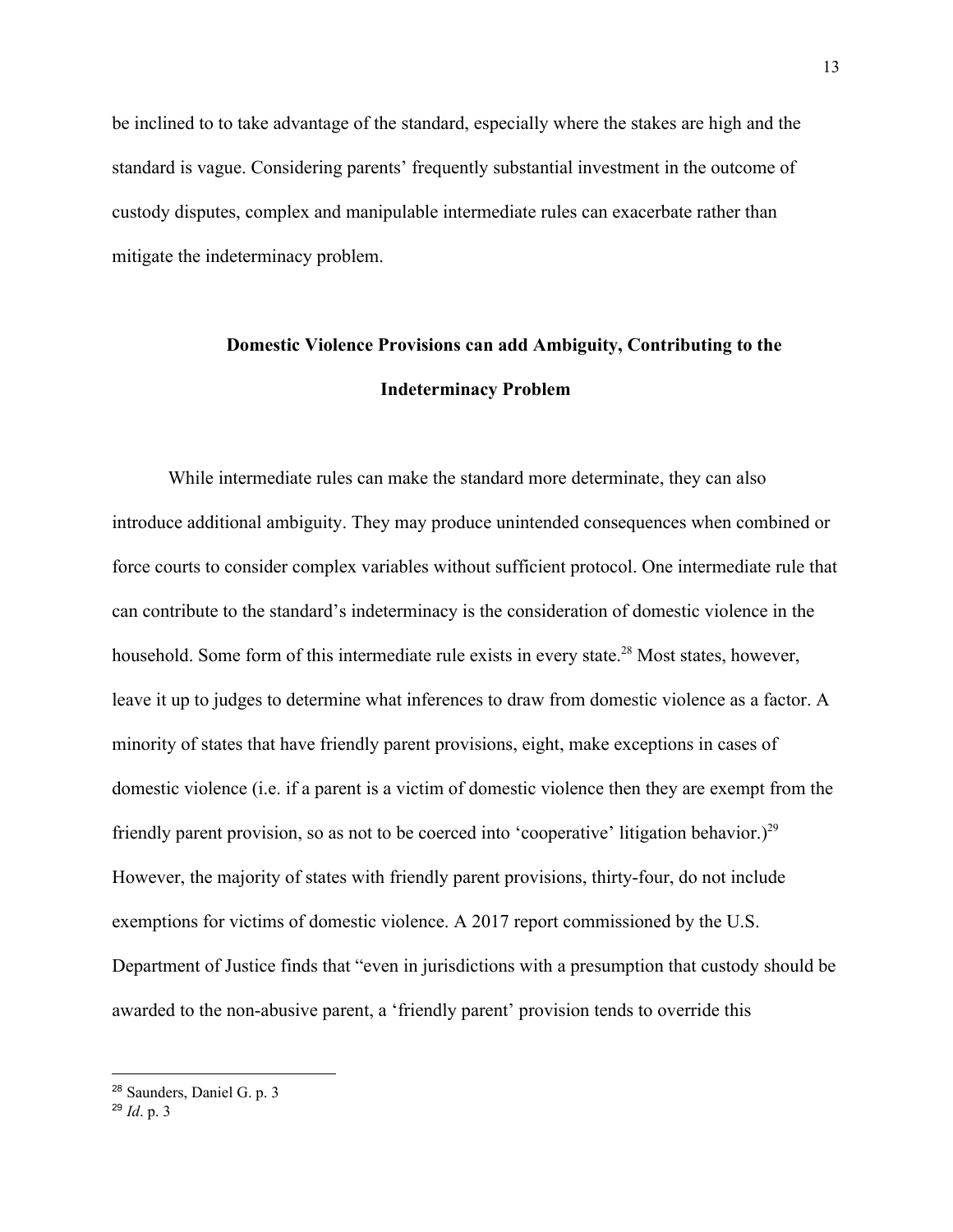be inclined to to take advantage of the standard, especially where the stakes are high and the standard is vague. Considering parents' frequently substantial investment in the outcome of custody disputes, complex and manipulable intermediate rules can exacerbate rather than mitigate the indeterminacy problem.

### **Domestic Violence Provisions can add Ambiguity, Contributing to the Indeterminacy Problem**

While intermediate rules can make the standard more determinate, they can also introduce additional ambiguity. They may produce unintended consequences when combined or force courts to consider complex variables without sufficient protocol. One intermediate rule that can contribute to the standard's indeterminacy is the consideration of domestic violence in the household. Some form of this intermediate rule exists in every state.<sup>28</sup> Most states, however, leave it up to judges to determine what inferences to draw from domestic violence as a factor. A minority of states that have friendly parent provisions, eight, make exceptions in cases of domestic violence (i.e. if a parent is a victim of domestic violence then they are exempt from the friendly parent provision, so as not to be coerced into 'cooperative' litigation behavior.)<sup>29</sup> However, the majority of states with friendly parent provisions, thirty-four, do not include exemptions for victims of domestic violence. A 2017 report commissioned by the U.S. Department of Justice finds that "even in jurisdictions with a presumption that custody should be awarded to the non-abusive parent, a 'friendly parent' provision tends to override this

<sup>28</sup> Saunders, Daniel G. p. 3

<sup>29</sup> *Id*. p. 3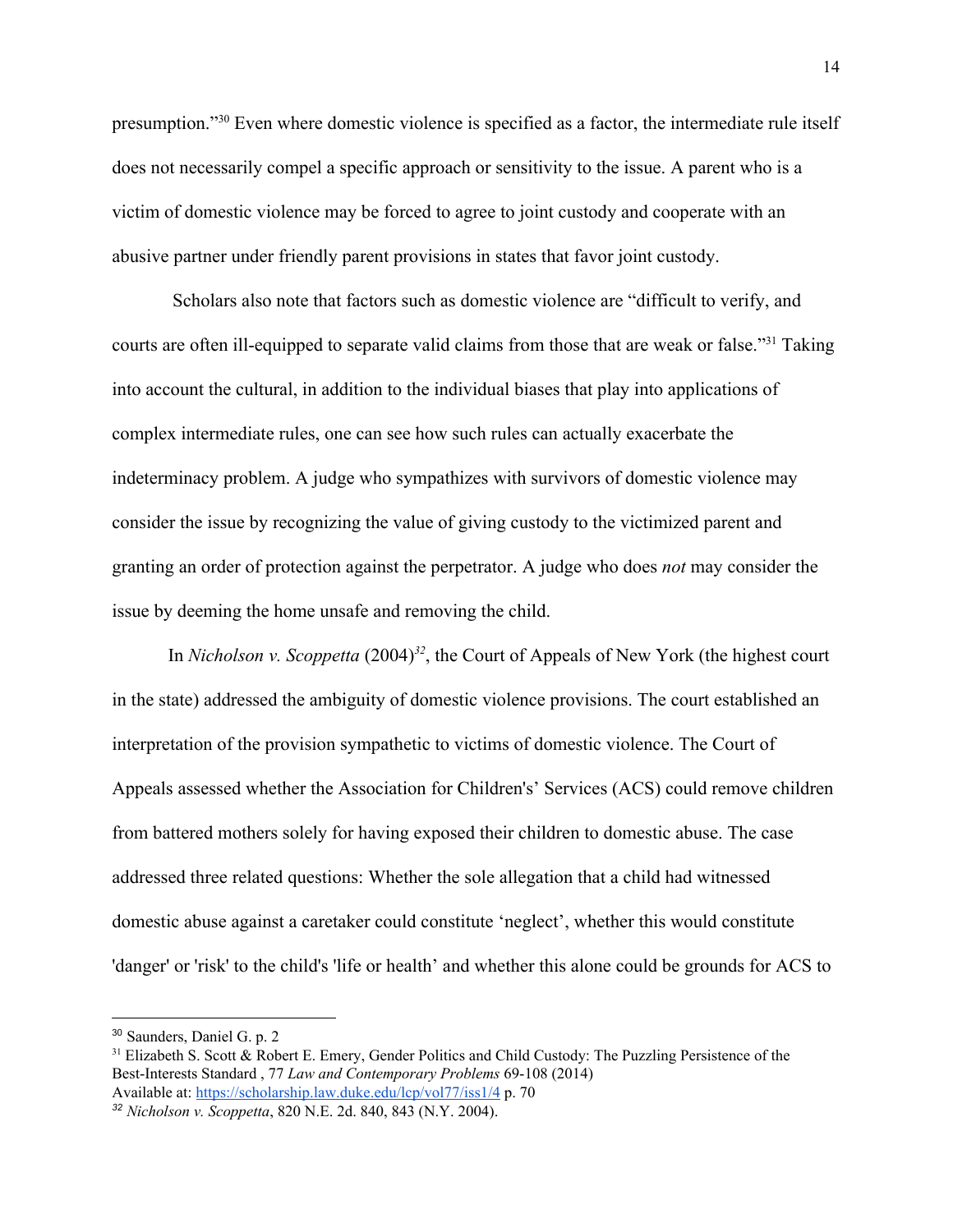presumption."<sup>30</sup> Even where domestic violence is specified as a factor, the intermediate rule itself does not necessarily compel a specific approach or sensitivity to the issue. A parent who is a victim of domestic violence may be forced to agree to joint custody and cooperate with an abusive partner under friendly parent provisions in states that favor joint custody.

 Scholars also note that factors such as domestic violence are "difficult to verify, and courts are often ill-equipped to separate valid claims from those that are weak or false."<sup>31</sup> Taking into account the cultural, in addition to the individual biases that play into applications of complex intermediate rules, one can see how such rules can actually exacerbate the indeterminacy problem. A judge who sympathizes with survivors of domestic violence may consider the issue by recognizing the value of giving custody to the victimized parent and granting an order of protection against the perpetrator. A judge who does *not* may consider the issue by deeming the home unsafe and removing the child.

In *Nicholson v. Scoppetta*  $(2004)^{32}$ , the Court of Appeals of New York (the highest court in the state) addressed the ambiguity of domestic violence provisions. The court established an interpretation of the provision sympathetic to victims of domestic violence. The Court of Appeals assessed whether the Association for Children's' Services (ACS) could remove children from battered mothers solely for having exposed their children to domestic abuse. The case addressed three related questions: Whether the sole allegation that a child had witnessed domestic abuse against a caretaker could constitute 'neglect', whether this would constitute 'danger' or 'risk' to the child's 'life or health' and whether this alone could be grounds for ACS to

<sup>30</sup> Saunders, Daniel G. p. 2

<sup>&</sup>lt;sup>31</sup> Elizabeth S. Scott & Robert E. Emery, Gender Politics and Child Custody: The Puzzling Persistence of the Best-Interests Standard , 77 *Law and Contemporary Problems* 69-108 (2014) Available at: <https://scholarship.law.duke.edu/lcp/vol77/iss1/4> p. 70

*<sup>32</sup> Nicholson v. Scoppetta*, 820 N.E. 2d. 840, 843 (N.Y. 2004).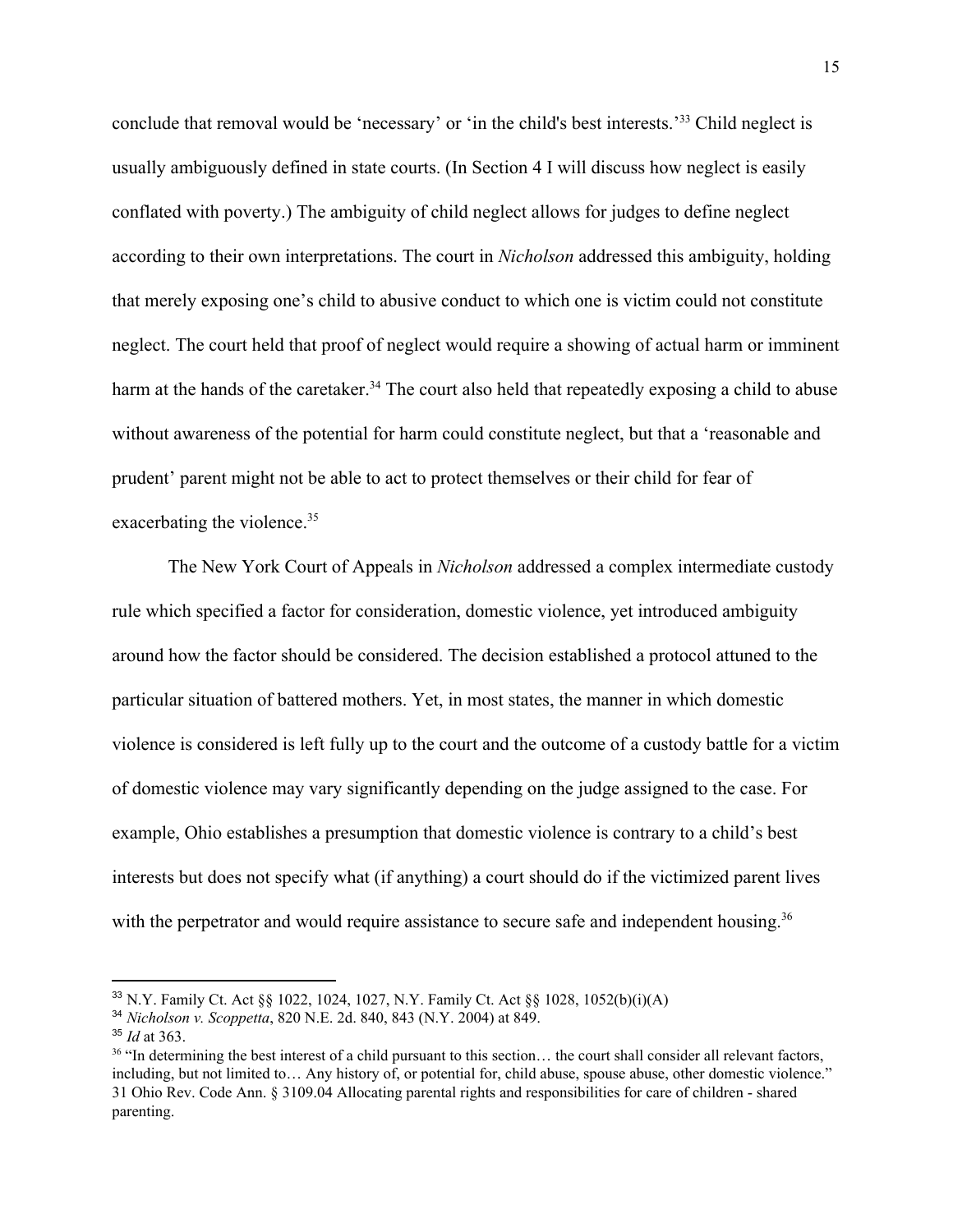conclude that removal would be 'necessary' or 'in the child's best interests.<sup>33</sup> Child neglect is usually ambiguously defined in state courts. (In Section 4 I will discuss how neglect is easily conflated with poverty.) The ambiguity of child neglect allows for judges to define neglect according to their own interpretations. The court in *Nicholson* addressed this ambiguity, holding that merely exposing one's child to abusive conduct to which one is victim could not constitute neglect. The court held that proof of neglect would require a showing of actual harm or imminent harm at the hands of the caretaker.<sup>34</sup> The court also held that repeatedly exposing a child to abuse without awareness of the potential for harm could constitute neglect, but that a 'reasonable and prudent' parent might not be able to act to protect themselves or their child for fear of exacerbating the violence.<sup>35</sup>

The New York Court of Appeals in *Nicholson* addressed a complex intermediate custody rule which specified a factor for consideration, domestic violence, yet introduced ambiguity around how the factor should be considered. The decision established a protocol attuned to the particular situation of battered mothers. Yet, in most states, the manner in which domestic violence is considered is left fully up to the court and the outcome of a custody battle for a victim of domestic violence may vary significantly depending on the judge assigned to the case. For example, Ohio establishes a presumption that domestic violence is contrary to a child's best interests but does not specify what (if anything) a court should do if the victimized parent lives with the perpetrator and would require assistance to secure safe and independent housing.<sup>36</sup>

<sup>33</sup> N.Y. Family Ct. Act §§ 1022, 1024, 1027, N.Y. Family Ct. Act §§ 1028, 1052(b)(i)(A)

<sup>34</sup> *Nicholson v. Scoppetta*, 820 N.E. 2d. 840, 843 (N.Y. 2004) at 849.

<sup>35</sup> *Id* at 363.

<sup>&</sup>lt;sup>36</sup> "In determining the best interest of a child pursuant to this section... the court shall consider all relevant factors, including, but not limited to… Any history of, or potential for, child abuse, spouse abuse, other domestic violence." 31 Ohio Rev. Code Ann. § 3109.04 Allocating parental rights and responsibilities for care of children - shared parenting.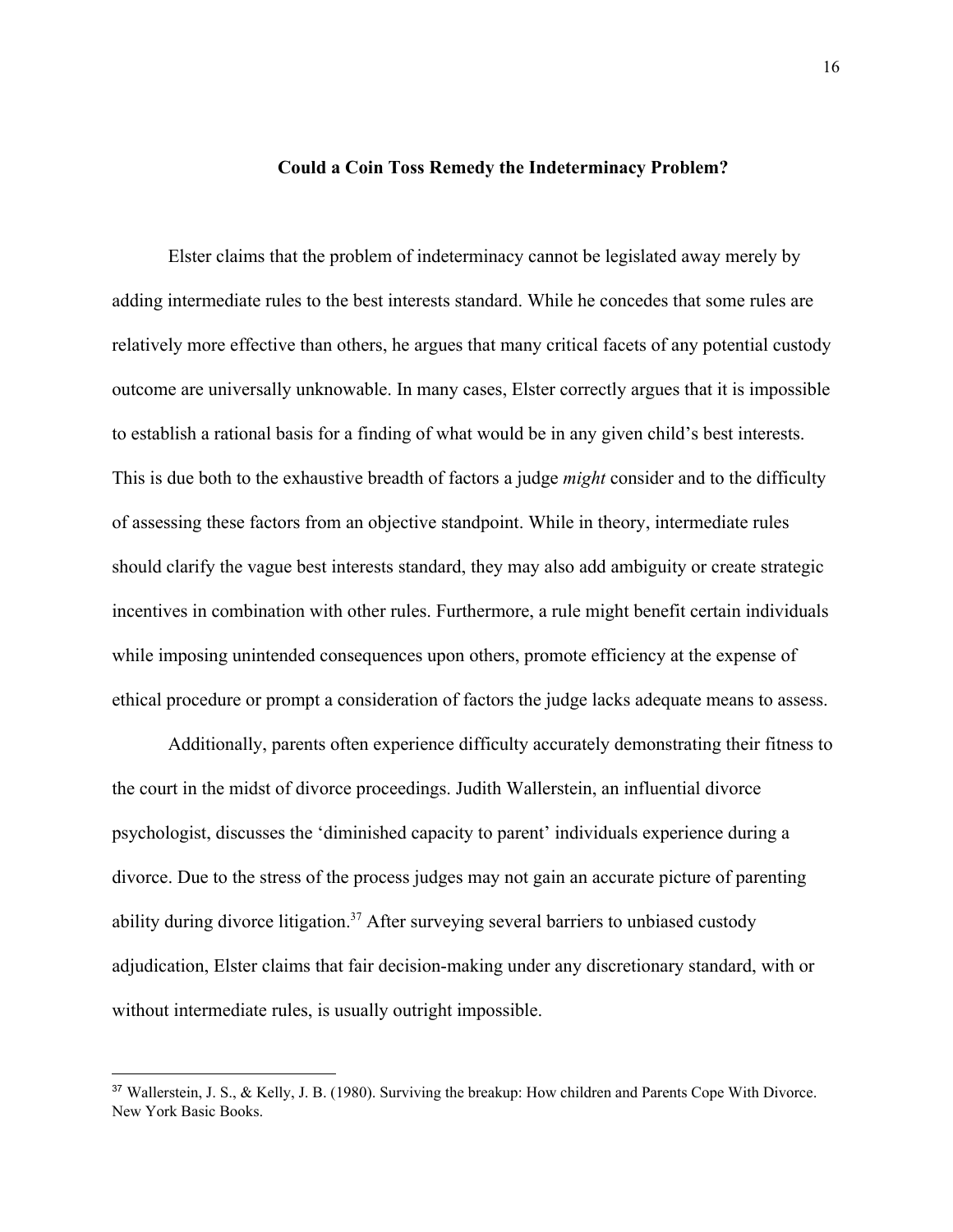#### **Could a Coin Toss Remedy the Indeterminacy Problem?**

Elster claims that the problem of indeterminacy cannot be legislated away merely by adding intermediate rules to the best interests standard. While he concedes that some rules are relatively more effective than others, he argues that many critical facets of any potential custody outcome are universally unknowable. In many cases, Elster correctly argues that it is impossible to establish a rational basis for a finding of what would be in any given child's best interests. This is due both to the exhaustive breadth of factors a judge *might* consider and to the difficulty of assessing these factors from an objective standpoint. While in theory, intermediate rules should clarify the vague best interests standard, they may also add ambiguity or create strategic incentives in combination with other rules. Furthermore, a rule might benefit certain individuals while imposing unintended consequences upon others, promote efficiency at the expense of ethical procedure or prompt a consideration of factors the judge lacks adequate means to assess.

Additionally, parents often experience difficulty accurately demonstrating their fitness to the court in the midst of divorce proceedings. Judith Wallerstein, an influential divorce psychologist, discusses the 'diminished capacity to parent' individuals experience during a divorce. Due to the stress of the process judges may not gain an accurate picture of parenting ability during divorce litigation.<sup>37</sup> After surveying several barriers to unbiased custody adjudication, Elster claims that fair decision-making under any discretionary standard, with or without intermediate rules, is usually outright impossible.

<sup>37</sup> Wallerstein, J. S., & Kelly, J. B. (1980). Surviving the breakup: How children and Parents Cope With Divorce. New York Basic Books.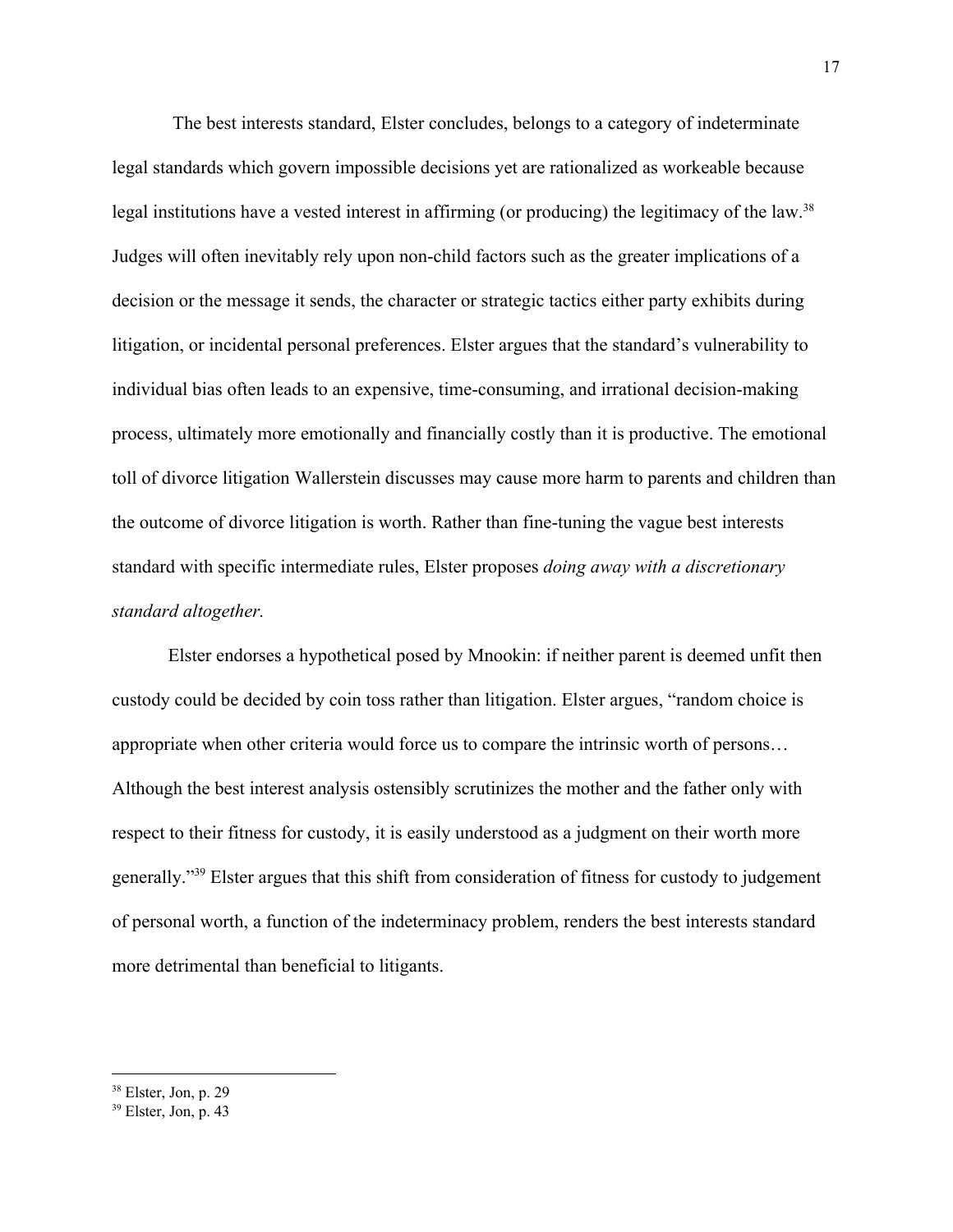The best interests standard, Elster concludes, belongs to a category of indeterminate legal standards which govern impossible decisions yet are rationalized as workeable because legal institutions have a vested interest in affirming (or producing) the legitimacy of the law.<sup>38</sup> Judges will often inevitably rely upon non-child factors such as the greater implications of a decision or the message it sends, the character or strategic tactics either party exhibits during litigation, or incidental personal preferences. Elster argues that the standard's vulnerability to individual bias often leads to an expensive, time-consuming, and irrational decision-making process, ultimately more emotionally and financially costly than it is productive. The emotional toll of divorce litigation Wallerstein discusses may cause more harm to parents and children than the outcome of divorce litigation is worth. Rather than fine-tuning the vague best interests standard with specific intermediate rules, Elster proposes *doing away with a discretionary standard altogether.*

Elster endorses a hypothetical posed by Mnookin: if neither parent is deemed unfit then custody could be decided by coin toss rather than litigation. Elster argues, "random choice is appropriate when other criteria would force us to compare the intrinsic worth of persons… Although the best interest analysis ostensibly scrutinizes the mother and the father only with respect to their fitness for custody, it is easily understood as a judgment on their worth more generally."<sup>39</sup> Elster argues that this shift from consideration of fitness for custody to judgement of personal worth, a function of the indeterminacy problem, renders the best interests standard more detrimental than beneficial to litigants.

 $38$  Elster, Jon, p. 29

 $39$  Elster, Jon, p. 43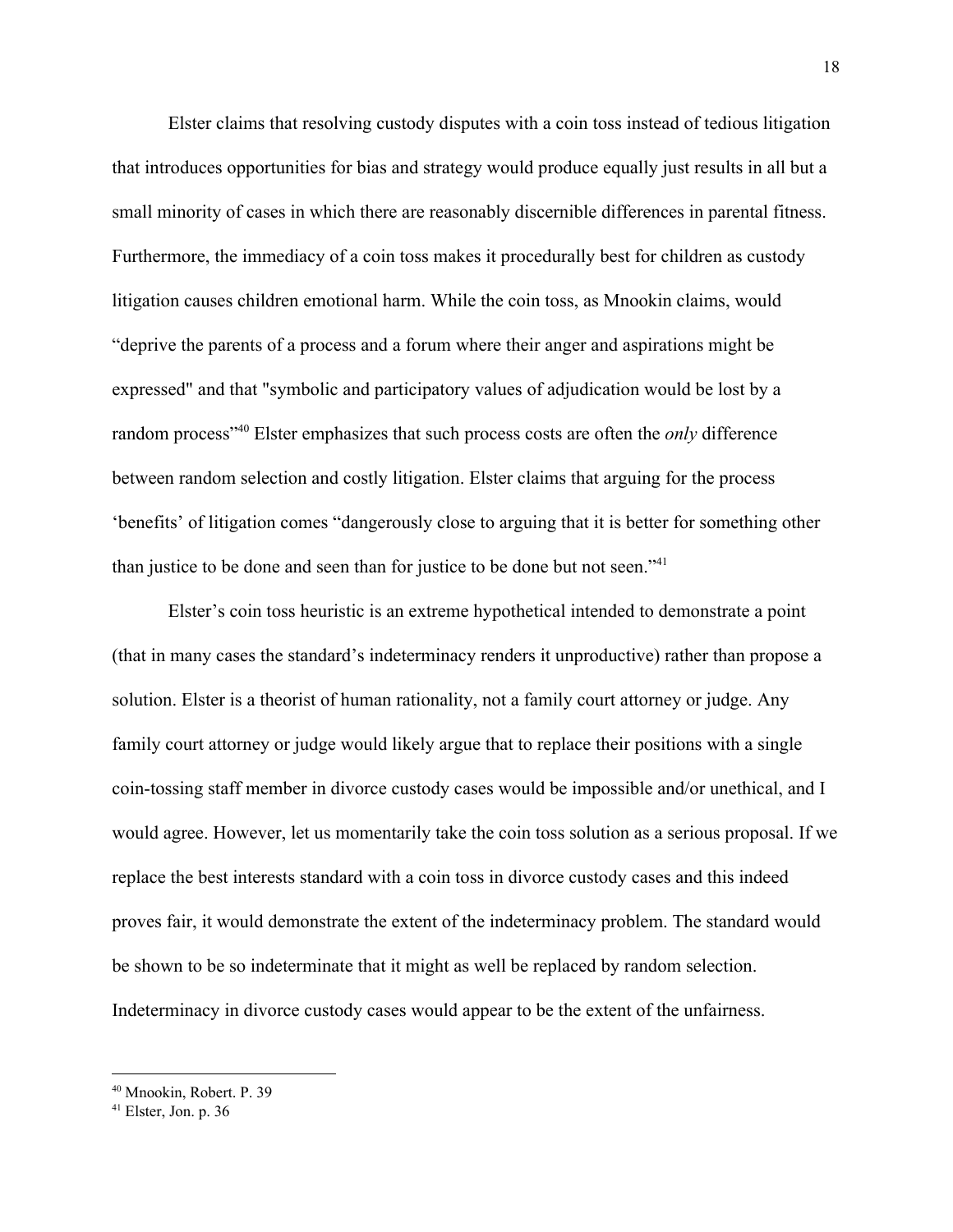Elster claims that resolving custody disputes with a coin toss instead of tedious litigation that introduces opportunities for bias and strategy would produce equally just results in all but a small minority of cases in which there are reasonably discernible differences in parental fitness. Furthermore, the immediacy of a coin toss makes it procedurally best for children as custody litigation causes children emotional harm. While the coin toss, as Mnookin claims, would "deprive the parents of a process and a forum where their anger and aspirations might be expressed" and that "symbolic and participatory values of adjudication would be lost by a random process<sup>"40</sup> Elster emphasizes that such process costs are often the *only* difference between random selection and costly litigation. Elster claims that arguing for the process 'benefits' of litigation comes "dangerously close to arguing that it is better for something other than justice to be done and seen than for justice to be done but not seen."<sup>41</sup>

Elster's coin toss heuristic is an extreme hypothetical intended to demonstrate a point (that in many cases the standard's indeterminacy renders it unproductive) rather than propose a solution. Elster is a theorist of human rationality, not a family court attorney or judge. Any family court attorney or judge would likely argue that to replace their positions with a single coin-tossing staff member in divorce custody cases would be impossible and/or unethical, and I would agree. However, let us momentarily take the coin toss solution as a serious proposal. If we replace the best interests standard with a coin toss in divorce custody cases and this indeed proves fair, it would demonstrate the extent of the indeterminacy problem. The standard would be shown to be so indeterminate that it might as well be replaced by random selection. Indeterminacy in divorce custody cases would appear to be the extent of the unfairness.

<sup>40</sup> Mnookin, Robert. P. 39

<sup>41</sup> Elster, Jon. p. 36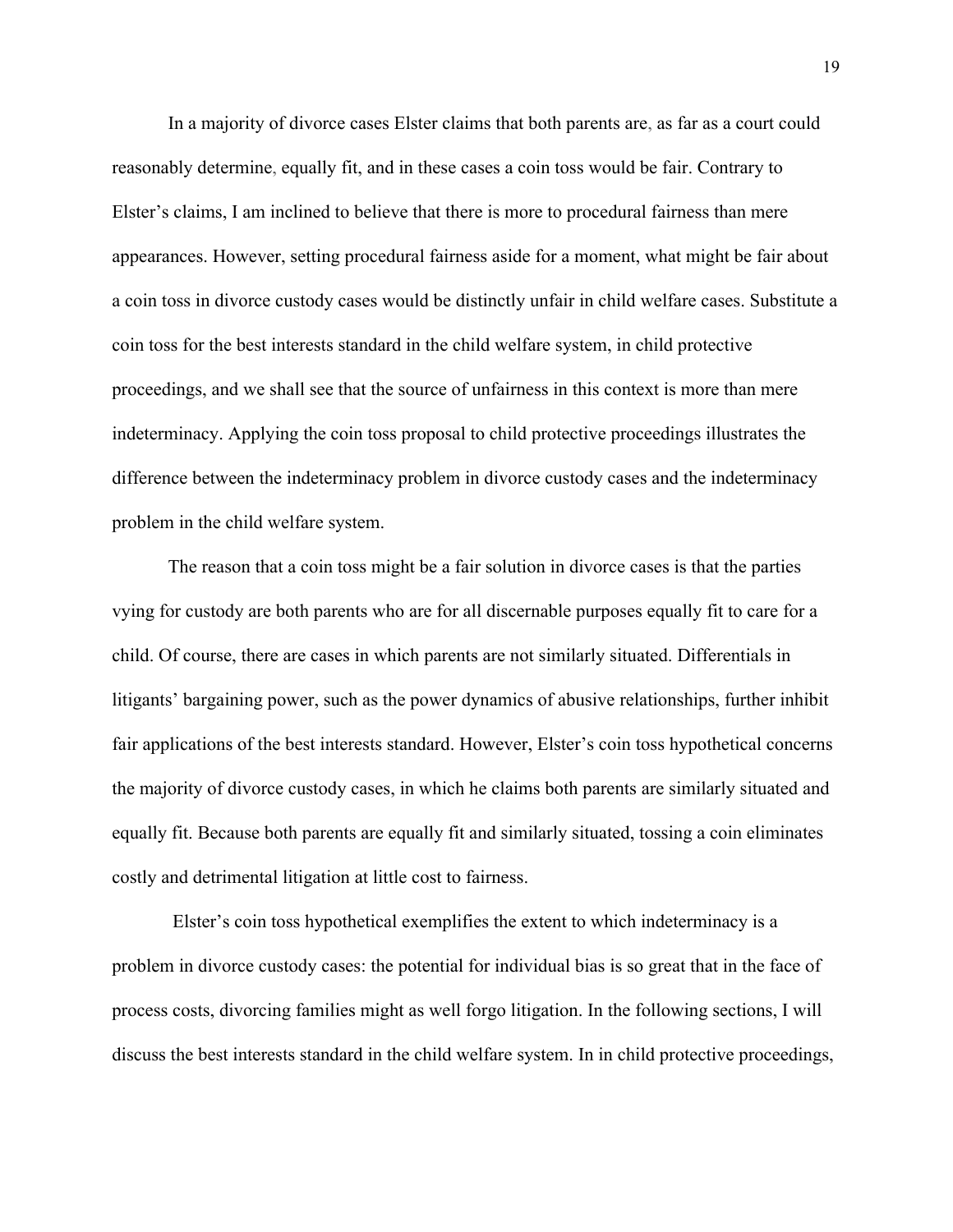In a majority of divorce cases Elster claims that both parents are, as far as a court could reasonably determine, equally fit, and in these cases a coin toss would be fair. Contrary to Elster's claims, I am inclined to believe that there is more to procedural fairness than mere appearances. However, setting procedural fairness aside for a moment, what might be fair about a coin toss in divorce custody cases would be distinctly unfair in child welfare cases. Substitute a coin toss for the best interests standard in the child welfare system, in child protective proceedings, and we shall see that the source of unfairness in this context is more than mere indeterminacy. Applying the coin toss proposal to child protective proceedings illustrates the difference between the indeterminacy problem in divorce custody cases and the indeterminacy problem in the child welfare system.

The reason that a coin toss might be a fair solution in divorce cases is that the parties vying for custody are both parents who are for all discernable purposes equally fit to care for a child. Of course, there are cases in which parents are not similarly situated. Differentials in litigants' bargaining power, such as the power dynamics of abusive relationships, further inhibit fair applications of the best interests standard. However, Elster's coin toss hypothetical concerns the majority of divorce custody cases, in which he claims both parents are similarly situated and equally fit. Because both parents are equally fit and similarly situated, tossing a coin eliminates costly and detrimental litigation at little cost to fairness.

 Elster's coin toss hypothetical exemplifies the extent to which indeterminacy is a problem in divorce custody cases: the potential for individual bias is so great that in the face of process costs, divorcing families might as well forgo litigation. In the following sections, I will discuss the best interests standard in the child welfare system. In in child protective proceedings,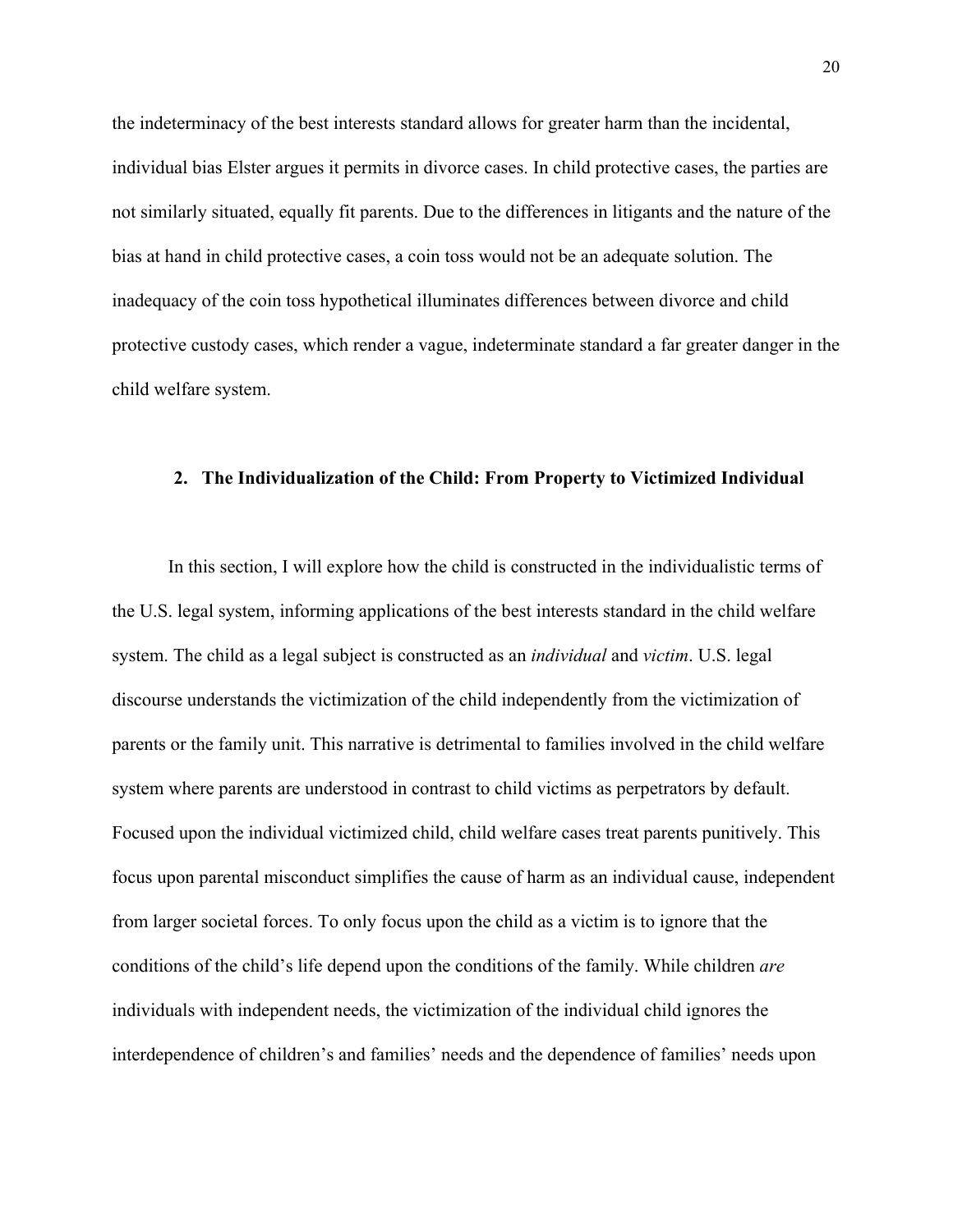the indeterminacy of the best interests standard allows for greater harm than the incidental, individual bias Elster argues it permits in divorce cases. In child protective cases, the parties are not similarly situated, equally fit parents. Due to the differences in litigants and the nature of the bias at hand in child protective cases, a coin toss would not be an adequate solution. The inadequacy of the coin toss hypothetical illuminates differences between divorce and child protective custody cases, which render a vague, indeterminate standard a far greater danger in the child welfare system.

### **2. The Individualization of the Child: From Property to Victimized Individual**

In this section, I will explore how the child is constructed in the individualistic terms of the U.S. legal system, informing applications of the best interests standard in the child welfare system. The child as a legal subject is constructed as an *individual* and *victim*. U.S. legal discourse understands the victimization of the child independently from the victimization of parents or the family unit. This narrative is detrimental to families involved in the child welfare system where parents are understood in contrast to child victims as perpetrators by default. Focused upon the individual victimized child, child welfare cases treat parents punitively. This focus upon parental misconduct simplifies the cause of harm as an individual cause, independent from larger societal forces. To only focus upon the child as a victim is to ignore that the conditions of the child's life depend upon the conditions of the family. While children *are* individuals with independent needs, the victimization of the individual child ignores the interdependence of children's and families' needs and the dependence of families' needs upon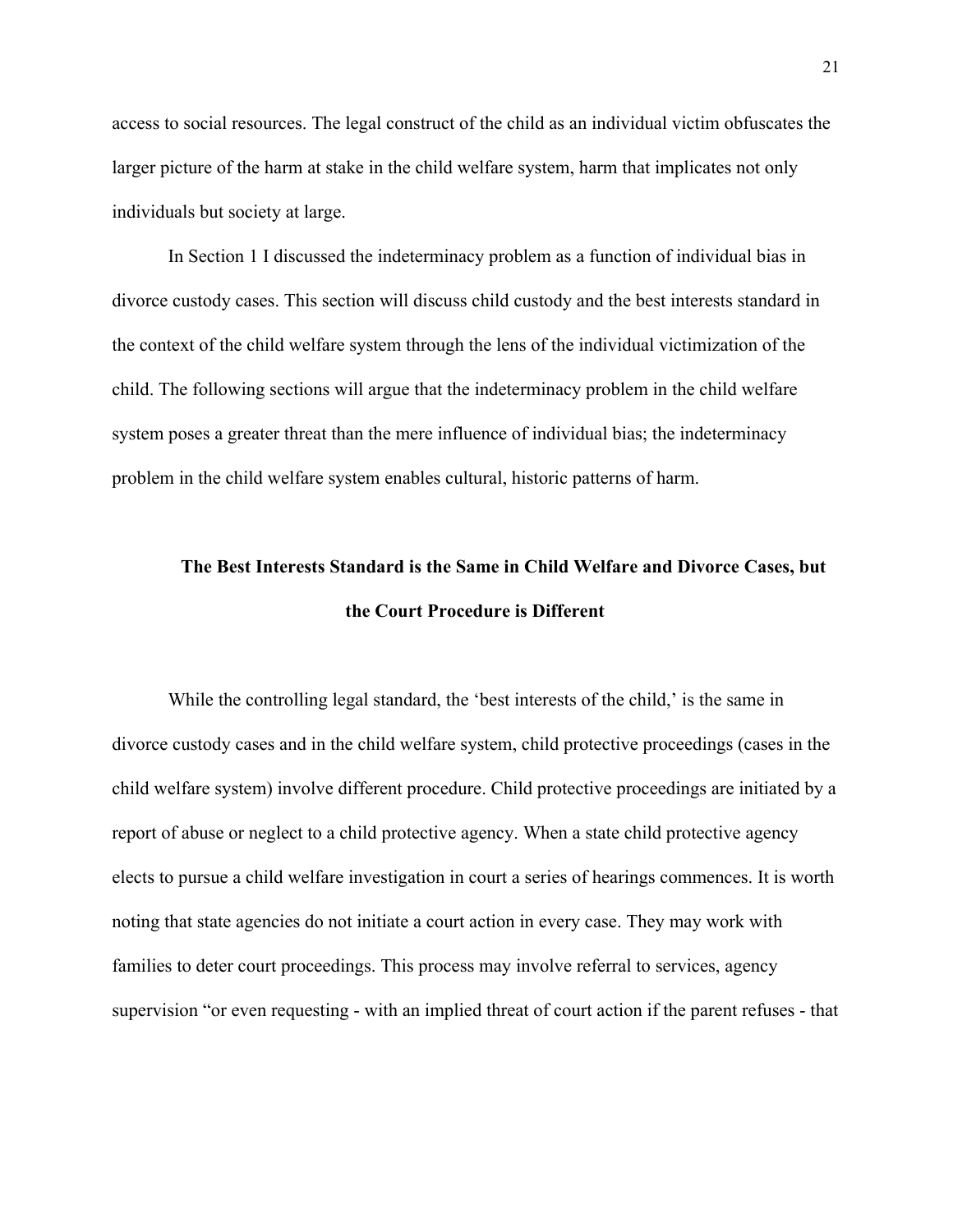access to social resources. The legal construct of the child as an individual victim obfuscates the larger picture of the harm at stake in the child welfare system, harm that implicates not only individuals but society at large.

In Section 1 I discussed the indeterminacy problem as a function of individual bias in divorce custody cases. This section will discuss child custody and the best interests standard in the context of the child welfare system through the lens of the individual victimization of the child. The following sections will argue that the indeterminacy problem in the child welfare system poses a greater threat than the mere influence of individual bias; the indeterminacy problem in the child welfare system enables cultural, historic patterns of harm.

# **The Best Interests Standard is the Same in Child Welfare and Divorce Cases, but the Court Procedure is Different**

While the controlling legal standard, the 'best interests of the child,' is the same in divorce custody cases and in the child welfare system, child protective proceedings (cases in the child welfare system) involve different procedure. Child protective proceedings are initiated by a report of abuse or neglect to a child protective agency. When a state child protective agency elects to pursue a child welfare investigation in court a series of hearings commences. It is worth noting that state agencies do not initiate a court action in every case. They may work with families to deter court proceedings. This process may involve referral to services, agency supervision "or even requesting - with an implied threat of court action if the parent refuses - that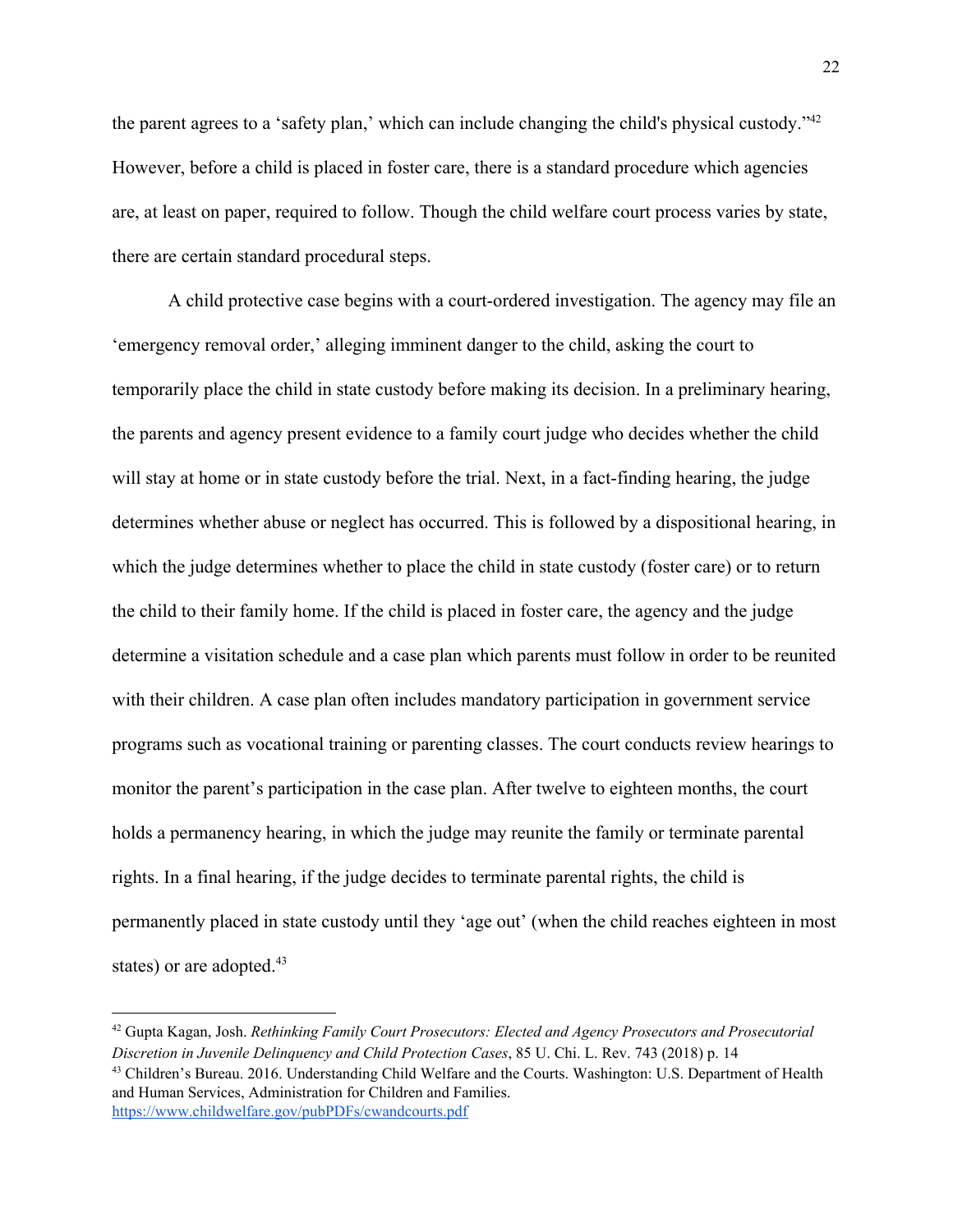the parent agrees to a 'safety plan,' which can include changing the child's physical custody."<sup>42</sup> However, before a child is placed in foster care, there is a standard procedure which agencies are, at least on paper, required to follow. Though the child welfare court process varies by state, there are certain standard procedural steps.

A child protective case begins with a court-ordered investigation. The agency may file an 'emergency removal order,' alleging imminent danger to the child, asking the court to temporarily place the child in state custody before making its decision. In a preliminary hearing, the parents and agency present evidence to a family court judge who decides whether the child will stay at home or in state custody before the trial. Next, in a fact-finding hearing, the judge determines whether abuse or neglect has occurred. This is followed by a dispositional hearing, in which the judge determines whether to place the child in state custody (foster care) or to return the child to their family home. If the child is placed in foster care, the agency and the judge determine a visitation schedule and a case plan which parents must follow in order to be reunited with their children. A case plan often includes mandatory participation in government service programs such as vocational training or parenting classes. The court conducts review hearings to monitor the parent's participation in the case plan. After twelve to eighteen months, the court holds a permanency hearing, in which the judge may reunite the family or terminate parental rights. In a final hearing, if the judge decides to terminate parental rights, the child is permanently placed in state custody until they 'age out' (when the child reaches eighteen in most states) or are adopted.<sup>43</sup>

<sup>42</sup> Gupta Kagan, Josh. *Rethinking Family Court Prosecutors: Elected and Agency Prosecutors and Prosecutorial Discretion in Juvenile Delinquency and Child Protection Cases*, 85 U. Chi. L. Rev. 743 (2018) p. 14 <sup>43</sup> Children's Bureau. 2016. Understanding Child Welfare and the Courts. Washington: U.S. Department of Health and Human Services, Administration for Children and Families. <https://www.childwelfare.gov/pubPDFs/cwandcourts.pdf>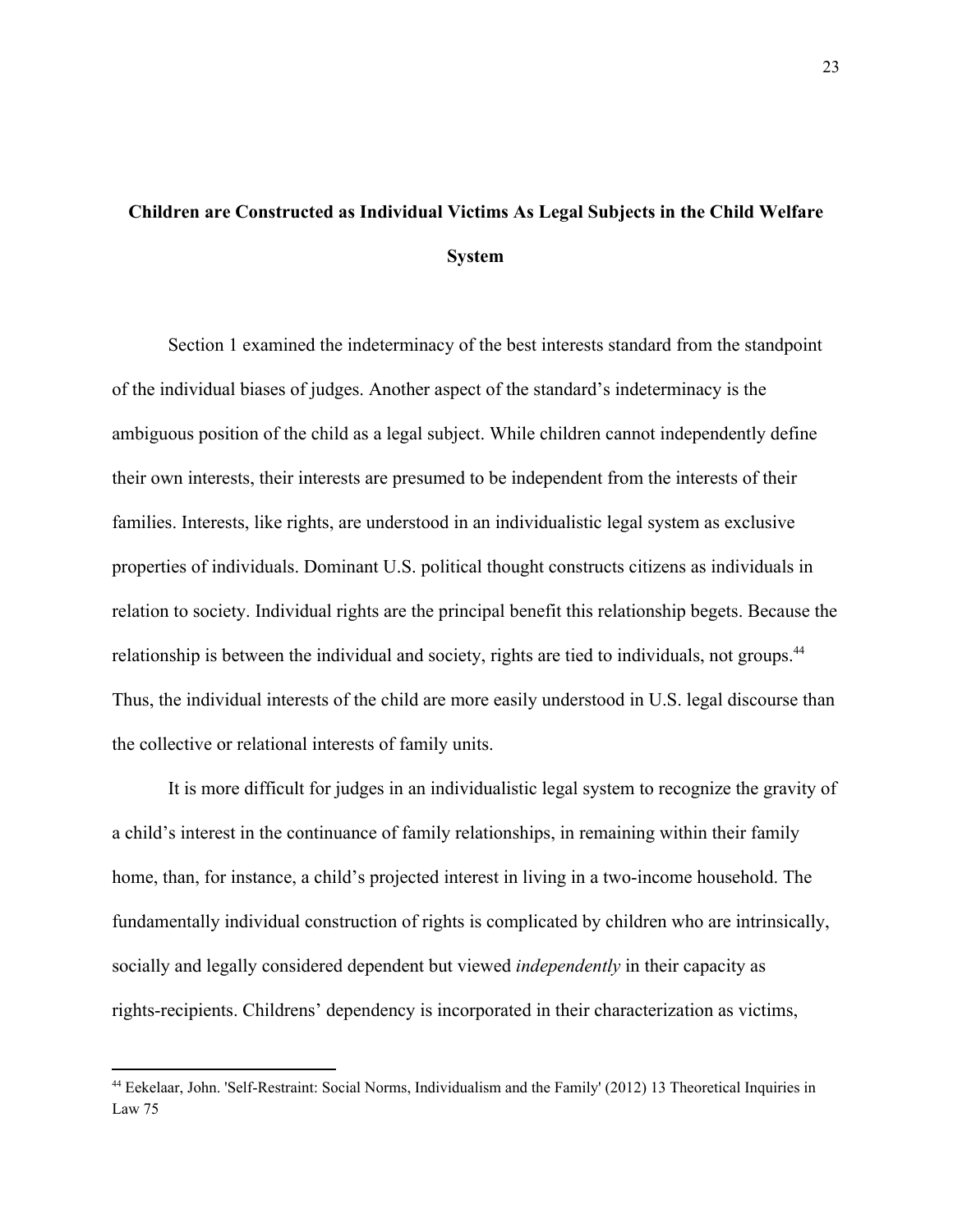### **Children are Constructed as Individual Victims As Legal Subjects in the Child Welfare System**

Section 1 examined the indeterminacy of the best interests standard from the standpoint of the individual biases of judges. Another aspect of the standard's indeterminacy is the ambiguous position of the child as a legal subject. While children cannot independently define their own interests, their interests are presumed to be independent from the interests of their families. Interests, like rights, are understood in an individualistic legal system as exclusive properties of individuals. Dominant U.S. political thought constructs citizens as individuals in relation to society. Individual rights are the principal benefit this relationship begets. Because the relationship is between the individual and society, rights are tied to individuals, not groups.<sup>44</sup> Thus, the individual interests of the child are more easily understood in U.S. legal discourse than the collective or relational interests of family units.

It is more difficult for judges in an individualistic legal system to recognize the gravity of a child's interest in the continuance of family relationships, in remaining within their family home, than, for instance, a child's projected interest in living in a two-income household. The fundamentally individual construction of rights is complicated by children who are intrinsically, socially and legally considered dependent but viewed *independently* in their capacity as rights-recipients. Childrens' dependency is incorporated in their characterization as victims,

<sup>44</sup> Eekelaar, John. 'Self-Restraint: Social Norms, Individualism and the Family' (2012) 13 Theoretical Inquiries in Law 75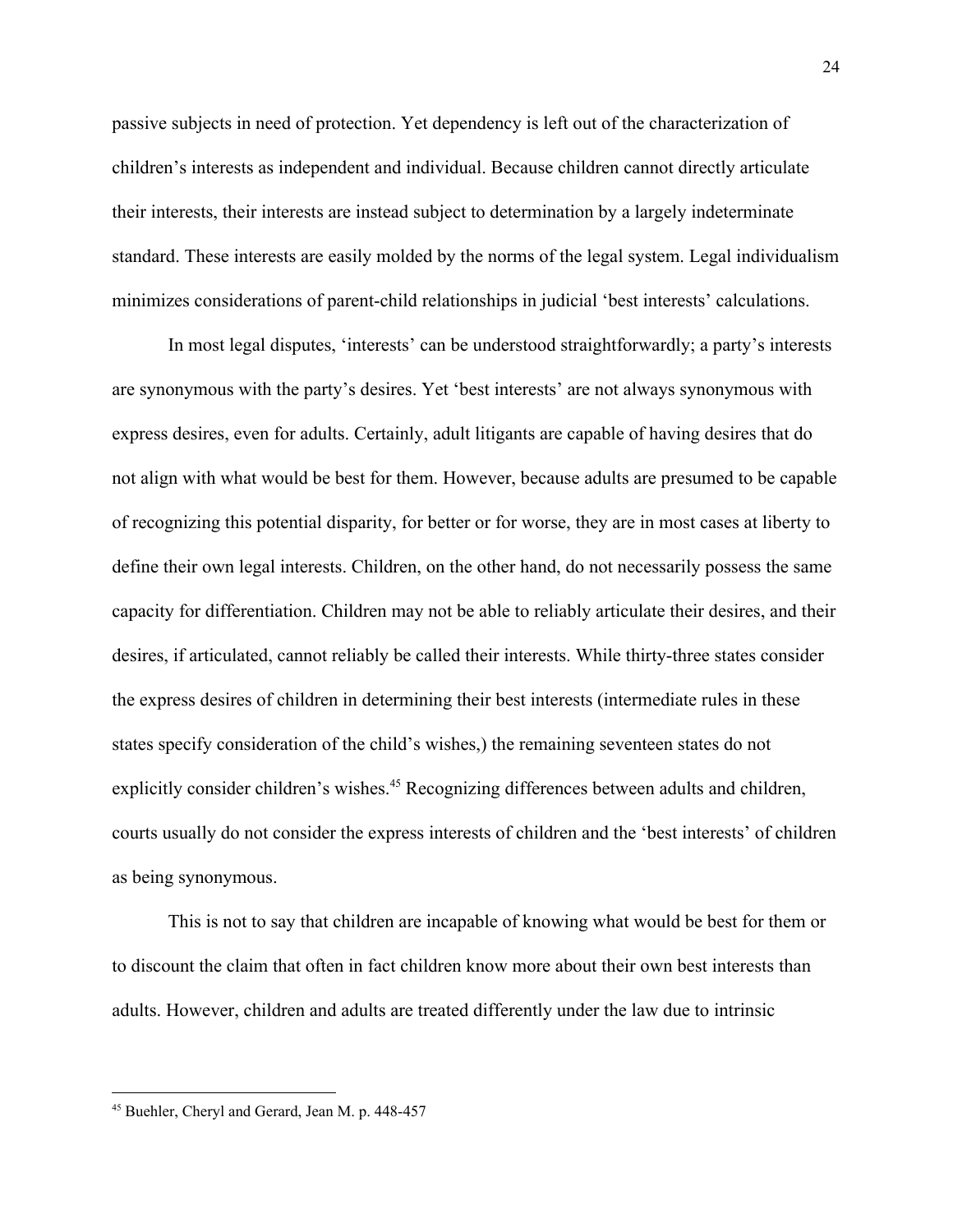passive subjects in need of protection. Yet dependency is left out of the characterization of children's interests as independent and individual. Because children cannot directly articulate their interests, their interests are instead subject to determination by a largely indeterminate standard. These interests are easily molded by the norms of the legal system. Legal individualism minimizes considerations of parent-child relationships in judicial 'best interests' calculations.

In most legal disputes, 'interests' can be understood straightforwardly; a party's interests are synonymous with the party's desires. Yet 'best interests' are not always synonymous with express desires, even for adults. Certainly, adult litigants are capable of having desires that do not align with what would be best for them. However, because adults are presumed to be capable of recognizing this potential disparity, for better or for worse, they are in most cases at liberty to define their own legal interests. Children, on the other hand, do not necessarily possess the same capacity for differentiation. Children may not be able to reliably articulate their desires, and their desires, if articulated, cannot reliably be called their interests. While thirty-three states consider the express desires of children in determining their best interests (intermediate rules in these states specify consideration of the child's wishes,) the remaining seventeen states do not explicitly consider children's wishes.<sup>45</sup> Recognizing differences between adults and children, courts usually do not consider the express interests of children and the 'best interests' of children as being synonymous.

This is not to say that children are incapable of knowing what would be best for them or to discount the claim that often in fact children know more about their own best interests than adults. However, children and adults are treated differently under the law due to intrinsic

<sup>45</sup> Buehler, Cheryl and Gerard, Jean M. p. 448-457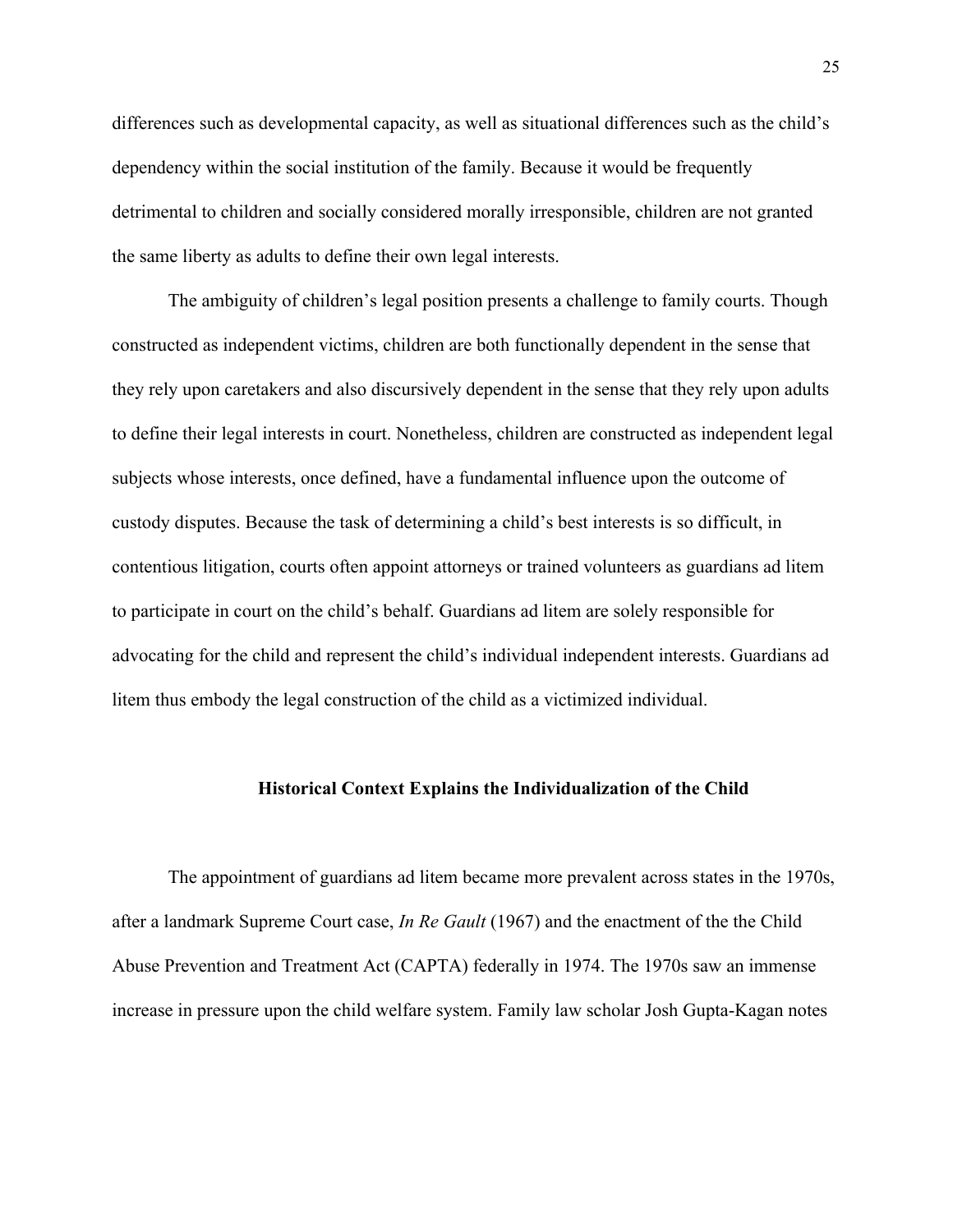differences such as developmental capacity, as well as situational differences such as the child's dependency within the social institution of the family. Because it would be frequently detrimental to children and socially considered morally irresponsible, children are not granted the same liberty as adults to define their own legal interests.

The ambiguity of children's legal position presents a challenge to family courts. Though constructed as independent victims, children are both functionally dependent in the sense that they rely upon caretakers and also discursively dependent in the sense that they rely upon adults to define their legal interests in court. Nonetheless, children are constructed as independent legal subjects whose interests, once defined, have a fundamental influence upon the outcome of custody disputes. Because the task of determining a child's best interests is so difficult, in contentious litigation, courts often appoint attorneys or trained volunteers as guardians ad litem to participate in court on the child's behalf. Guardians ad litem are solely responsible for advocating for the child and represent the child's individual independent interests. Guardians ad litem thus embody the legal construction of the child as a victimized individual.

### **Historical Context Explains the Individualization of the Child**

The appointment of guardians ad litem became more prevalent across states in the 1970s, after a landmark Supreme Court case, *In Re Gault* (1967) and the enactment of the the Child Abuse Prevention and Treatment Act (CAPTA) federally in 1974. The 1970s saw an immense increase in pressure upon the child welfare system. Family law scholar Josh Gupta-Kagan notes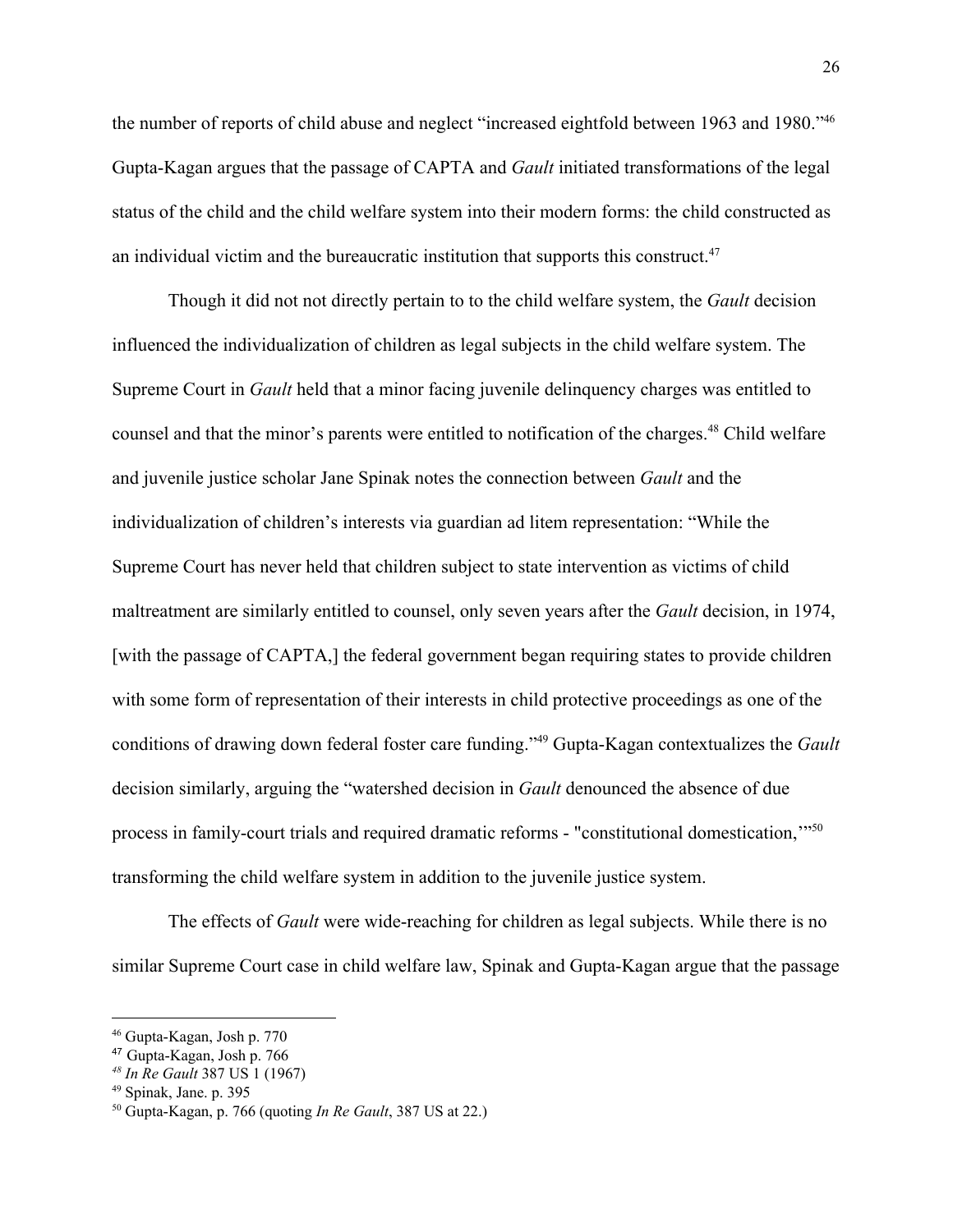the number of reports of child abuse and neglect "increased eightfold between 1963 and 1980."<sup>46</sup> Gupta-Kagan argues that the passage of CAPTA and *Gault* initiated transformations of the legal status of the child and the child welfare system into their modern forms: the child constructed as an individual victim and the bureaucratic institution that supports this construct.<sup>47</sup>

Though it did not not directly pertain to to the child welfare system, the *Gault* decision influenced the individualization of children as legal subjects in the child welfare system. The Supreme Court in *Gault* held that a minor facing juvenile delinquency charges was entitled to counsel and that the minor's parents were entitled to notification of the charges.<sup>48</sup> Child welfare and juvenile justice scholar Jane Spinak notes the connection between *Gault* and the individualization of children's interests via guardian ad litem representation: "While the Supreme Court has never held that children subject to state intervention as victims of child maltreatment are similarly entitled to counsel, only seven years after the *Gault* decision, in 1974, [with the passage of CAPTA,] the federal government began requiring states to provide children with some form of representation of their interests in child protective proceedings as one of the conditions of drawing down federal foster care funding."<sup>49</sup> Gupta-Kagan contextualizes the *Gault* decision similarly, arguing the "watershed decision in *Gault* denounced the absence of due process in family-court trials and required dramatic reforms - "constitutional domestication,'"<sup>50</sup> transforming the child welfare system in addition to the juvenile justice system.

The effects of *Gault* were wide-reaching for children as legal subjects. While there is no similar Supreme Court case in child welfare law, Spinak and Gupta-Kagan argue that the passage

<sup>46</sup> Gupta-Kagan, Josh p. 770

<sup>47</sup> Gupta-Kagan, Josh p. 766

*<sup>48</sup> In Re Gault* 387 US 1 (1967)

<sup>49</sup> Spinak, Jane. p. 395

<sup>50</sup> Gupta-Kagan, p. 766 (quoting *In Re Gault*, 387 US at 22.)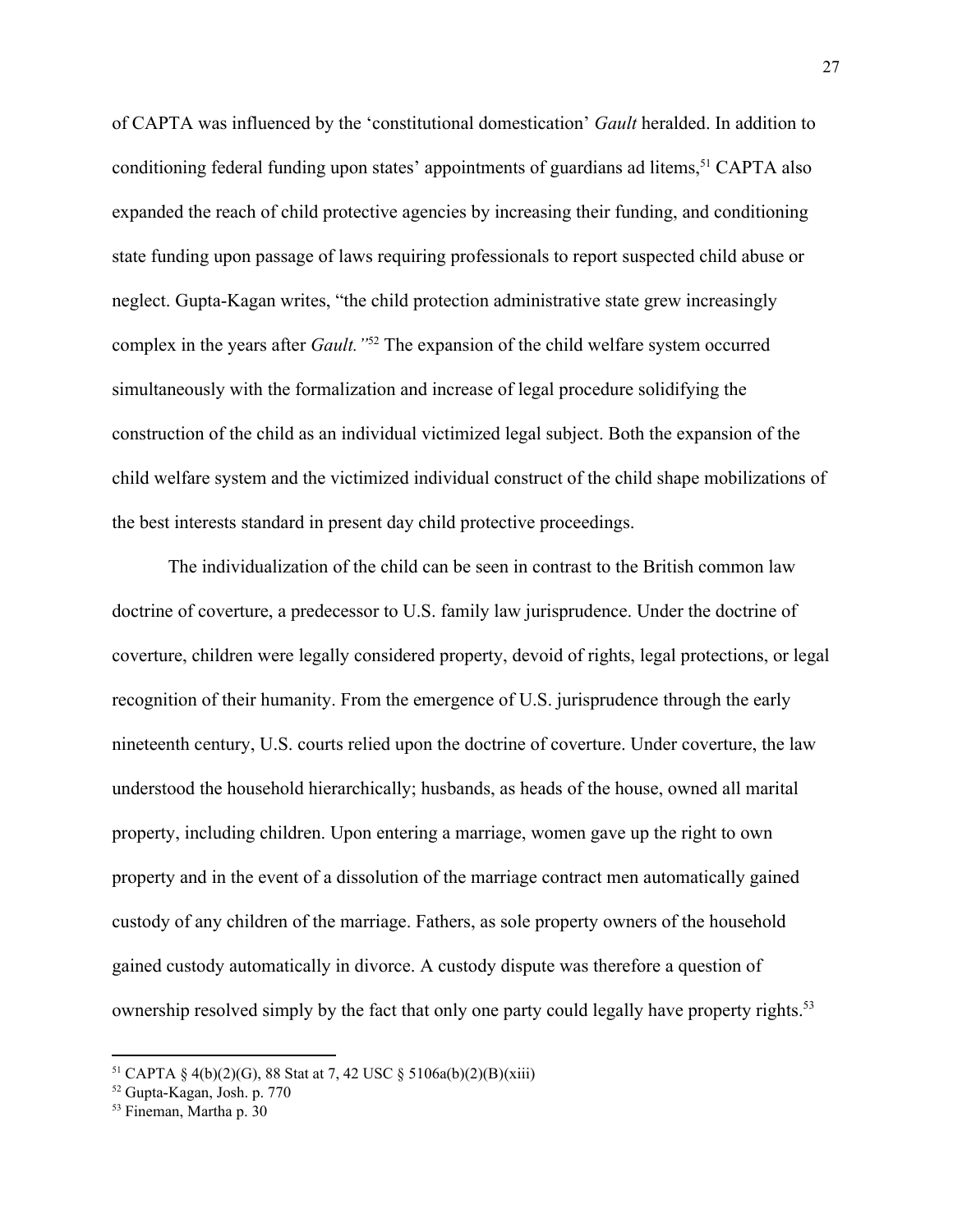of CAPTA was influenced by the 'constitutional domestication' *Gault* heralded. In addition to conditioning federal funding upon states' appointments of guardians ad litems,  $51$  CAPTA also expanded the reach of child protective agencies by increasing their funding, and conditioning state funding upon passage of laws requiring professionals to report suspected child abuse or neglect. Gupta-Kagan writes, "the child protection administrative state grew increasingly complex in the years after *Gault*.<sup>"52</sup> The expansion of the child welfare system occurred simultaneously with the formalization and increase of legal procedure solidifying the construction of the child as an individual victimized legal subject. Both the expansion of the child welfare system and the victimized individual construct of the child shape mobilizations of the best interests standard in present day child protective proceedings.

The individualization of the child can be seen in contrast to the British common law doctrine of coverture, a predecessor to U.S. family law jurisprudence. Under the doctrine of coverture, children were legally considered property, devoid of rights, legal protections, or legal recognition of their humanity. From the emergence of U.S. jurisprudence through the early nineteenth century, U.S. courts relied upon the doctrine of coverture. Under coverture, the law understood the household hierarchically; husbands, as heads of the house, owned all marital property, including children. Upon entering a marriage, women gave up the right to own property and in the event of a dissolution of the marriage contract men automatically gained custody of any children of the marriage. Fathers, as sole property owners of the household gained custody automatically in divorce. A custody dispute was therefore a question of ownership resolved simply by the fact that only one party could legally have property rights.<sup>53</sup>

<sup>&</sup>lt;sup>51</sup> CAPTA § 4(b)(2)(G), 88 Stat at 7, 42 USC § 5106a(b)(2)(B)(xiii)

<sup>52</sup> Gupta-Kagan, Josh. p. 770

<sup>53</sup> Fineman, Martha p. 30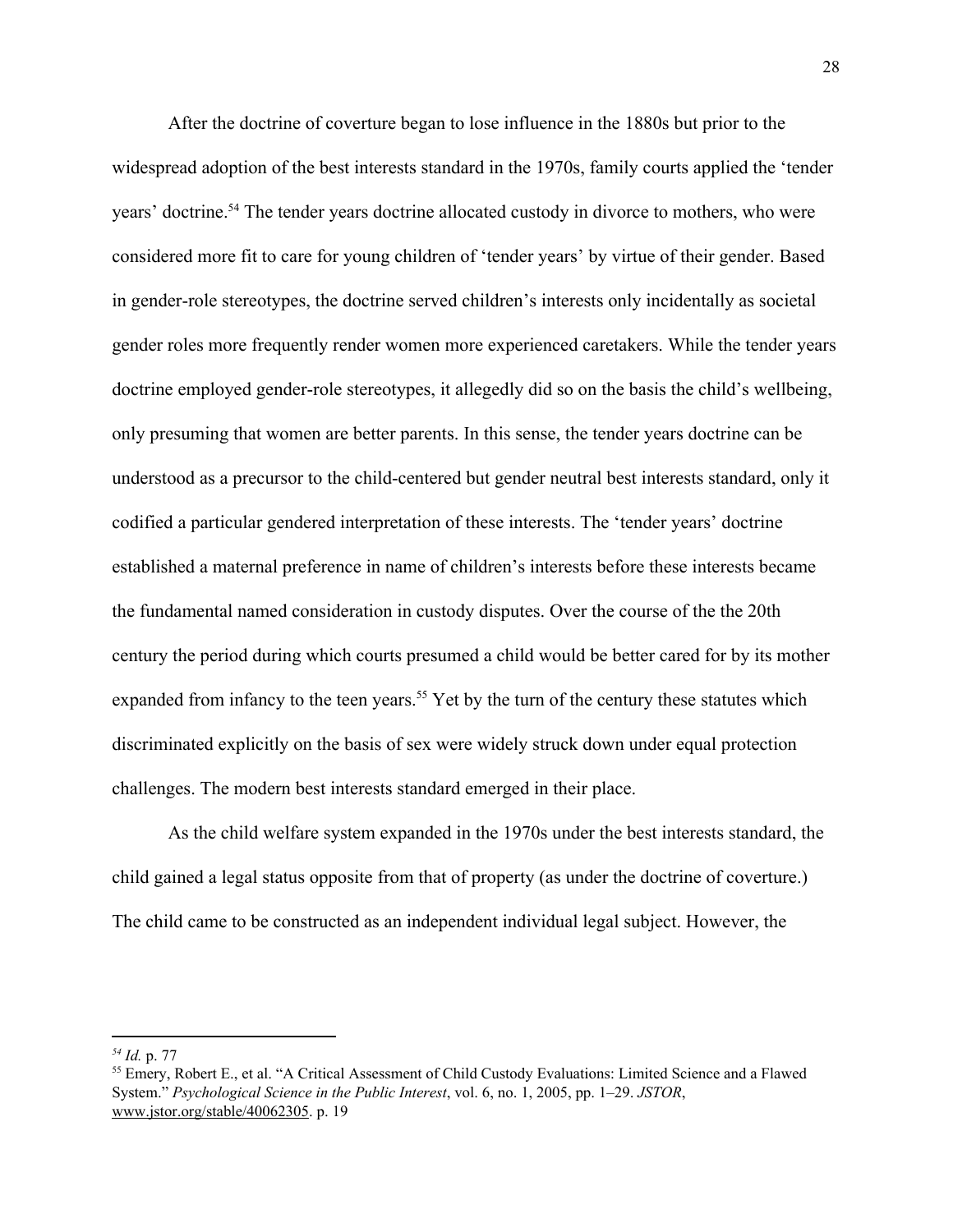After the doctrine of coverture began to lose influence in the 1880s but prior to the widespread adoption of the best interests standard in the 1970s, family courts applied the 'tender years' doctrine.<sup>54</sup> The tender years doctrine allocated custody in divorce to mothers, who were considered more fit to care for young children of 'tender years' by virtue of their gender. Based in gender-role stereotypes, the doctrine served children's interests only incidentally as societal gender roles more frequently render women more experienced caretakers. While the tender years doctrine employed gender-role stereotypes, it allegedly did so on the basis the child's wellbeing, only presuming that women are better parents. In this sense, the tender years doctrine can be understood as a precursor to the child-centered but gender neutral best interests standard, only it codified a particular gendered interpretation of these interests. The 'tender years' doctrine established a maternal preference in name of children's interests before these interests became the fundamental named consideration in custody disputes. Over the course of the the 20th century the period during which courts presumed a child would be better cared for by its mother expanded from infancy to the teen years.<sup>55</sup> Yet by the turn of the century these statutes which discriminated explicitly on the basis of sex were widely struck down under equal protection challenges. The modern best interests standard emerged in their place.

As the child welfare system expanded in the 1970s under the best interests standard, the child gained a legal status opposite from that of property (as under the doctrine of coverture.) The child came to be constructed as an independent individual legal subject. However, the

*<sup>54</sup> Id.* p. 77

<sup>55</sup> Emery, Robert E., et al. "A Critical Assessment of Child Custody Evaluations: Limited Science and a Flawed System." *Psychological Science in the Public Interest*, vol. 6, no. 1, 2005, pp. 1–29. *JSTOR*, [www.jstor.org/stable/40062305.](http://www.jstor.org/stable/40062305) p. 19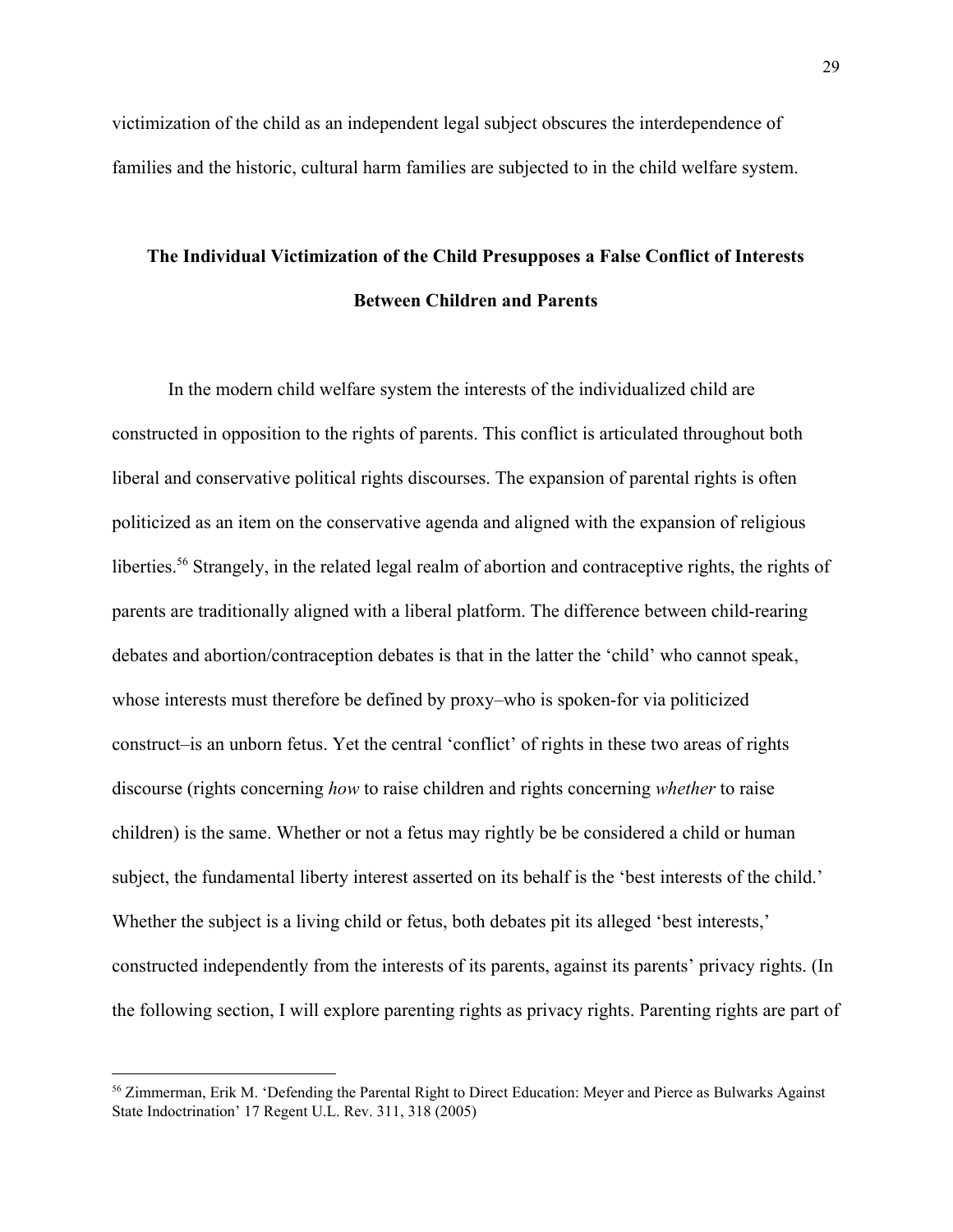victimization of the child as an independent legal subject obscures the interdependence of families and the historic, cultural harm families are subjected to in the child welfare system.

### **The Individual Victimization of the Child Presupposes a False Conflict of Interests Between Children and Parents**

In the modern child welfare system the interests of the individualized child are constructed in opposition to the rights of parents. This conflict is articulated throughout both liberal and conservative political rights discourses. The expansion of parental rights is often politicized as an item on the conservative agenda and aligned with the expansion of religious liberties.<sup>56</sup> Strangely, in the related legal realm of abortion and contraceptive rights, the rights of parents are traditionally aligned with a liberal platform. The difference between child-rearing debates and abortion/contraception debates is that in the latter the 'child' who cannot speak, whose interests must therefore be defined by proxy–who is spoken-for via politicized construct–is an unborn fetus. Yet the central 'conflict' of rights in these two areas of rights discourse (rights concerning *how* to raise children and rights concerning *whether* to raise children) is the same. Whether or not a fetus may rightly be be considered a child or human subject, the fundamental liberty interest asserted on its behalf is the 'best interests of the child.' Whether the subject is a living child or fetus, both debates pit its alleged 'best interests,' constructed independently from the interests of its parents, against its parents' privacy rights. (In the following section, I will explore parenting rights as privacy rights. Parenting rights are part of

<sup>56</sup> Zimmerman, Erik M. 'Defending the Parental Right to Direct Education: Meyer and Pierce as Bulwarks Against State Indoctrination' 17 Regent U.L. Rev. 311, 318 (2005)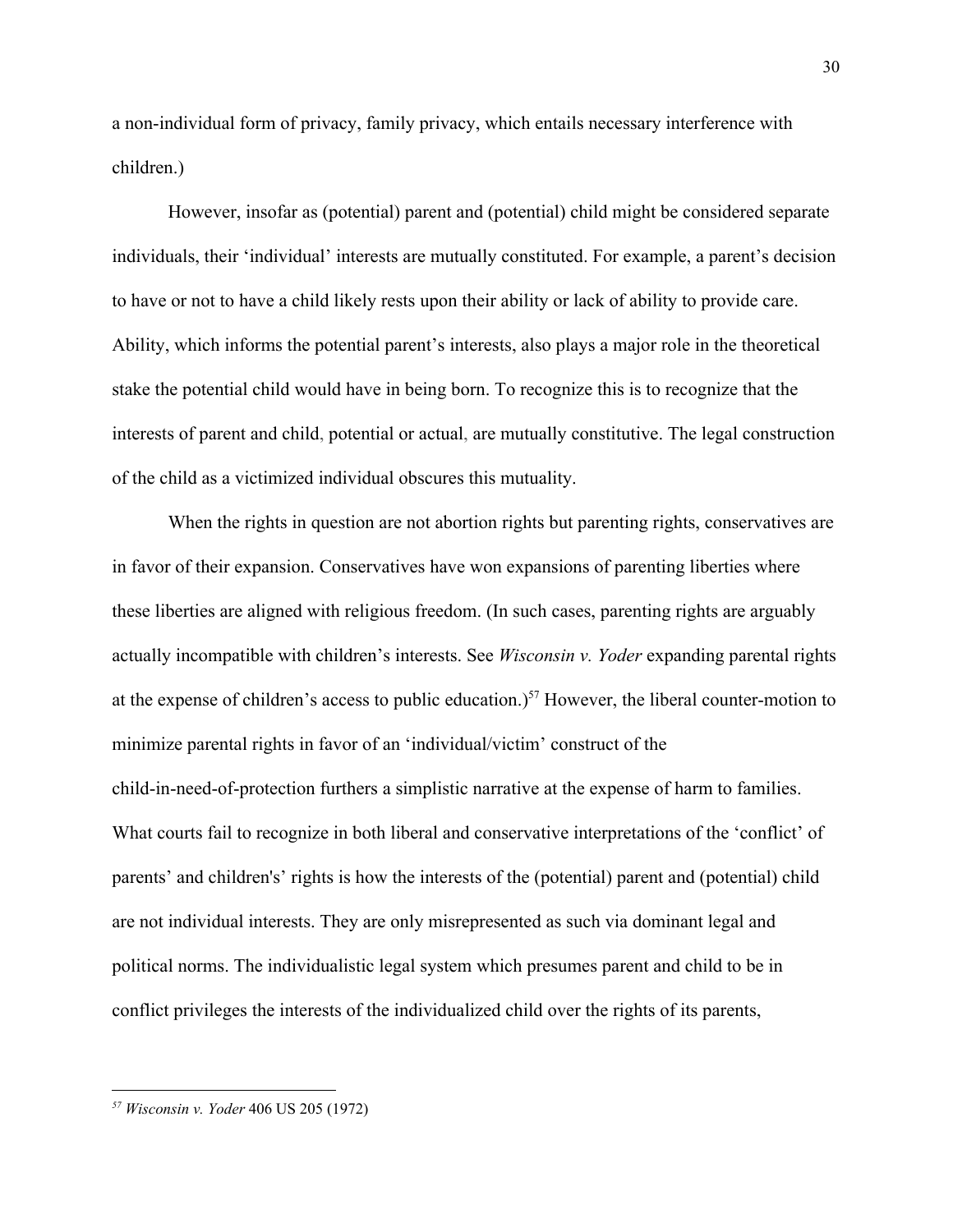a non-individual form of privacy, family privacy, which entails necessary interference with children.)

However, insofar as (potential) parent and (potential) child might be considered separate individuals, their 'individual' interests are mutually constituted. For example, a parent's decision to have or not to have a child likely rests upon their ability or lack of ability to provide care. Ability, which informs the potential parent's interests, also plays a major role in the theoretical stake the potential child would have in being born. To recognize this is to recognize that the interests of parent and child, potential or actual, are mutually constitutive. The legal construction of the child as a victimized individual obscures this mutuality.

When the rights in question are not abortion rights but parenting rights, conservatives are in favor of their expansion. Conservatives have won expansions of parenting liberties where these liberties are aligned with religious freedom. (In such cases, parenting rights are arguably actually incompatible with children's interests. See *Wisconsin v. Yoder* expanding parental rights at the expense of children's access to public education.)<sup>57</sup> However, the liberal counter-motion to minimize parental rights in favor of an 'individual/victim' construct of the child-in-need-of-protection furthers a simplistic narrative at the expense of harm to families. What courts fail to recognize in both liberal and conservative interpretations of the 'conflict' of parents' and children's' rights is how the interests of the (potential) parent and (potential) child are not individual interests. They are only misrepresented as such via dominant legal and political norms. The individualistic legal system which presumes parent and child to be in conflict privileges the interests of the individualized child over the rights of its parents,

*<sup>57</sup> Wisconsin v. Yoder* 406 US 205 (1972)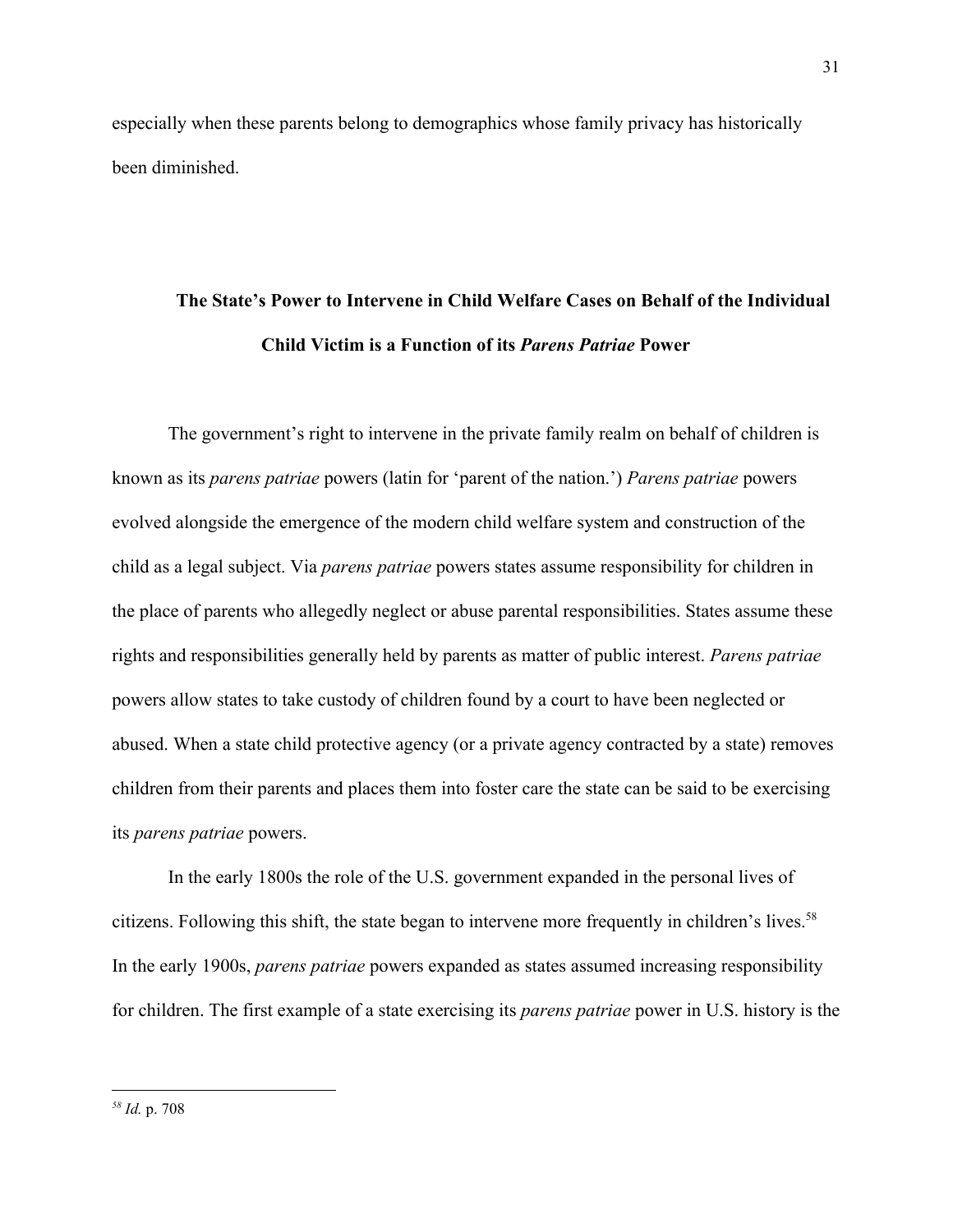especially when these parents belong to demographics whose family privacy has historically been diminished.

# **The State's Power to Intervene in Child Welfare Cases on Behalf of the Individual Child Victim is a Function of its** *Parens Patriae* **Power**

The government's right to intervene in the private family realm on behalf of children is known as its *parens patriae* powers (latin for 'parent of the nation.') *Parens patriae* powers evolved alongside the emergence of the modern child welfare system and construction of the child as a legal subject. Via *parens patriae* powers states assume responsibility for children in the place of parents who allegedly neglect or abuse parental responsibilities. States assume these rights and responsibilities generally held by parents as matter of public interest. *Parens patriae* powers allow states to take custody of children found by a court to have been neglected or abused. When a state child protective agency (or a private agency contracted by a state) removes children from their parents and places them into foster care the state can be said to be exercising its *parens patriae* powers.

In the early 1800s the role of the U.S. government expanded in the personal lives of citizens. Following this shift, the state began to intervene more frequently in children's lives.<sup>58</sup> In the early 1900s, *parens patriae* powers expanded as states assumed increasing responsibility for children. The first example of a state exercising its *parens patriae* power in U.S. history is the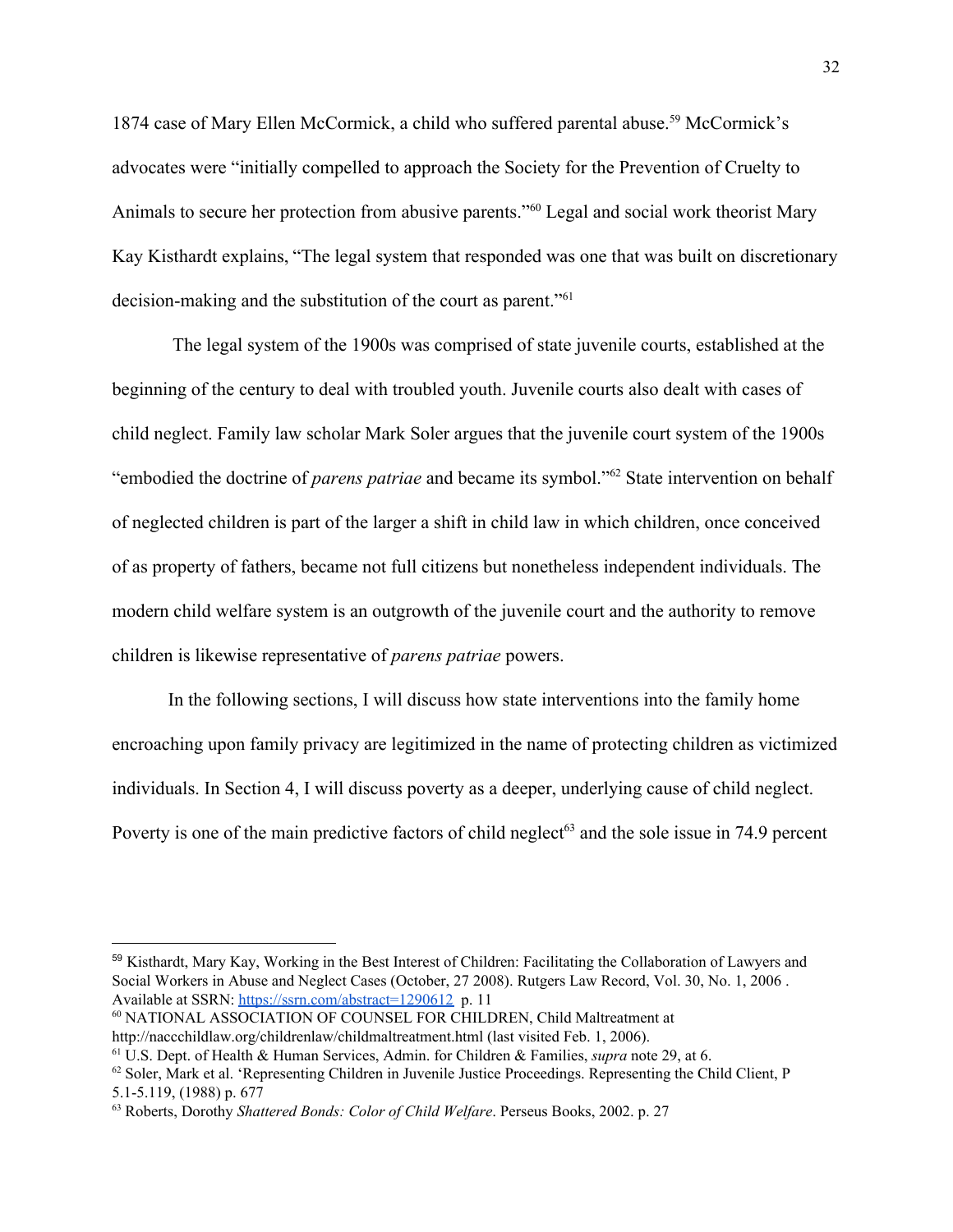1874 case of Mary Ellen McCormick, a child who suffered parental abuse.<sup>59</sup> McCormick's advocates were "initially compelled to approach the Society for the Prevention of Cruelty to Animals to secure her protection from abusive parents."<sup>60</sup> Legal and social work theorist Mary Kay Kisthardt explains, "The legal system that responded was one that was built on discretionary decision-making and the substitution of the court as parent."<sup>61</sup>

 The legal system of the 1900s was comprised of state juvenile courts, established at the beginning of the century to deal with troubled youth. Juvenile courts also dealt with cases of child neglect. Family law scholar Mark Soler argues that the juvenile court system of the 1900s "embodied the doctrine of *parens patriae* and became its symbol."<sup>62</sup> State intervention on behalf of neglected children is part of the larger a shift in child law in which children, once conceived of as property of fathers, became not full citizens but nonetheless independent individuals. The modern child welfare system is an outgrowth of the juvenile court and the authority to remove children is likewise representative of *parens patriae* powers.

In the following sections, I will discuss how state interventions into the family home encroaching upon family privacy are legitimized in the name of protecting children as victimized individuals. In Section 4, I will discuss poverty as a deeper, underlying cause of child neglect. Poverty is one of the main predictive factors of child neglect<sup>63</sup> and the sole issue in 74.9 percent

<sup>59</sup> Kisthardt, Mary Kay, Working in the Best Interest of Children: Facilitating the Collaboration of Lawyers and Social Workers in Abuse and Neglect Cases (October, 27 2008). Rutgers Law Record, Vol. 30, No. 1, 2006 . Available at SSRN: <https://ssrn.com/abstract=1290612> p. 11

<sup>60</sup> NATIONAL ASSOCIATION OF COUNSEL FOR CHILDREN, Child Maltreatment at http://naccchildlaw.org/childrenlaw/childmaltreatment.html (last visited Feb. 1, 2006).

<sup>61</sup> U.S. Dept. of Health & Human Services, Admin. for Children & Families, *supra* note 29, at 6.

 $62$  Soler, Mark et al. 'Representing Children in Juvenile Justice Proceedings. Representing the Child Client, P 5.1-5.119, (1988) p. 677

<sup>63</sup> Roberts, Dorothy *Shattered Bonds: Color of Child Welfare*. Perseus Books, 2002. p. 27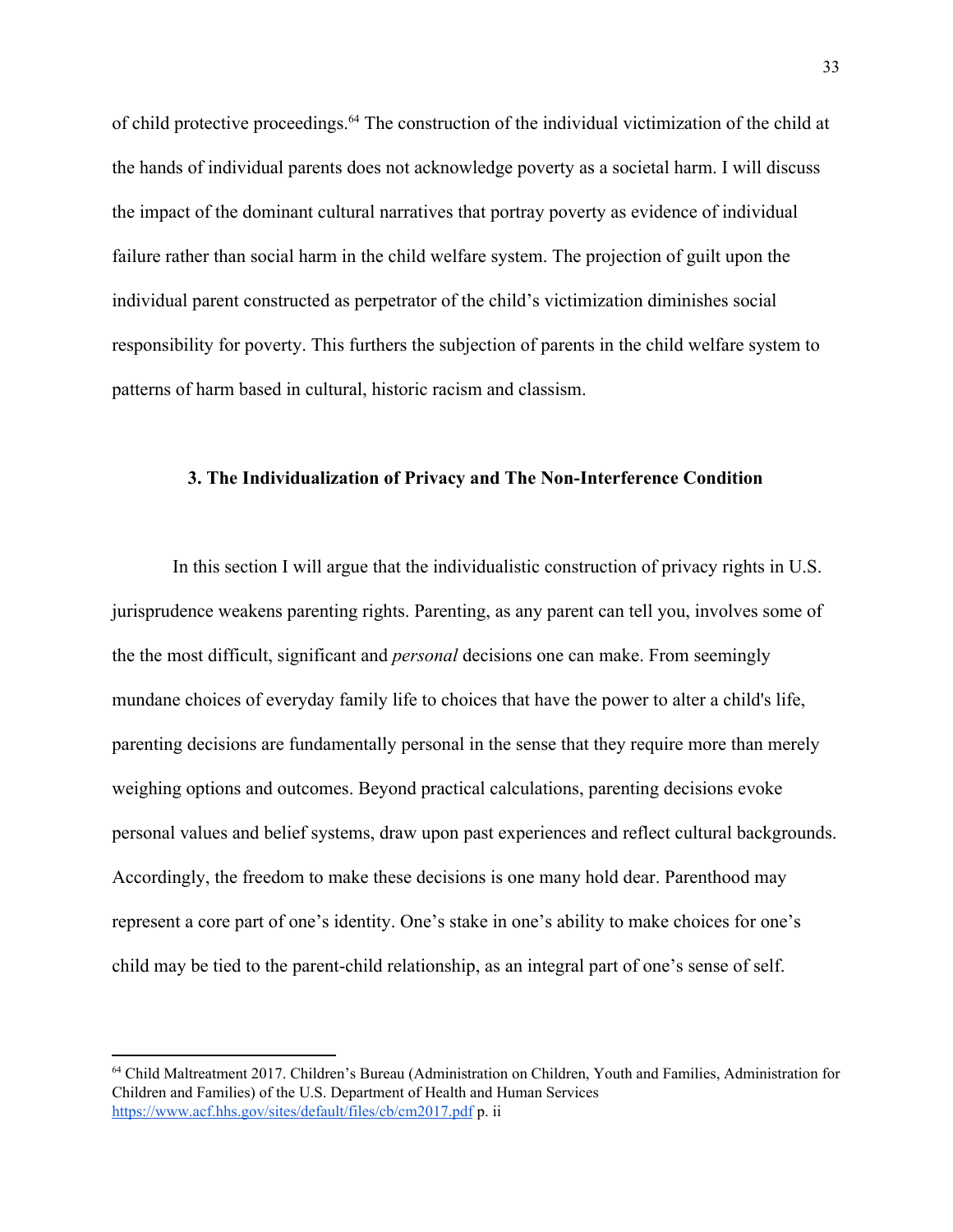of child protective proceedings.<sup>64</sup> The construction of the individual victimization of the child at the hands of individual parents does not acknowledge poverty as a societal harm. I will discuss the impact of the dominant cultural narratives that portray poverty as evidence of individual failure rather than social harm in the child welfare system. The projection of guilt upon the individual parent constructed as perpetrator of the child's victimization diminishes social responsibility for poverty. This furthers the subjection of parents in the child welfare system to patterns of harm based in cultural, historic racism and classism.

### **3. The Individualization of Privacy and The Non-Interference Condition**

 In this section I will argue that the individualistic construction of privacy rights in U.S. jurisprudence weakens parenting rights. Parenting, as any parent can tell you, involves some of the the most difficult, significant and *personal* decisions one can make. From seemingly mundane choices of everyday family life to choices that have the power to alter a child's life, parenting decisions are fundamentally personal in the sense that they require more than merely weighing options and outcomes. Beyond practical calculations, parenting decisions evoke personal values and belief systems, draw upon past experiences and reflect cultural backgrounds. Accordingly, the freedom to make these decisions is one many hold dear. Parenthood may represent a core part of one's identity. One's stake in one's ability to make choices for one's child may be tied to the parent-child relationship, as an integral part of one's sense of self.

<sup>64</sup> Child Maltreatment 2017. Children's Bureau (Administration on Children, Youth and Families, Administration for Children and Families) of the U.S. Department of Health and Human Services <https://www.acf.hhs.gov/sites/default/files/cb/cm2017.pdf> p. ii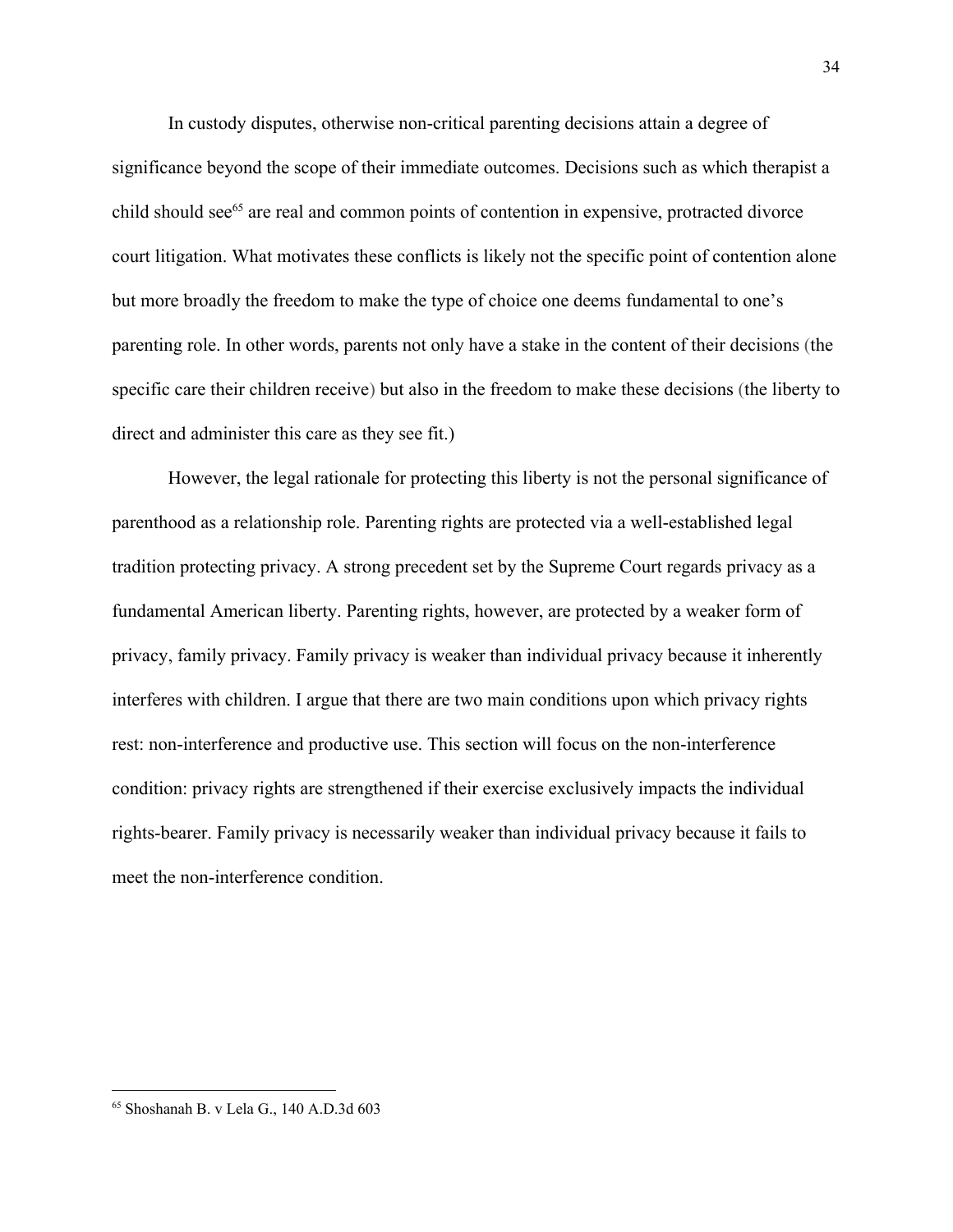In custody disputes, otherwise non-critical parenting decisions attain a degree of significance beyond the scope of their immediate outcomes. Decisions such as which therapist a child should see $<sup>65</sup>$  are real and common points of contention in expensive, protracted divorce</sup> court litigation. What motivates these conflicts is likely not the specific point of contention alone but more broadly the freedom to make the type of choice one deems fundamental to one's parenting role. In other words, parents not only have a stake in the content of their decisions (the specific care their children receive) but also in the freedom to make these decisions (the liberty to direct and administer this care as they see fit.)

However, the legal rationale for protecting this liberty is not the personal significance of parenthood as a relationship role. Parenting rights are protected via a well-established legal tradition protecting privacy. A strong precedent set by the Supreme Court regards privacy as a fundamental American liberty. Parenting rights, however, are protected by a weaker form of privacy, family privacy. Family privacy is weaker than individual privacy because it inherently interferes with children. I argue that there are two main conditions upon which privacy rights rest: non-interference and productive use. This section will focus on the non-interference condition: privacy rights are strengthened if their exercise exclusively impacts the individual rights-bearer. Family privacy is necessarily weaker than individual privacy because it fails to meet the non-interference condition.

<sup>65</sup> Shoshanah B. v Lela G., 140 A.D.3d 603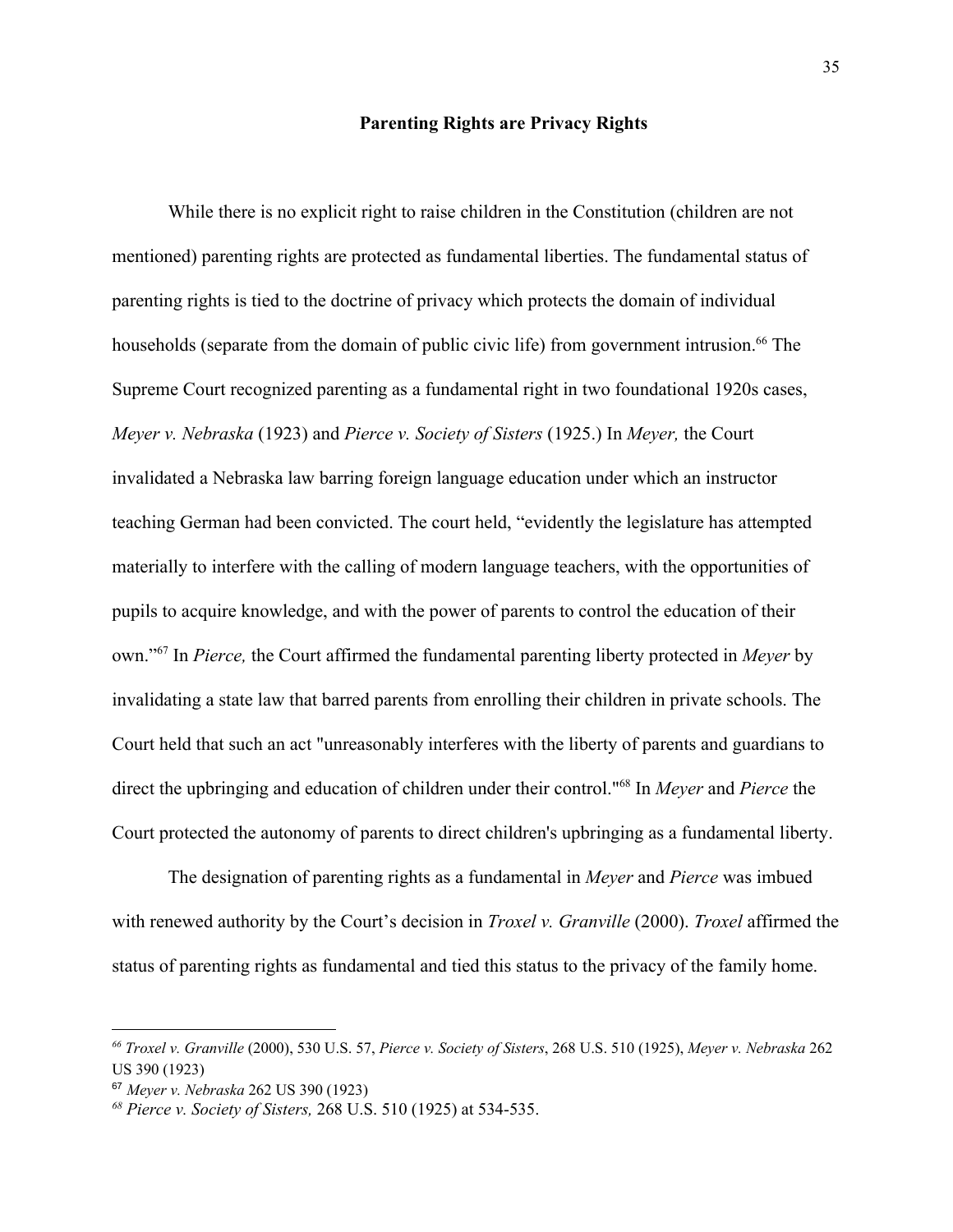### **Parenting Rights are Privacy Rights**

While there is no explicit right to raise children in the Constitution (children are not mentioned) parenting rights are protected as fundamental liberties. The fundamental status of parenting rights is tied to the doctrine of privacy which protects the domain of individual households (separate from the domain of public civic life) from government intrusion.<sup>66</sup> The Supreme Court recognized parenting as a fundamental right in two foundational 1920s cases, *Meyer v. Nebraska* (1923) and *Pierce v. Society of Sisters* (1925.) In *Meyer,* the Court invalidated a Nebraska law barring foreign language education under which an instructor teaching German had been convicted. The court held, "evidently the legislature has attempted materially to interfere with the calling of modern language teachers, with the opportunities of pupils to acquire knowledge, and with the power of parents to control the education of their own."<sup>67</sup> In *Pierce*, the Court affirmed the fundamental parenting liberty protected in *Meyer* by invalidating a state law that barred parents from enrolling their children in private schools. The Court held that such an act "unreasonably interferes with the liberty of parents and guardians to direct the upbringing and education of children under their control."<sup>68</sup> In *Meyer* and *Pierce* the Court protected the autonomy of parents to direct children's upbringing as a fundamental liberty.

The designation of parenting rights as a fundamental in *Meyer* and *Pierce* was imbued with renewed authority by the Court's decision in *Troxel v. Granville* (2000). *Troxel* affirmed the status of parenting rights as fundamental and tied this status to the privacy of the family home.

*<sup>66</sup> Troxel v. Granville* (2000), 530 U.S. 57, *Pierce v. Society of Sisters*, 268 U.S. 510 (1925), *Meyer v. Nebraska* 262 US 390 (1923)

<sup>67</sup> *Meyer v. Nebraska* 262 US 390 (1923)

*<sup>68</sup> Pierce v. Society of Sisters,* 268 U.S. 510 (1925) at 534-535.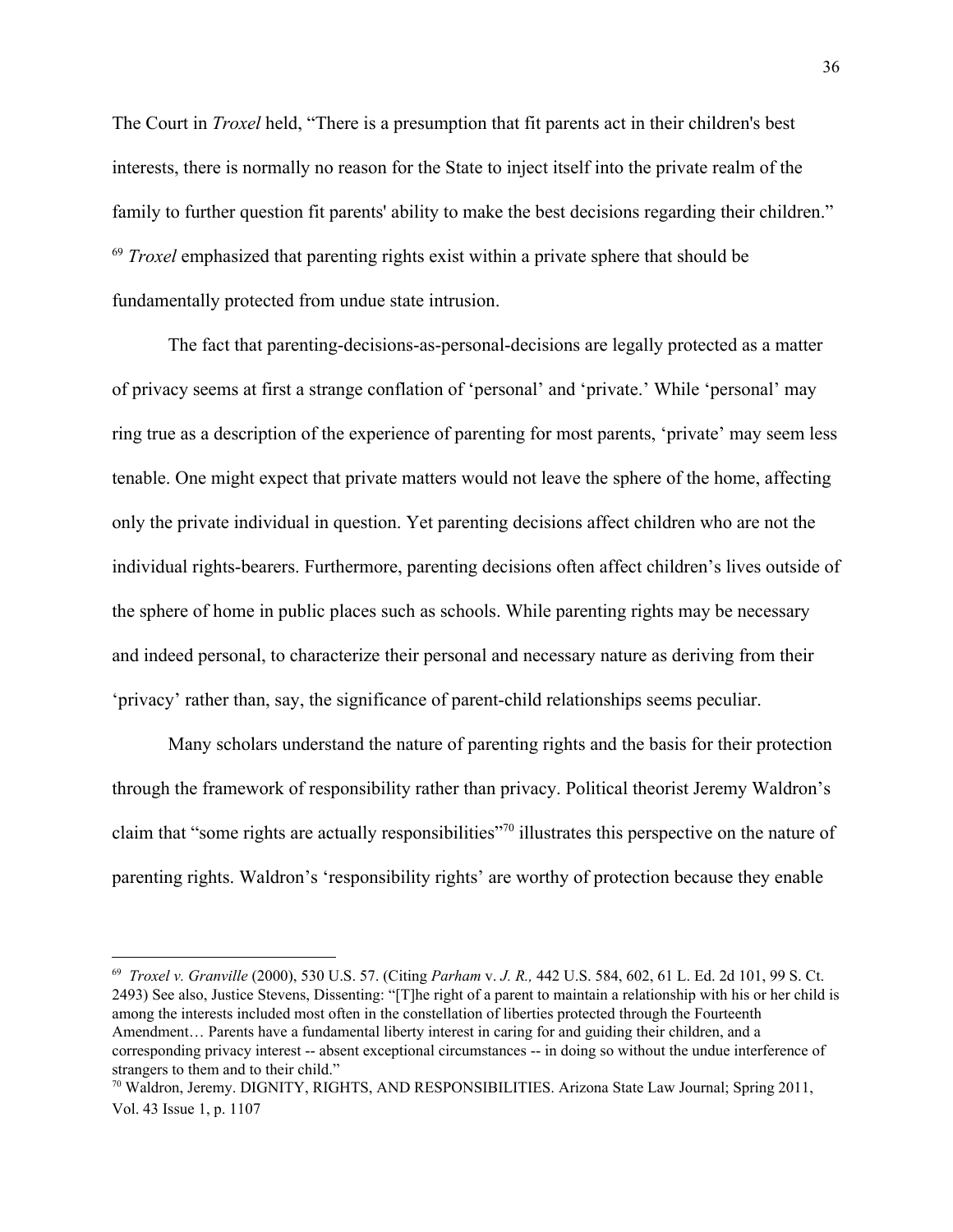The Court in *Troxel* held, "There is a presumption that fit parents act in their children's best interests, there is normally no reason for the State to inject itself into the private realm of the family to further question fit parents' ability to make the best decisions regarding their children." <sup>69</sup> Troxel emphasized that parenting rights exist within a private sphere that should be fundamentally protected from undue state intrusion.

The fact that parenting-decisions-as-personal-decisions are legally protected as a matter of privacy seems at first a strange conflation of 'personal' and 'private.' While 'personal' may ring true as a description of the experience of parenting for most parents, 'private' may seem less tenable. One might expect that private matters would not leave the sphere of the home, affecting only the private individual in question. Yet parenting decisions affect children who are not the individual rights-bearers. Furthermore, parenting decisions often affect children's lives outside of the sphere of home in public places such as schools. While parenting rights may be necessary and indeed personal, to characterize their personal and necessary nature as deriving from their 'privacy' rather than, say, the significance of parent-child relationships seems peculiar.

Many scholars understand the nature of parenting rights and the basis for their protection through the framework of responsibility rather than privacy. Political theorist Jeremy Waldron's claim that "some rights are actually responsibilities"<sup>70</sup> illustrates this perspective on the nature of parenting rights. Waldron's 'responsibility rights' are worthy of protection because they enable

<sup>69</sup> *Troxel v. Granville* (2000), 530 U.S. 57. (Citing *Parham* v. *J. R.,* 442 U.S. 584, 602, 61 L. Ed. 2d 101, 99 S. Ct. 2493) See also, Justice Stevens, Dissenting: "[T]he right of a parent to maintain a relationship with his or her child is among the interests included most often in the constellation of liberties protected through the Fourteenth Amendment… Parents have a fundamental liberty interest in caring for and guiding their children, and a corresponding privacy interest -- absent exceptional circumstances -- in doing so without the undue interference of strangers to them and to their child."

<sup>70</sup> Waldron, Jeremy. DIGNITY, RIGHTS, AND RESPONSIBILITIES. Arizona State Law Journal; Spring 2011, Vol. 43 Issue 1, p. 1107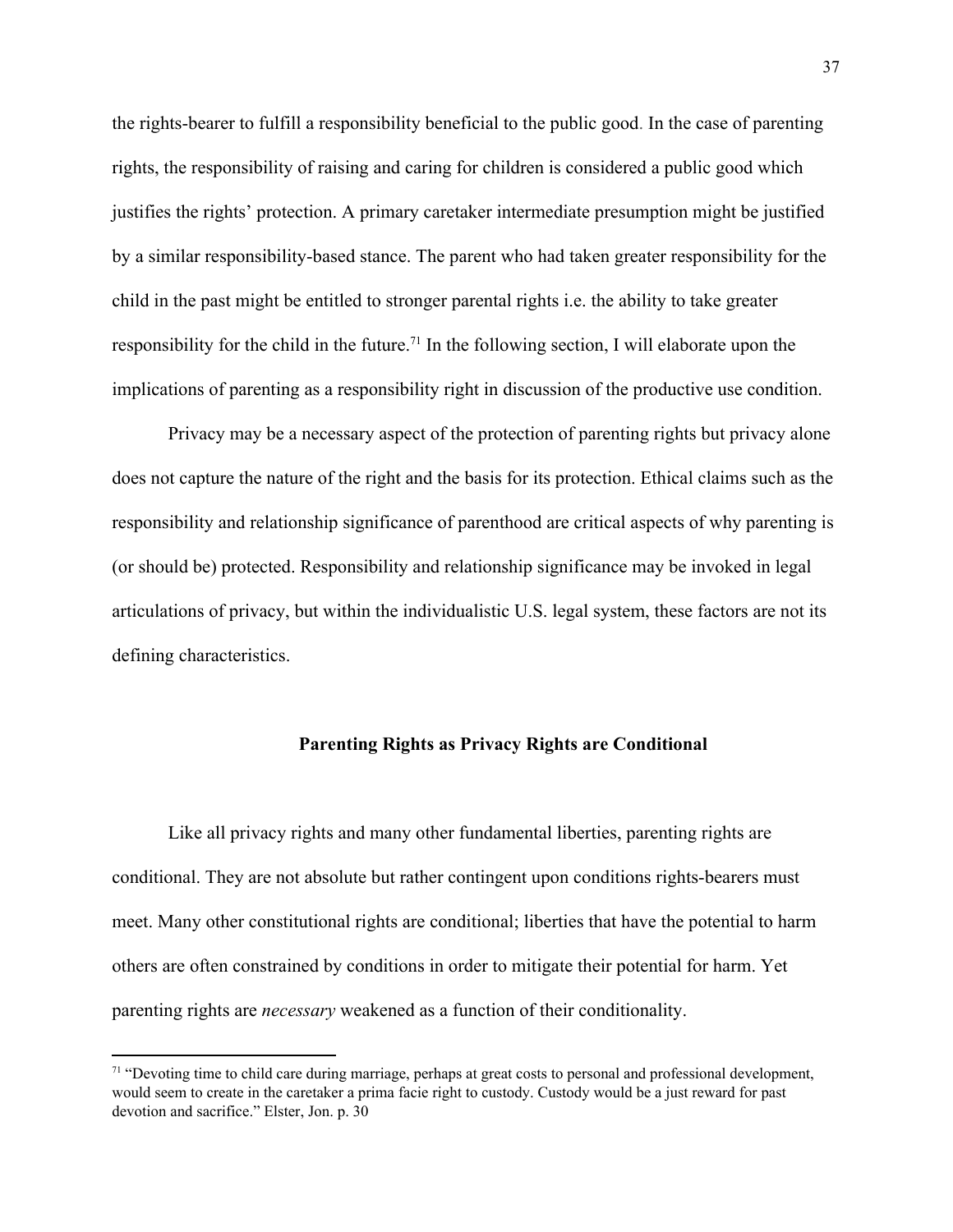the rights-bearer to fulfill a responsibility beneficial to the public good. In the case of parenting rights, the responsibility of raising and caring for children is considered a public good which justifies the rights' protection. A primary caretaker intermediate presumption might be justified by a similar responsibility-based stance. The parent who had taken greater responsibility for the child in the past might be entitled to stronger parental rights i.e. the ability to take greater responsibility for the child in the future.<sup>71</sup> In the following section, I will elaborate upon the implications of parenting as a responsibility right in discussion of the productive use condition.

Privacy may be a necessary aspect of the protection of parenting rights but privacy alone does not capture the nature of the right and the basis for its protection. Ethical claims such as the responsibility and relationship significance of parenthood are critical aspects of why parenting is (or should be) protected. Responsibility and relationship significance may be invoked in legal articulations of privacy, but within the individualistic U.S. legal system, these factors are not its defining characteristics.

### **Parenting Rights as Privacy Rights are Conditional**

Like all privacy rights and many other fundamental liberties, parenting rights are conditional. They are not absolute but rather contingent upon conditions rights-bearers must meet. Many other constitutional rights are conditional; liberties that have the potential to harm others are often constrained by conditions in order to mitigate their potential for harm. Yet parenting rights are *necessary* weakened as a function of their conditionality.

 $71$  "Devoting time to child care during marriage, perhaps at great costs to personal and professional development, would seem to create in the caretaker a prima facie right to custody. Custody would be a just reward for past devotion and sacrifice." Elster, Jon. p. 30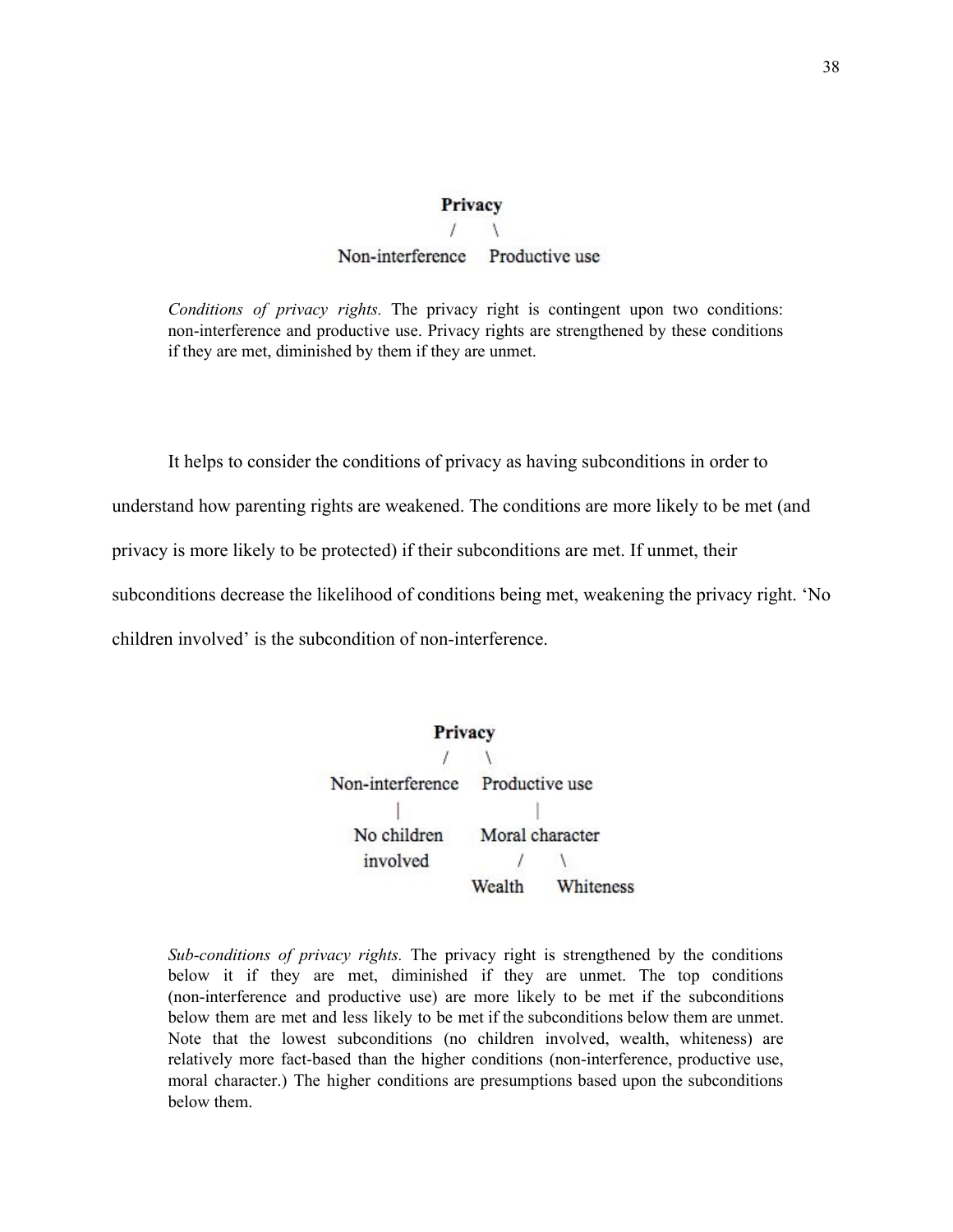### Privacy

## Non-interference Productive use

*Conditions of privacy rights.* The privacy right is contingent upon two conditions: non-interference and productive use. Privacy rights are strengthened by these conditions if they are met, diminished by them if they are unmet.

It helps to consider the conditions of privacy as having subconditions in order to understand how parenting rights are weakened. The conditions are more likely to be met (and privacy is more likely to be protected) if their subconditions are met. If unmet, their subconditions decrease the likelihood of conditions being met, weakening the privacy right. 'No children involved' is the subcondition of non-interference.



*Sub-conditions of privacy rights.* The privacy right is strengthened by the conditions below it if they are met, diminished if they are unmet. The top conditions (non-interference and productive use) are more likely to be met if the subconditions below them are met and less likely to be met if the subconditions below them are unmet. Note that the lowest subconditions (no children involved, wealth, whiteness) are relatively more fact-based than the higher conditions (non-interference, productive use, moral character.) The higher conditions are presumptions based upon the subconditions below them.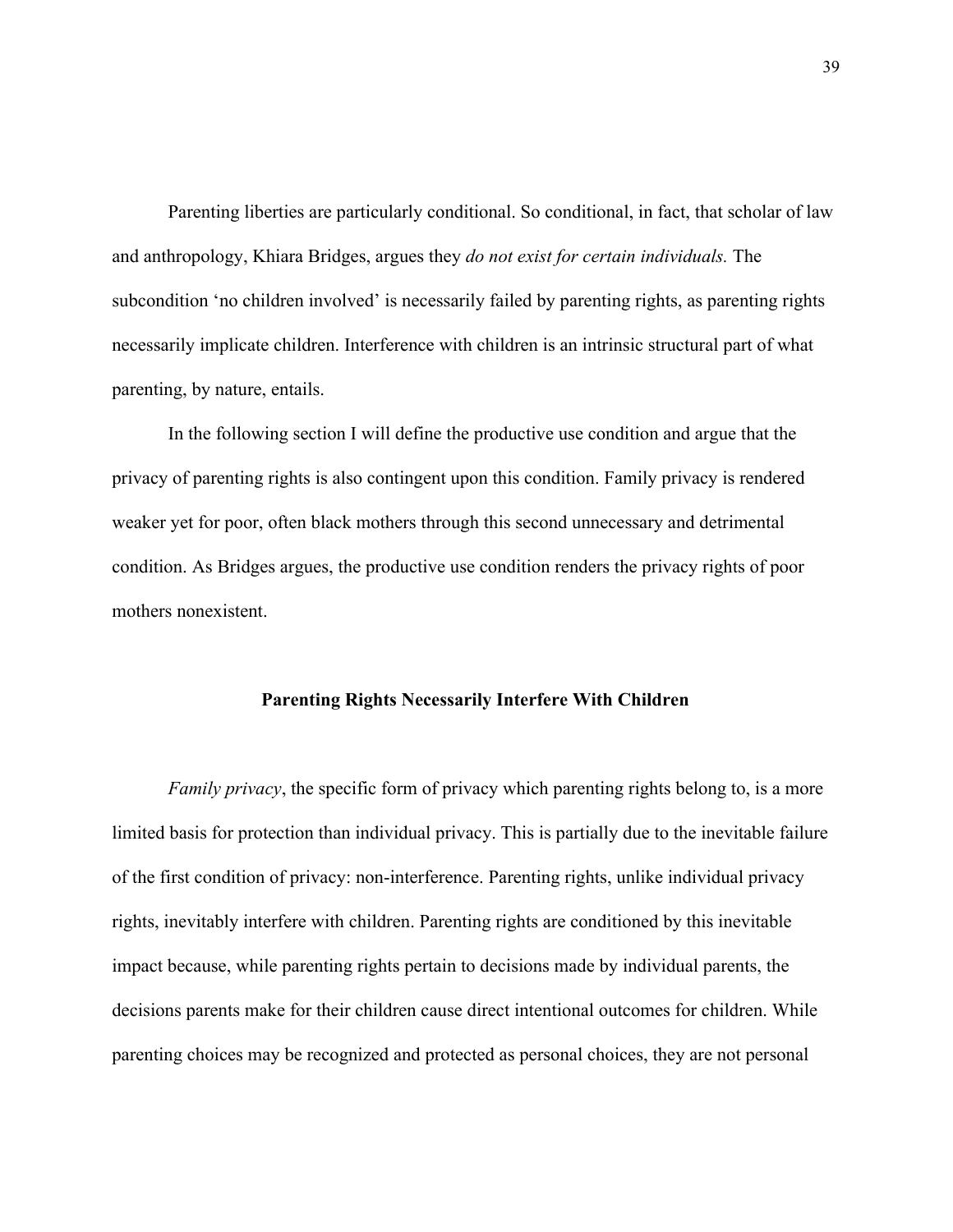Parenting liberties are particularly conditional. So conditional, in fact, that scholar of law and anthropology, Khiara Bridges, argues they *do not exist for certain individuals.* The subcondition 'no children involved' is necessarily failed by parenting rights, as parenting rights necessarily implicate children. Interference with children is an intrinsic structural part of what parenting, by nature, entails.

In the following section I will define the productive use condition and argue that the privacy of parenting rights is also contingent upon this condition. Family privacy is rendered weaker yet for poor, often black mothers through this second unnecessary and detrimental condition. As Bridges argues, the productive use condition renders the privacy rights of poor mothers nonexistent.

### **Parenting Rights Necessarily Interfere With Children**

*Family privacy*, the specific form of privacy which parenting rights belong to, is a more limited basis for protection than individual privacy. This is partially due to the inevitable failure of the first condition of privacy: non-interference. Parenting rights, unlike individual privacy rights, inevitably interfere with children. Parenting rights are conditioned by this inevitable impact because, while parenting rights pertain to decisions made by individual parents, the decisions parents make for their children cause direct intentional outcomes for children. While parenting choices may be recognized and protected as personal choices, they are not personal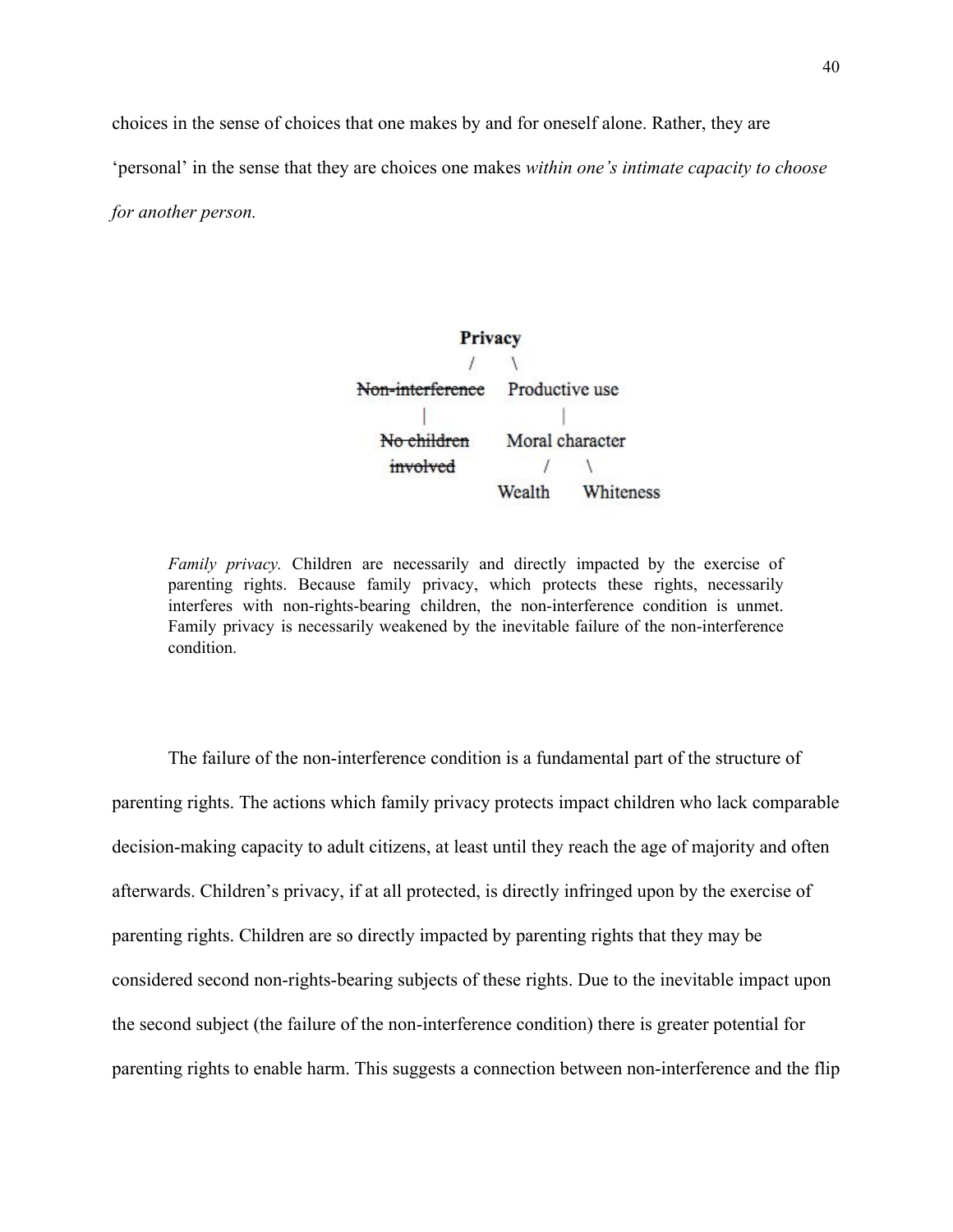choices in the sense of choices that one makes by and for oneself alone. Rather, they are

'personal' in the sense that they are choices one makes *within one's intimate capacity to choose*

*for another person.*

Privacy T A Non-interference Productive use No children Moral character involved  $\sqrt{ }$ Wealth Whiteness

*Family privacy.* Children are necessarily and directly impacted by the exercise of parenting rights. Because family privacy, which protects these rights, necessarily interferes with non-rights-bearing children, the non-interference condition is unmet. Family privacy is necessarily weakened by the inevitable failure of the non-interference condition.

The failure of the non-interference condition is a fundamental part of the structure of parenting rights. The actions which family privacy protects impact children who lack comparable decision-making capacity to adult citizens, at least until they reach the age of majority and often afterwards. Children's privacy, if at all protected, is directly infringed upon by the exercise of parenting rights. Children are so directly impacted by parenting rights that they may be considered second non-rights-bearing subjects of these rights. Due to the inevitable impact upon the second subject (the failure of the non-interference condition) there is greater potential for parenting rights to enable harm. This suggests a connection between non-interference and the flip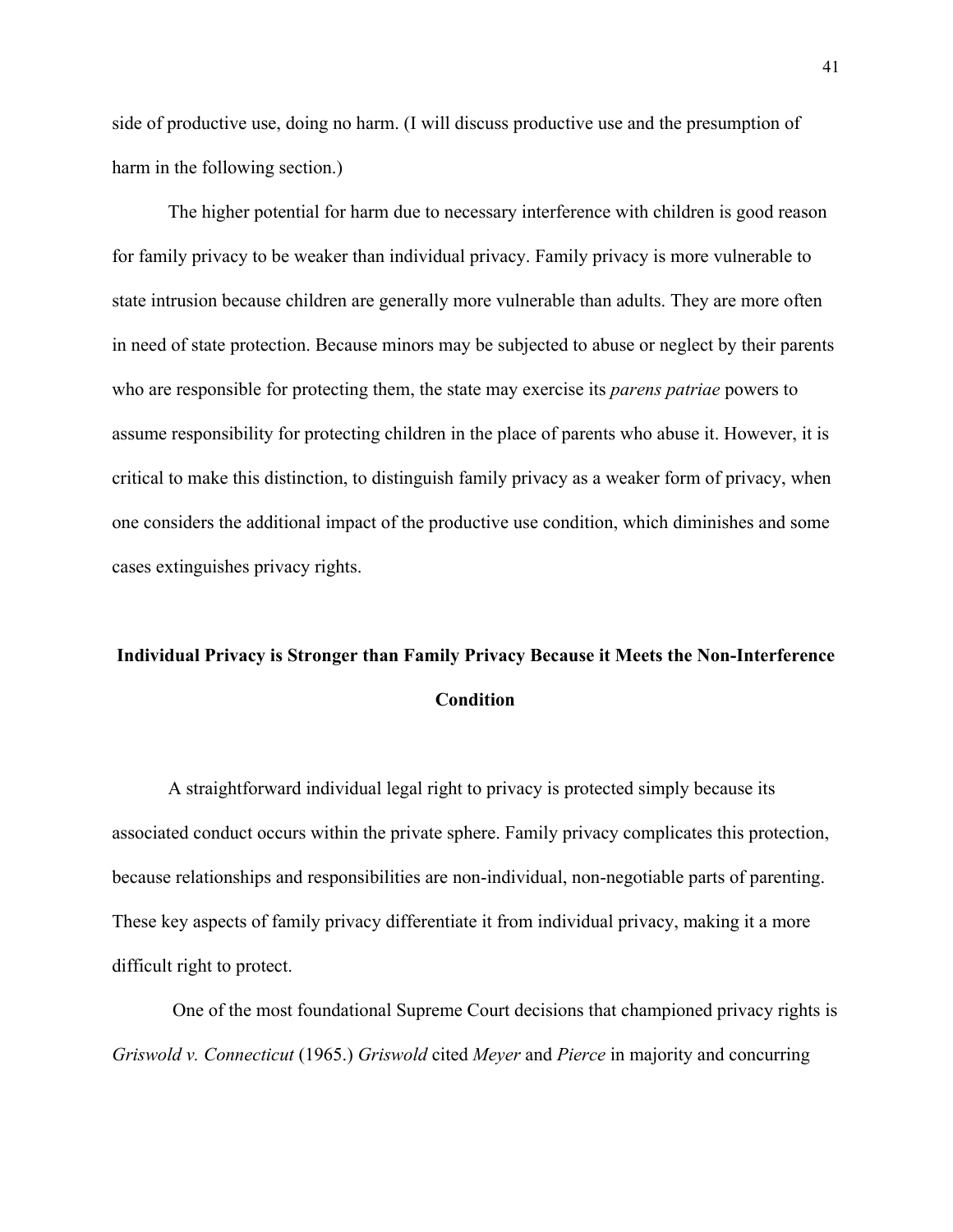side of productive use, doing no harm. (I will discuss productive use and the presumption of harm in the following section.)

The higher potential for harm due to necessary interference with children is good reason for family privacy to be weaker than individual privacy. Family privacy is more vulnerable to state intrusion because children are generally more vulnerable than adults. They are more often in need of state protection. Because minors may be subjected to abuse or neglect by their parents who are responsible for protecting them, the state may exercise its *parens patriae* powers to assume responsibility for protecting children in the place of parents who abuse it. However, it is critical to make this distinction, to distinguish family privacy as a weaker form of privacy, when one considers the additional impact of the productive use condition, which diminishes and some cases extinguishes privacy rights.

# **Individual Privacy is Stronger than Family Privacy Because it Meets the Non-Interference Condition**

A straightforward individual legal right to privacy is protected simply because its associated conduct occurs within the private sphere. Family privacy complicates this protection, because relationships and responsibilities are non-individual, non-negotiable parts of parenting. These key aspects of family privacy differentiate it from individual privacy, making it a more difficult right to protect.

One of the most foundational Supreme Court decisions that championed privacy rights is *Griswold v. Connecticut* (1965.) *Griswold* cited *Meyer* and *Pierce* in majority and concurring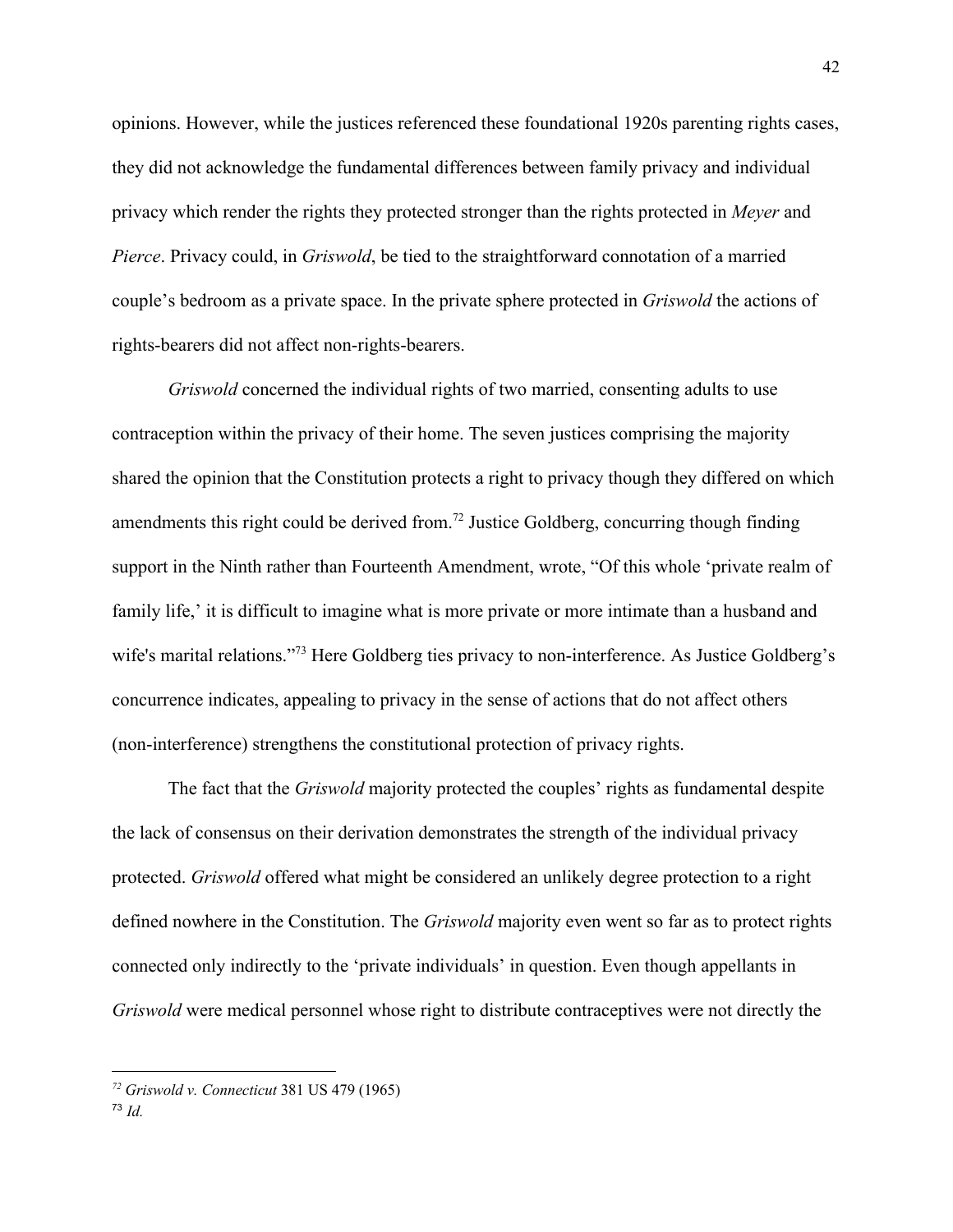opinions. However, while the justices referenced these foundational 1920s parenting rights cases, they did not acknowledge the fundamental differences between family privacy and individual privacy which render the rights they protected stronger than the rights protected in *Meyer* and *Pierce*. Privacy could, in *Griswold*, be tied to the straightforward connotation of a married couple's bedroom as a private space. In the private sphere protected in *Griswold* the actions of rights-bearers did not affect non-rights-bearers.

*Griswold* concerned the individual rights of two married, consenting adults to use contraception within the privacy of their home. The seven justices comprising the majority shared the opinion that the Constitution protects a right to privacy though they differed on which amendments this right could be derived from.<sup>72</sup> Justice Goldberg, concurring though finding support in the Ninth rather than Fourteenth Amendment, wrote, "Of this whole 'private realm of family life,' it is difficult to imagine what is more private or more intimate than a husband and wife's marital relations."<sup>73</sup> Here Goldberg ties privacy to non-interference. As Justice Goldberg's concurrence indicates, appealing to privacy in the sense of actions that do not affect others (non-interference) strengthens the constitutional protection of privacy rights.

The fact that the *Griswold* majority protected the couples' rights as fundamental despite the lack of consensus on their derivation demonstrates the strength of the individual privacy protected. *Griswold* offered what might be considered an unlikely degree protection to a right defined nowhere in the Constitution. The *Griswold* majority even went so far as to protect rights connected only indirectly to the 'private individuals' in question. Even though appellants in *Griswold* were medical personnel whose right to distribute contraceptives were not directly the

*<sup>72</sup> Griswold v. Connecticut* 381 US 479 (1965)

<sup>73</sup> *Id.*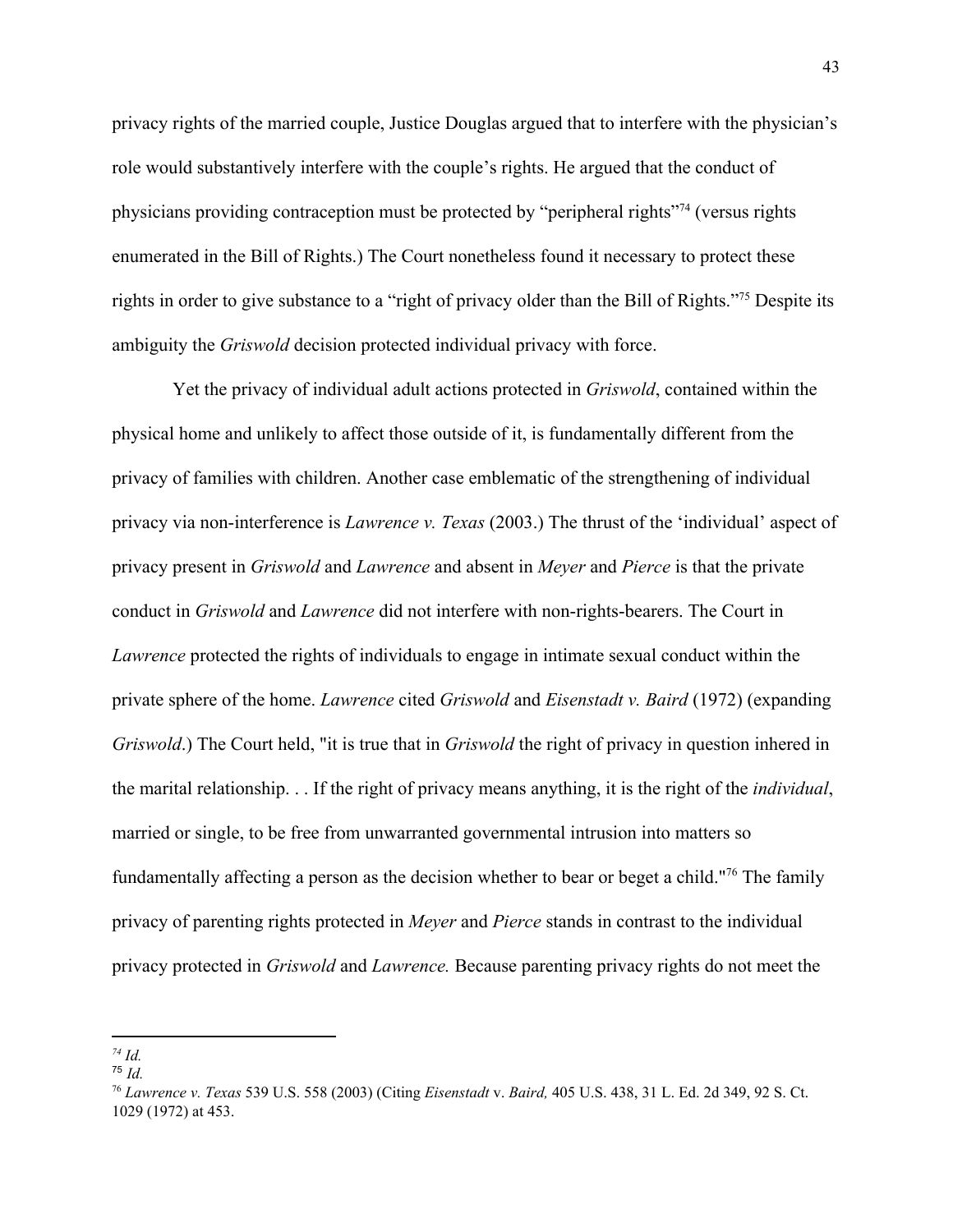privacy rights of the married couple, Justice Douglas argued that to interfere with the physician's role would substantively interfere with the couple's rights. He argued that the conduct of physicians providing contraception must be protected by "peripheral rights"<sup>74</sup> (versus rights enumerated in the Bill of Rights.) The Court nonetheless found it necessary to protect these rights in order to give substance to a "right of privacy older than the Bill of Rights."<sup>75</sup> Despite its ambiguity the *Griswold* decision protected individual privacy with force.

 Yet the privacy of individual adult actions protected in *Griswold*, contained within the physical home and unlikely to affect those outside of it, is fundamentally different from the privacy of families with children. Another case emblematic of the strengthening of individual privacy via non-interference is *Lawrence v. Texas* (2003.) The thrust of the 'individual' aspect of privacy present in *Griswold* and *Lawrence* and absent in *Meyer* and *Pierce* is that the private conduct in *Griswold* and *Lawrence* did not interfere with non-rights-bearers. The Court in *Lawrence* protected the rights of individuals to engage in intimate sexual conduct within the private sphere of the home. *Lawrence* cited *Griswold* and *Eisenstadt v. Baird* (1972) (expanding *Griswold*.) The Court held, "it is true that in *Griswold* the right of privacy in question inhered in the marital relationship. . . If the right of privacy means anything, it is the right of the *individual*, married or single, to be free from unwarranted governmental intrusion into matters so fundamentally affecting a person as the decision whether to bear or beget a child."<sup>76</sup> The family privacy of parenting rights protected in *Meyer* and *Pierce* stands in contrast to the individual privacy protected in *Griswold* and *Lawrence.* Because parenting privacy rights do not meet the

*<sup>74</sup> Id.*

<sup>75</sup> *Id.*

<sup>76</sup> *Lawrence v. Texas* 539 U.S. 558 (2003) (Citing *Eisenstadt* v. *Baird,* 405 U.S. 438, 31 L. Ed. 2d 349, 92 S. Ct. 1029 (1972) at 453.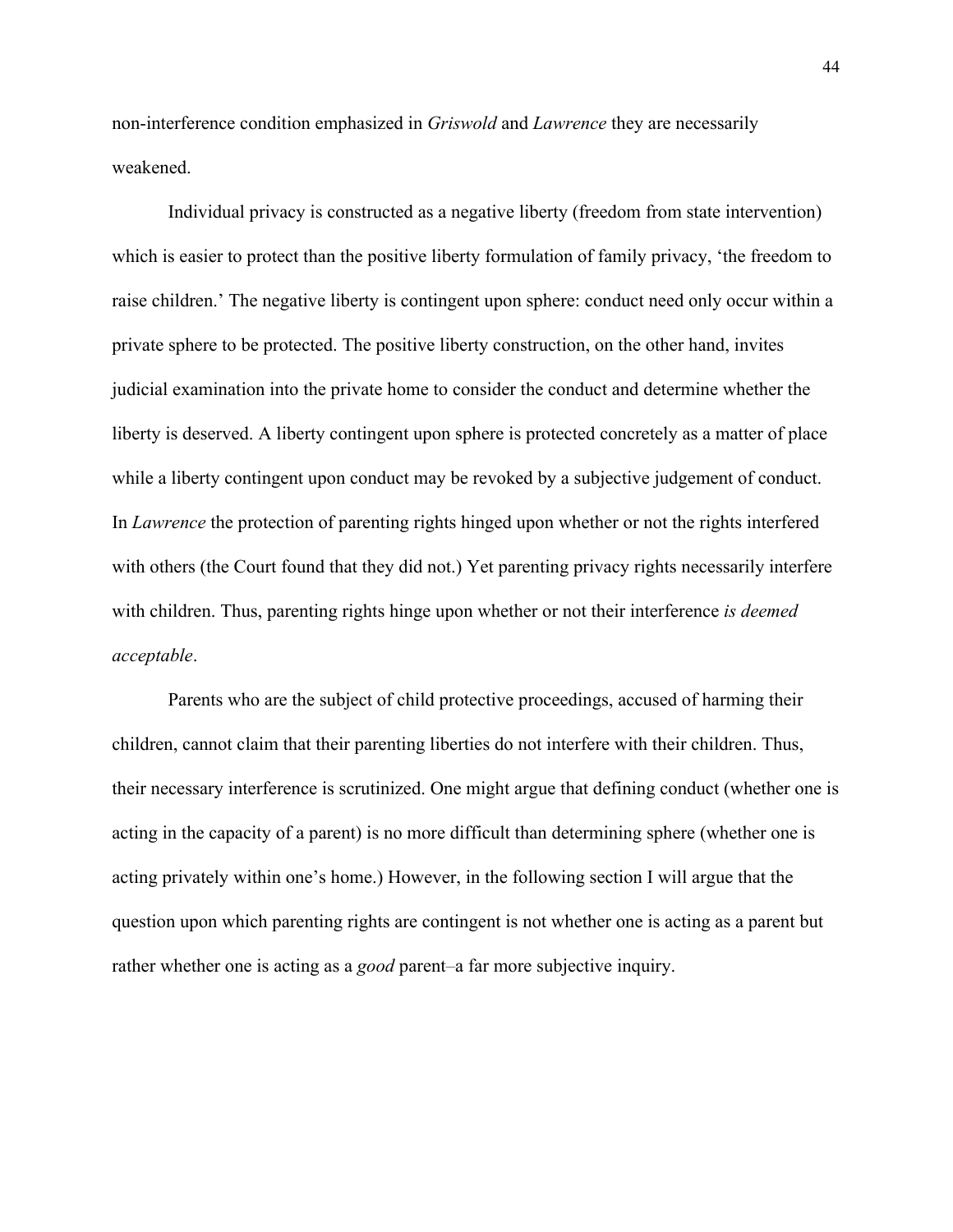non-interference condition emphasized in *Griswold* and *Lawrence* they are necessarily weakened.

Individual privacy is constructed as a negative liberty (freedom from state intervention) which is easier to protect than the positive liberty formulation of family privacy, 'the freedom to raise children.' The negative liberty is contingent upon sphere: conduct need only occur within a private sphere to be protected. The positive liberty construction, on the other hand, invites judicial examination into the private home to consider the conduct and determine whether the liberty is deserved. A liberty contingent upon sphere is protected concretely as a matter of place while a liberty contingent upon conduct may be revoked by a subjective judgement of conduct. In *Lawrence* the protection of parenting rights hinged upon whether or not the rights interfered with others (the Court found that they did not.) Yet parenting privacy rights necessarily interfere with children. Thus, parenting rights hinge upon whether or not their interference *is deemed acceptable*.

Parents who are the subject of child protective proceedings, accused of harming their children, cannot claim that their parenting liberties do not interfere with their children. Thus, their necessary interference is scrutinized. One might argue that defining conduct (whether one is acting in the capacity of a parent) is no more difficult than determining sphere (whether one is acting privately within one's home.) However, in the following section I will argue that the question upon which parenting rights are contingent is not whether one is acting as a parent but rather whether one is acting as a *good* parent–a far more subjective inquiry.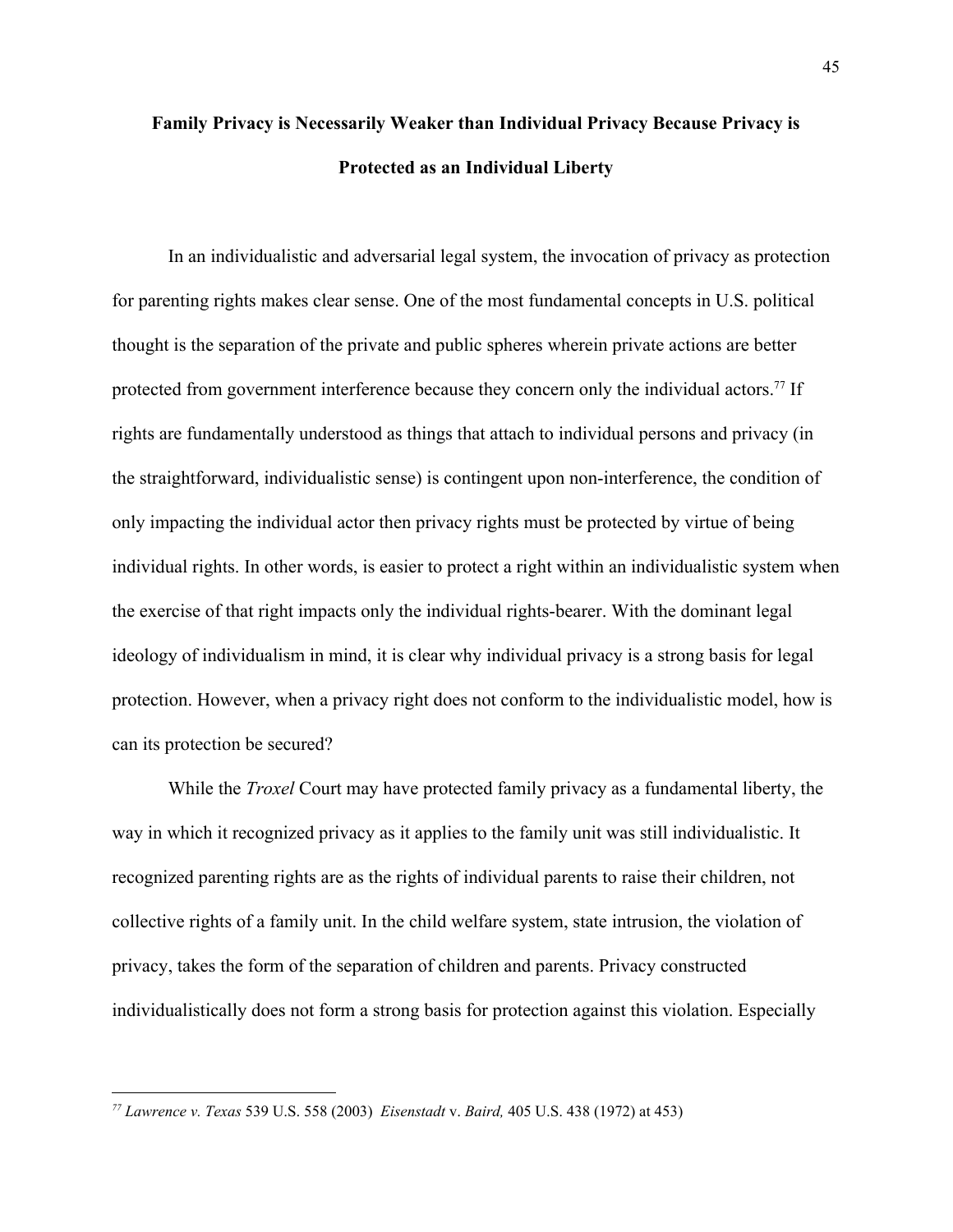# **Family Privacy is Necessarily Weaker than Individual Privacy Because Privacy is Protected as an Individual Liberty**

In an individualistic and adversarial legal system, the invocation of privacy as protection for parenting rights makes clear sense. One of the most fundamental concepts in U.S. political thought is the separation of the private and public spheres wherein private actions are better protected from government interference because they concern only the individual actors.<sup>77</sup> If rights are fundamentally understood as things that attach to individual persons and privacy (in the straightforward, individualistic sense) is contingent upon non-interference, the condition of only impacting the individual actor then privacy rights must be protected by virtue of being individual rights. In other words, is easier to protect a right within an individualistic system when the exercise of that right impacts only the individual rights-bearer. With the dominant legal ideology of individualism in mind, it is clear why individual privacy is a strong basis for legal protection. However, when a privacy right does not conform to the individualistic model, how is can its protection be secured?

While the *Troxel* Court may have protected family privacy as a fundamental liberty, the way in which it recognized privacy as it applies to the family unit was still individualistic. It recognized parenting rights are as the rights of individual parents to raise their children, not collective rights of a family unit. In the child welfare system, state intrusion, the violation of privacy, takes the form of the separation of children and parents. Privacy constructed individualistically does not form a strong basis for protection against this violation. Especially

*<sup>77</sup> Lawrence v. Texas* 539 U.S. 558 (2003) *Eisenstadt* v. *Baird,* 405 U.S. 438 (1972) at 453)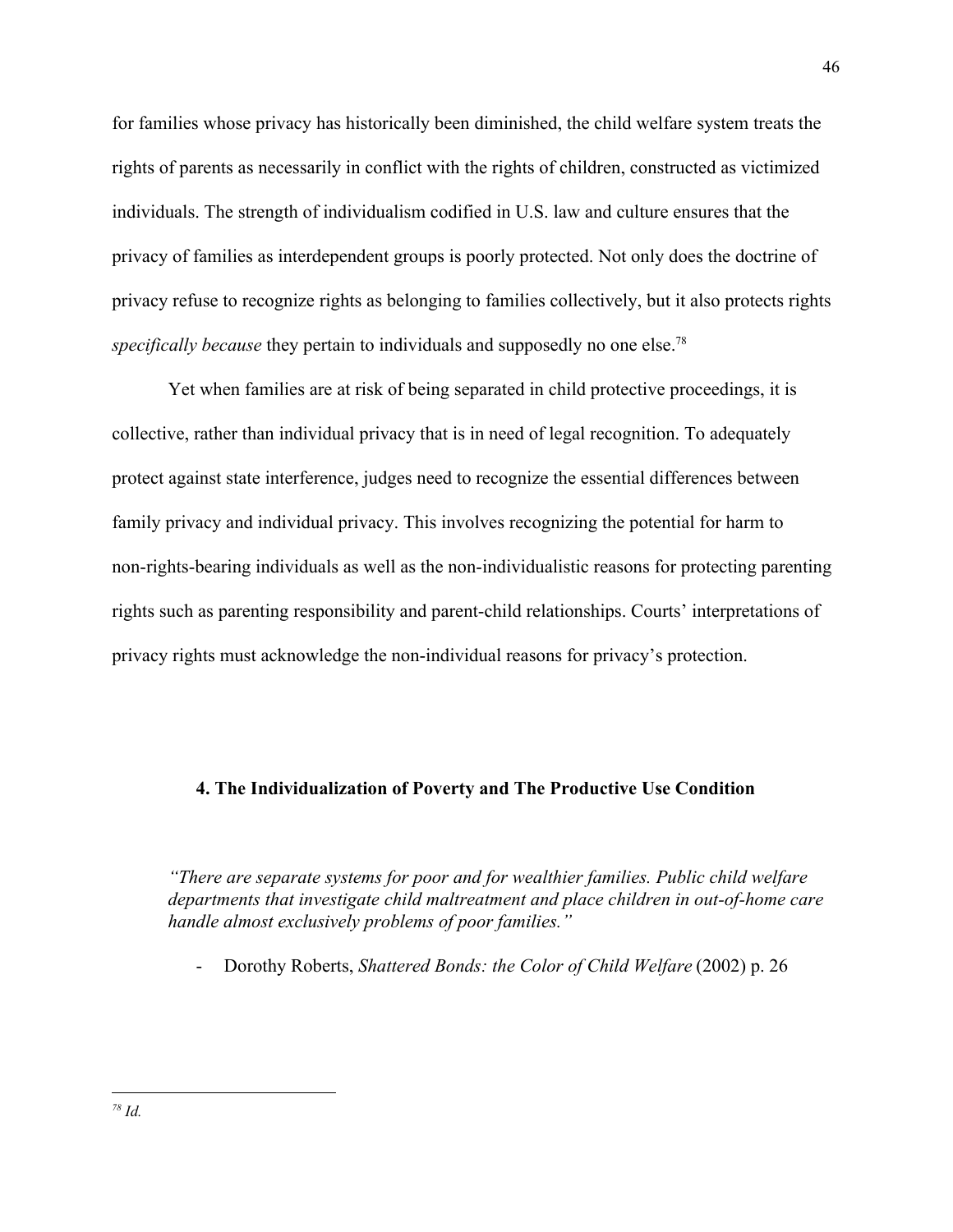for families whose privacy has historically been diminished, the child welfare system treats the rights of parents as necessarily in conflict with the rights of children, constructed as victimized individuals. The strength of individualism codified in U.S. law and culture ensures that the privacy of families as interdependent groups is poorly protected. Not only does the doctrine of privacy refuse to recognize rights as belonging to families collectively, but it also protects rights *specifically because* they pertain to individuals and supposedly no one else.<sup>78</sup>

Yet when families are at risk of being separated in child protective proceedings, it is collective, rather than individual privacy that is in need of legal recognition. To adequately protect against state interference, judges need to recognize the essential differences between family privacy and individual privacy. This involves recognizing the potential for harm to non-rights-bearing individuals as well as the non-individualistic reasons for protecting parenting rights such as parenting responsibility and parent-child relationships. Courts' interpretations of privacy rights must acknowledge the non-individual reasons for privacy's protection.

## **4. The Individualization of Poverty and The Productive Use Condition**

*"There are separate systems for poor and for wealthier families. Public child welfare departments that investigate child maltreatment and place children in out-of-home care handle almost exclusively problems of poor families."*

- Dorothy Roberts, *Shattered Bonds: the Color of Child Welfare* (2002) p. 26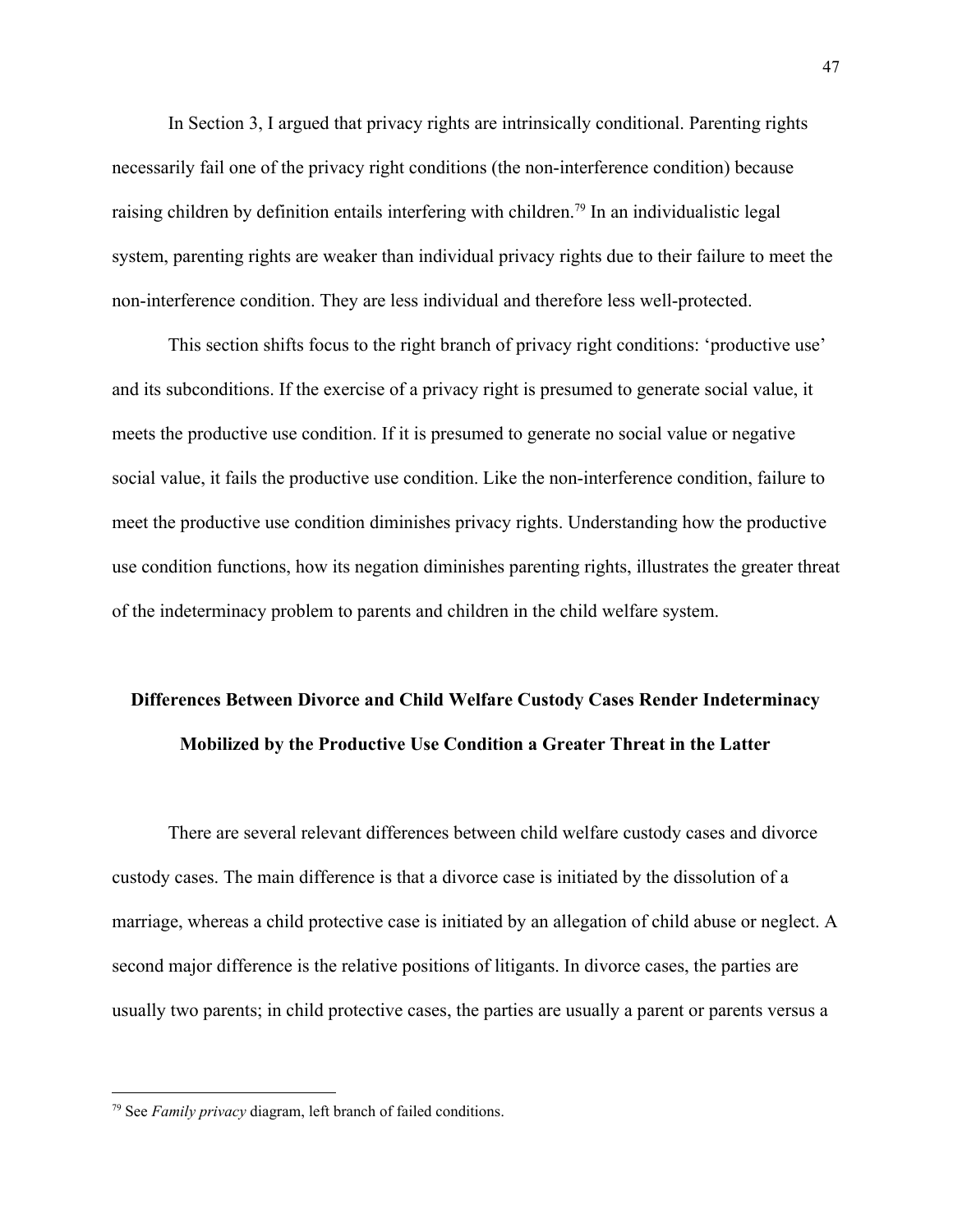In Section 3, I argued that privacy rights are intrinsically conditional. Parenting rights necessarily fail one of the privacy right conditions (the non-interference condition) because raising children by definition entails interfering with children.<sup>79</sup> In an individualistic legal system, parenting rights are weaker than individual privacy rights due to their failure to meet the non-interference condition. They are less individual and therefore less well-protected.

This section shifts focus to the right branch of privacy right conditions: 'productive use' and its subconditions. If the exercise of a privacy right is presumed to generate social value, it meets the productive use condition. If it is presumed to generate no social value or negative social value, it fails the productive use condition. Like the non-interference condition, failure to meet the productive use condition diminishes privacy rights. Understanding how the productive use condition functions, how its negation diminishes parenting rights, illustrates the greater threat of the indeterminacy problem to parents and children in the child welfare system.

# **Differences Between Divorce and Child Welfare Custody Cases Render Indeterminacy Mobilized by the Productive Use Condition a Greater Threat in the Latter**

There are several relevant differences between child welfare custody cases and divorce custody cases. The main difference is that a divorce case is initiated by the dissolution of a marriage, whereas a child protective case is initiated by an allegation of child abuse or neglect. A second major difference is the relative positions of litigants. In divorce cases, the parties are usually two parents; in child protective cases, the parties are usually a parent or parents versus a

<sup>79</sup> See *Family privacy* diagram, left branch of failed conditions.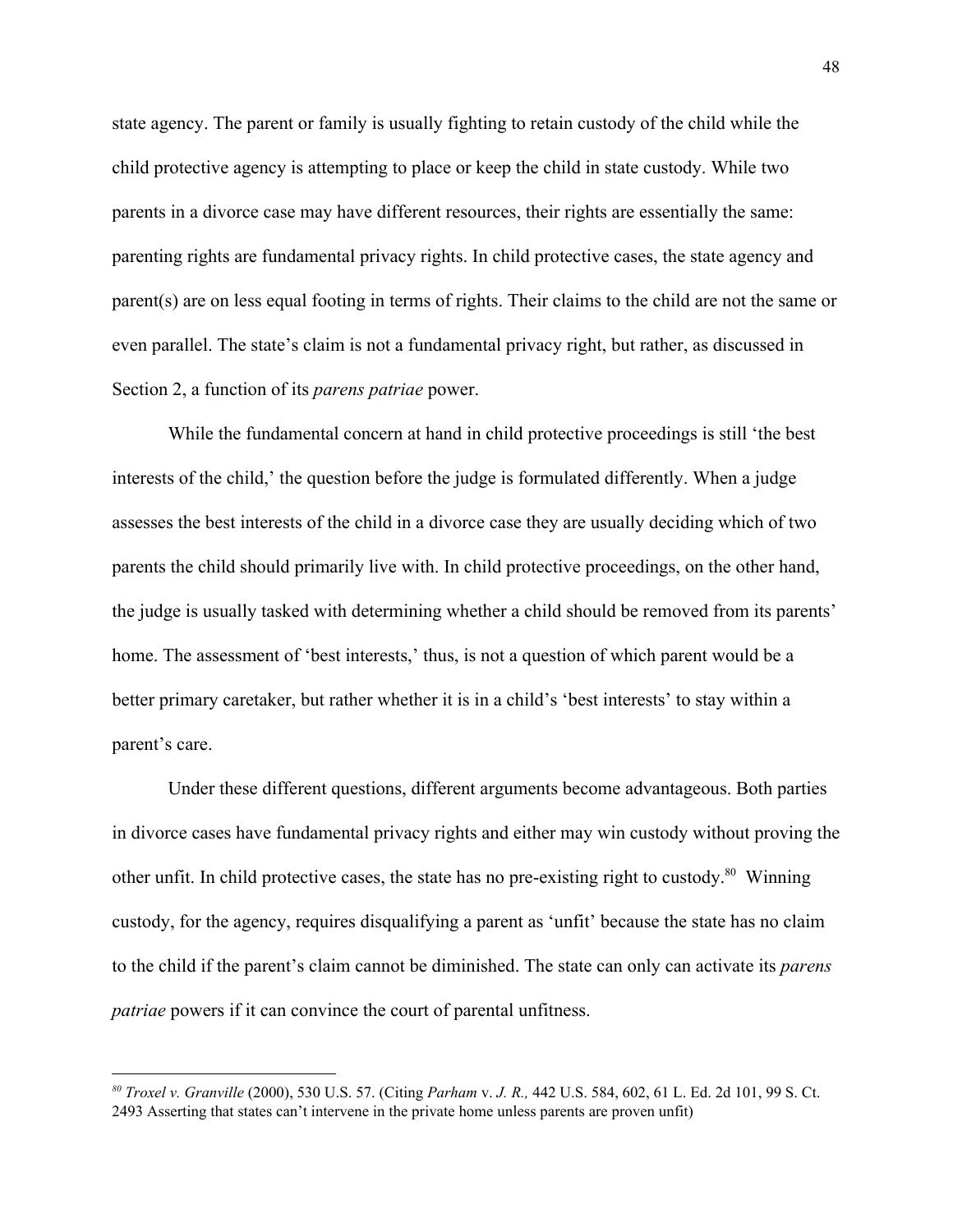state agency. The parent or family is usually fighting to retain custody of the child while the child protective agency is attempting to place or keep the child in state custody. While two parents in a divorce case may have different resources, their rights are essentially the same: parenting rights are fundamental privacy rights. In child protective cases, the state agency and parent(s) are on less equal footing in terms of rights. Their claims to the child are not the same or even parallel. The state's claim is not a fundamental privacy right, but rather, as discussed in Section 2, a function of its *parens patriae* power.

While the fundamental concern at hand in child protective proceedings is still 'the best interests of the child,' the question before the judge is formulated differently. When a judge assesses the best interests of the child in a divorce case they are usually deciding which of two parents the child should primarily live with. In child protective proceedings, on the other hand, the judge is usually tasked with determining whether a child should be removed from its parents' home. The assessment of 'best interests,' thus, is not a question of which parent would be a better primary caretaker, but rather whether it is in a child's 'best interests' to stay within a parent's care.

Under these different questions, different arguments become advantageous. Both parties in divorce cases have fundamental privacy rights and either may win custody without proving the other unfit. In child protective cases, the state has no pre-existing right to custody.<sup>80</sup> Winning custody, for the agency, requires disqualifying a parent as 'unfit' because the state has no claim to the child if the parent's claim cannot be diminished. The state can only can activate its *parens patriae* powers if it can convince the court of parental unfitness.

*<sup>80</sup> Troxel v. Granville* (2000), 530 U.S. 57. (Citing *Parham* v. *J. R.,* 442 U.S. 584, 602, 61 L. Ed. 2d 101, 99 S. Ct. 2493 Asserting that states can't intervene in the private home unless parents are proven unfit)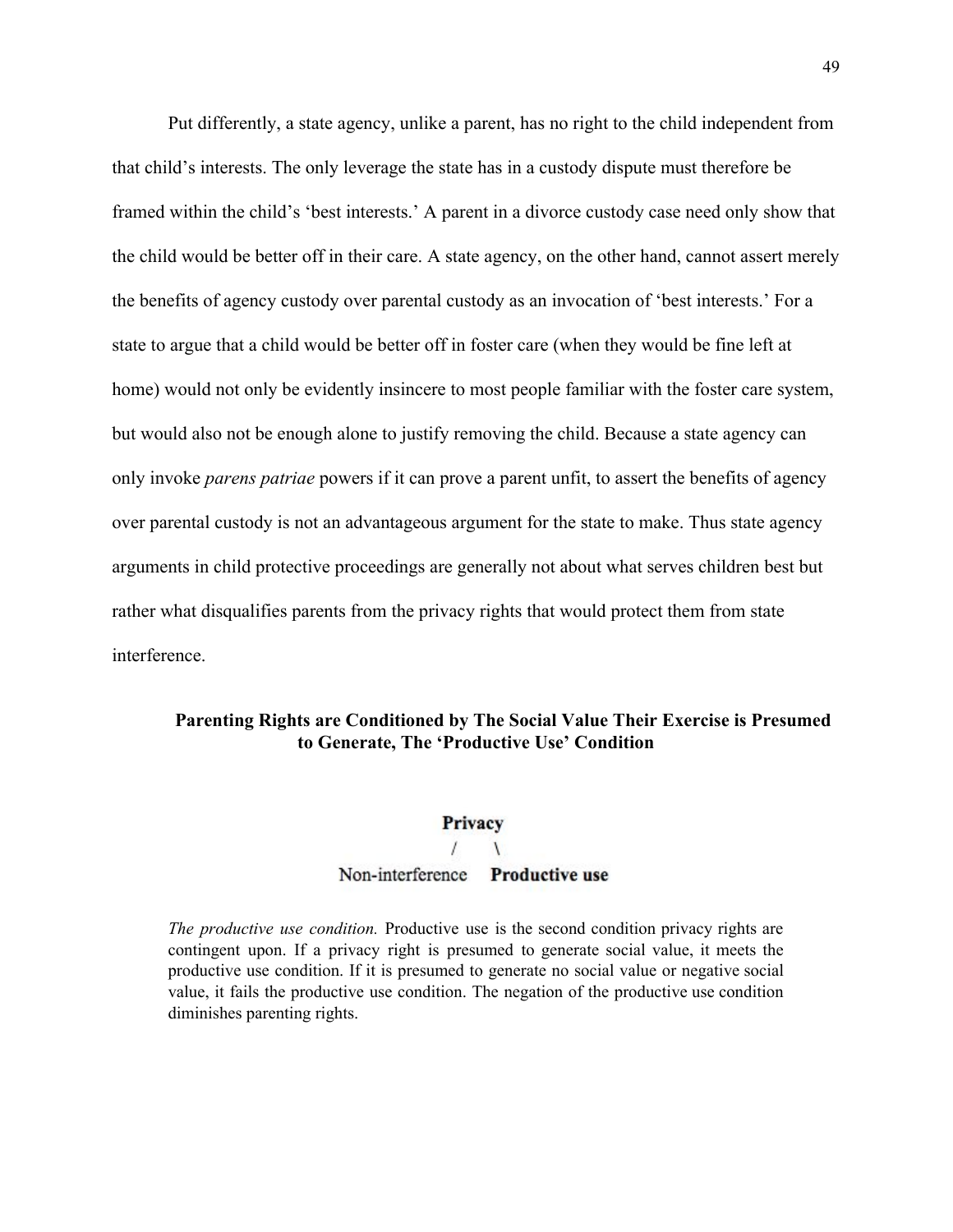Put differently, a state agency, unlike a parent, has no right to the child independent from that child's interests. The only leverage the state has in a custody dispute must therefore be framed within the child's 'best interests.' A parent in a divorce custody case need only show that the child would be better off in their care. A state agency, on the other hand, cannot assert merely the benefits of agency custody over parental custody as an invocation of 'best interests.' For a state to argue that a child would be better off in foster care (when they would be fine left at home) would not only be evidently insincere to most people familiar with the foster care system, but would also not be enough alone to justify removing the child. Because a state agency can only invoke *parens patriae* powers if it can prove a parent unfit, to assert the benefits of agency over parental custody is not an advantageous argument for the state to make. Thus state agency arguments in child protective proceedings are generally not about what serves children best but rather what disqualifies parents from the privacy rights that would protect them from state interference.

## **Parenting Rights are Conditioned by The Social Value Their Exercise is Presumed to Generate, The 'Productive Use' Condition**

# Privacy  $\sqrt{2}$ Non-interference Productive use

*The productive use condition.* Productive use is the second condition privacy rights are contingent upon. If a privacy right is presumed to generate social value, it meets the productive use condition. If it is presumed to generate no social value or negative social value, it fails the productive use condition. The negation of the productive use condition diminishes parenting rights.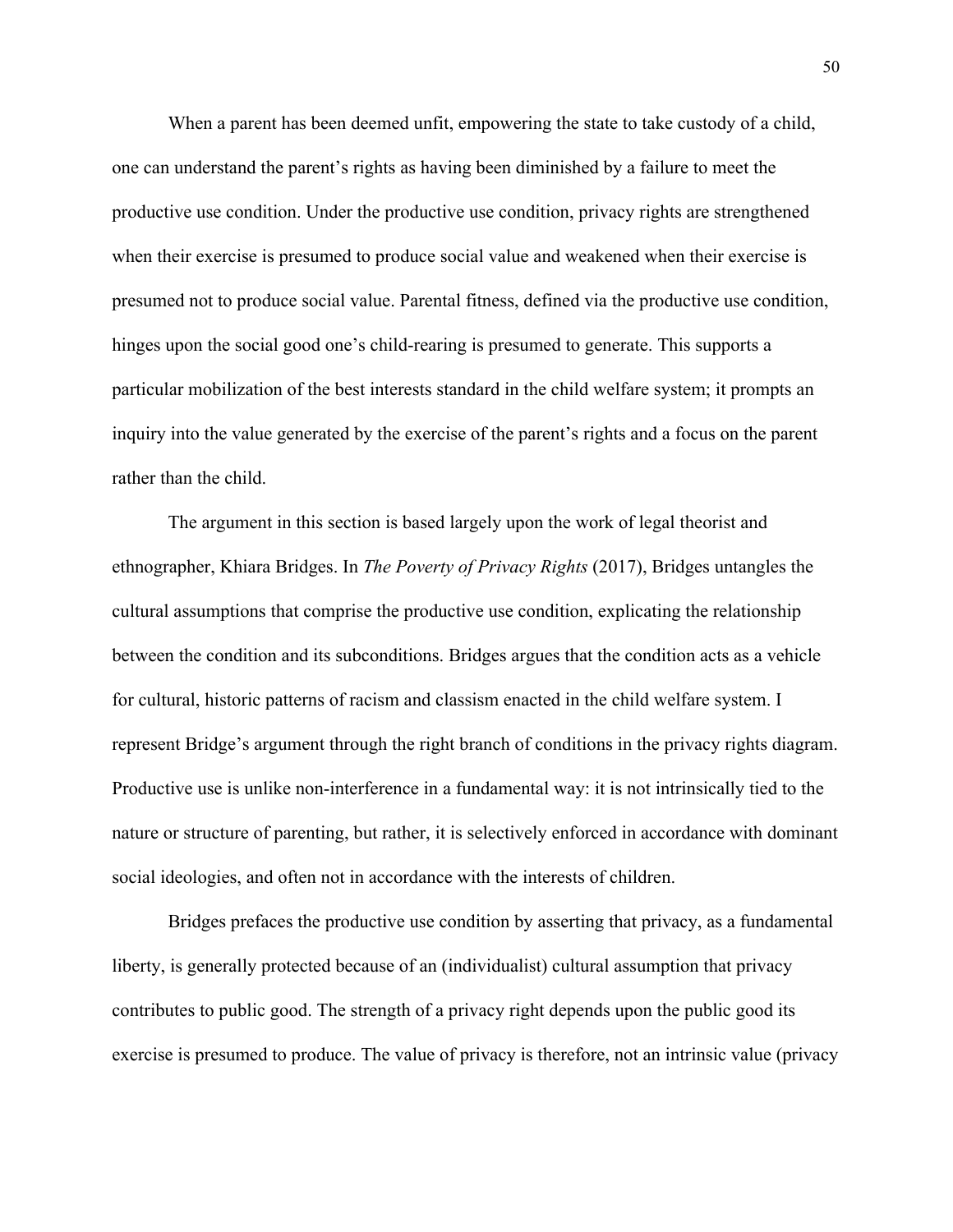When a parent has been deemed unfit, empowering the state to take custody of a child, one can understand the parent's rights as having been diminished by a failure to meet the productive use condition. Under the productive use condition, privacy rights are strengthened when their exercise is presumed to produce social value and weakened when their exercise is presumed not to produce social value. Parental fitness, defined via the productive use condition, hinges upon the social good one's child-rearing is presumed to generate. This supports a particular mobilization of the best interests standard in the child welfare system; it prompts an inquiry into the value generated by the exercise of the parent's rights and a focus on the parent rather than the child.

The argument in this section is based largely upon the work of legal theorist and ethnographer, Khiara Bridges. In *The Poverty of Privacy Rights* (2017), Bridges untangles the cultural assumptions that comprise the productive use condition, explicating the relationship between the condition and its subconditions. Bridges argues that the condition acts as a vehicle for cultural, historic patterns of racism and classism enacted in the child welfare system. I represent Bridge's argument through the right branch of conditions in the privacy rights diagram. Productive use is unlike non-interference in a fundamental way: it is not intrinsically tied to the nature or structure of parenting, but rather, it is selectively enforced in accordance with dominant social ideologies, and often not in accordance with the interests of children.

Bridges prefaces the productive use condition by asserting that privacy, as a fundamental liberty, is generally protected because of an (individualist) cultural assumption that privacy contributes to public good. The strength of a privacy right depends upon the public good its exercise is presumed to produce. The value of privacy is therefore, not an intrinsic value (privacy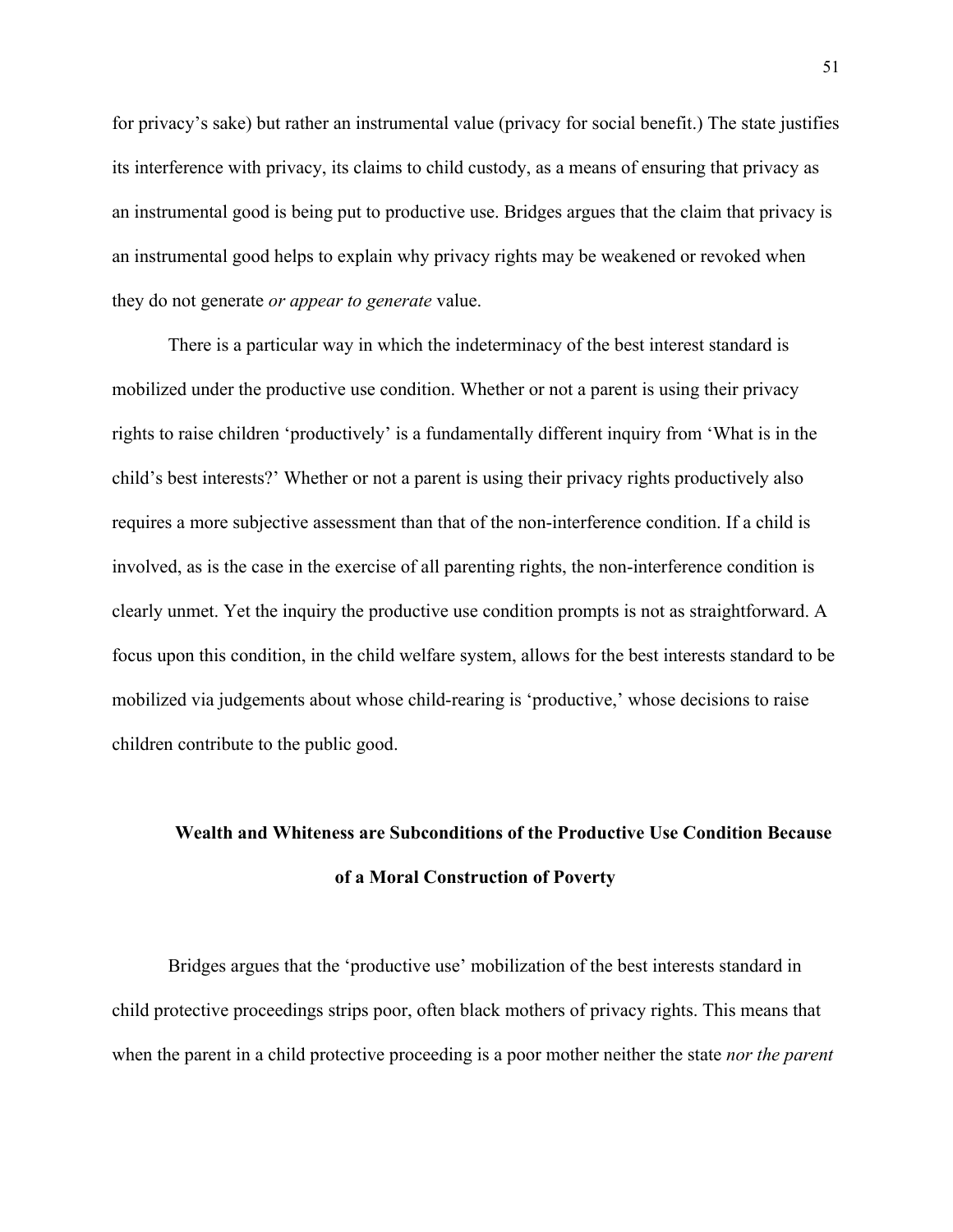for privacy's sake) but rather an instrumental value (privacy for social benefit.) The state justifies its interference with privacy, its claims to child custody, as a means of ensuring that privacy as an instrumental good is being put to productive use. Bridges argues that the claim that privacy is an instrumental good helps to explain why privacy rights may be weakened or revoked when they do not generate *or appear to generate* value.

There is a particular way in which the indeterminacy of the best interest standard is mobilized under the productive use condition. Whether or not a parent is using their privacy rights to raise children 'productively' is a fundamentally different inquiry from 'What is in the child's best interests?' Whether or not a parent is using their privacy rights productively also requires a more subjective assessment than that of the non-interference condition. If a child is involved, as is the case in the exercise of all parenting rights, the non-interference condition is clearly unmet. Yet the inquiry the productive use condition prompts is not as straightforward. A focus upon this condition, in the child welfare system, allows for the best interests standard to be mobilized via judgements about whose child-rearing is 'productive,' whose decisions to raise children contribute to the public good.

# **Wealth and Whiteness are Subconditions of the Productive Use Condition Because of a Moral Construction of Poverty**

Bridges argues that the 'productive use' mobilization of the best interests standard in child protective proceedings strips poor, often black mothers of privacy rights. This means that when the parent in a child protective proceeding is a poor mother neither the state *nor the parent*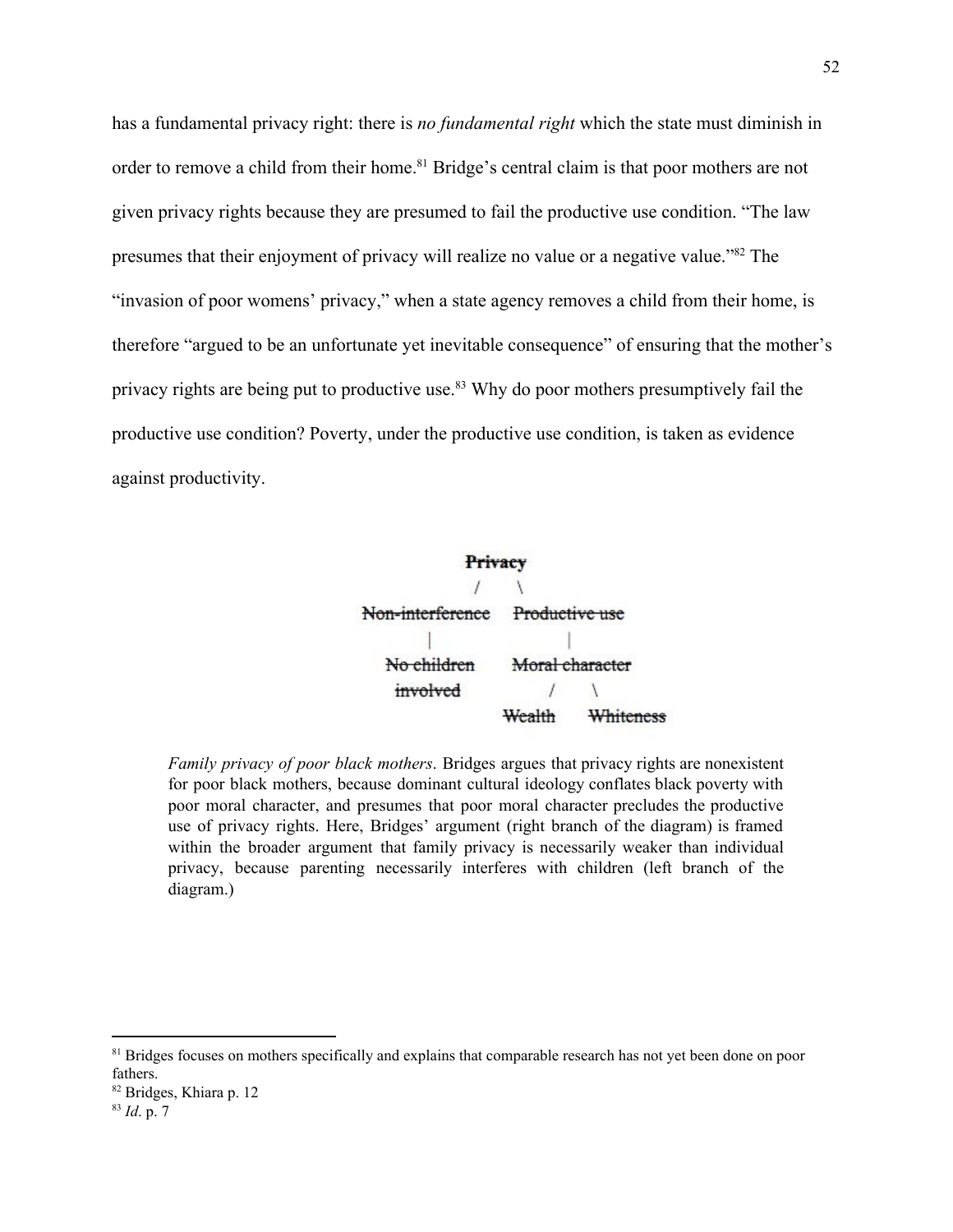has a fundamental privacy right: there is *no fundamental right* which the state must diminish in order to remove a child from their home.<sup>81</sup> Bridge's central claim is that poor mothers are not given privacy rights because they are presumed to fail the productive use condition. "The law presumes that their enjoyment of privacy will realize no value or a negative value."<sup>82</sup> The "invasion of poor womens' privacy," when a state agency removes a child from their home, is therefore "argued to be an unfortunate yet inevitable consequence" of ensuring that the mother's privacy rights are being put to productive use.<sup>83</sup> Why do poor mothers presumptively fail the productive use condition? Poverty, under the productive use condition, is taken as evidence against productivity.

> Privacy Non-interference Productive use No children Moral character  $\prime$  $\overline{1}$ involved Wealth Whiteness

*Family privacy of poor black mothers*. Bridges argues that privacy rights are nonexistent for poor black mothers, because dominant cultural ideology conflates black poverty with poor moral character, and presumes that poor moral character precludes the productive use of privacy rights. Here, Bridges' argument (right branch of the diagram) is framed within the broader argument that family privacy is necessarily weaker than individual privacy, because parenting necessarily interferes with children (left branch of the diagram.)

<sup>&</sup>lt;sup>81</sup> Bridges focuses on mothers specifically and explains that comparable research has not yet been done on poor fathers.

<sup>82</sup> Bridges, Khiara p. 12

<sup>83</sup> *Id*. p. 7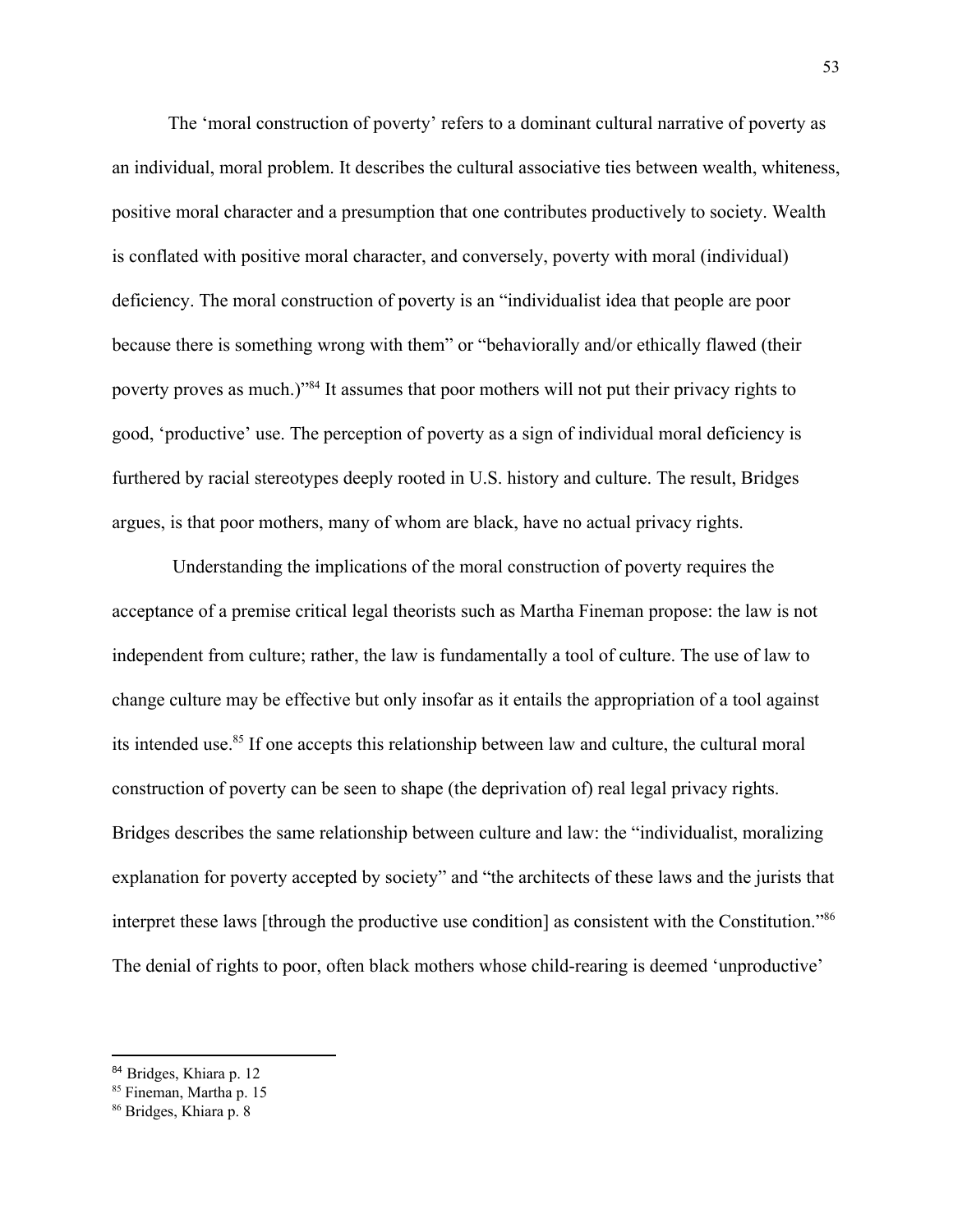The 'moral construction of poverty' refers to a dominant cultural narrative of poverty as an individual, moral problem. It describes the cultural associative ties between wealth, whiteness, positive moral character and a presumption that one contributes productively to society. Wealth is conflated with positive moral character, and conversely, poverty with moral (individual) deficiency. The moral construction of poverty is an "individualist idea that people are poor because there is something wrong with them" or "behaviorally and/or ethically flawed (their poverty proves as much.)<sup>384</sup> It assumes that poor mothers will not put their privacy rights to good, 'productive' use. The perception of poverty as a sign of individual moral deficiency is furthered by racial stereotypes deeply rooted in U.S. history and culture. The result, Bridges argues, is that poor mothers, many of whom are black, have no actual privacy rights.

 Understanding the implications of the moral construction of poverty requires the acceptance of a premise critical legal theorists such as Martha Fineman propose: the law is not independent from culture; rather, the law is fundamentally a tool of culture. The use of law to change culture may be effective but only insofar as it entails the appropriation of a tool against its intended use.<sup>85</sup> If one accepts this relationship between law and culture, the cultural moral construction of poverty can be seen to shape (the deprivation of) real legal privacy rights. Bridges describes the same relationship between culture and law: the "individualist, moralizing explanation for poverty accepted by society" and "the architects of these laws and the jurists that interpret these laws [through the productive use condition] as consistent with the Constitution."<sup>86</sup> The denial of rights to poor, often black mothers whose child-rearing is deemed 'unproductive'

<sup>84</sup> Bridges, Khiara p. 12

<sup>&</sup>lt;sup>85</sup> Fineman, Martha p. 15

<sup>86</sup> Bridges, Khiara p. 8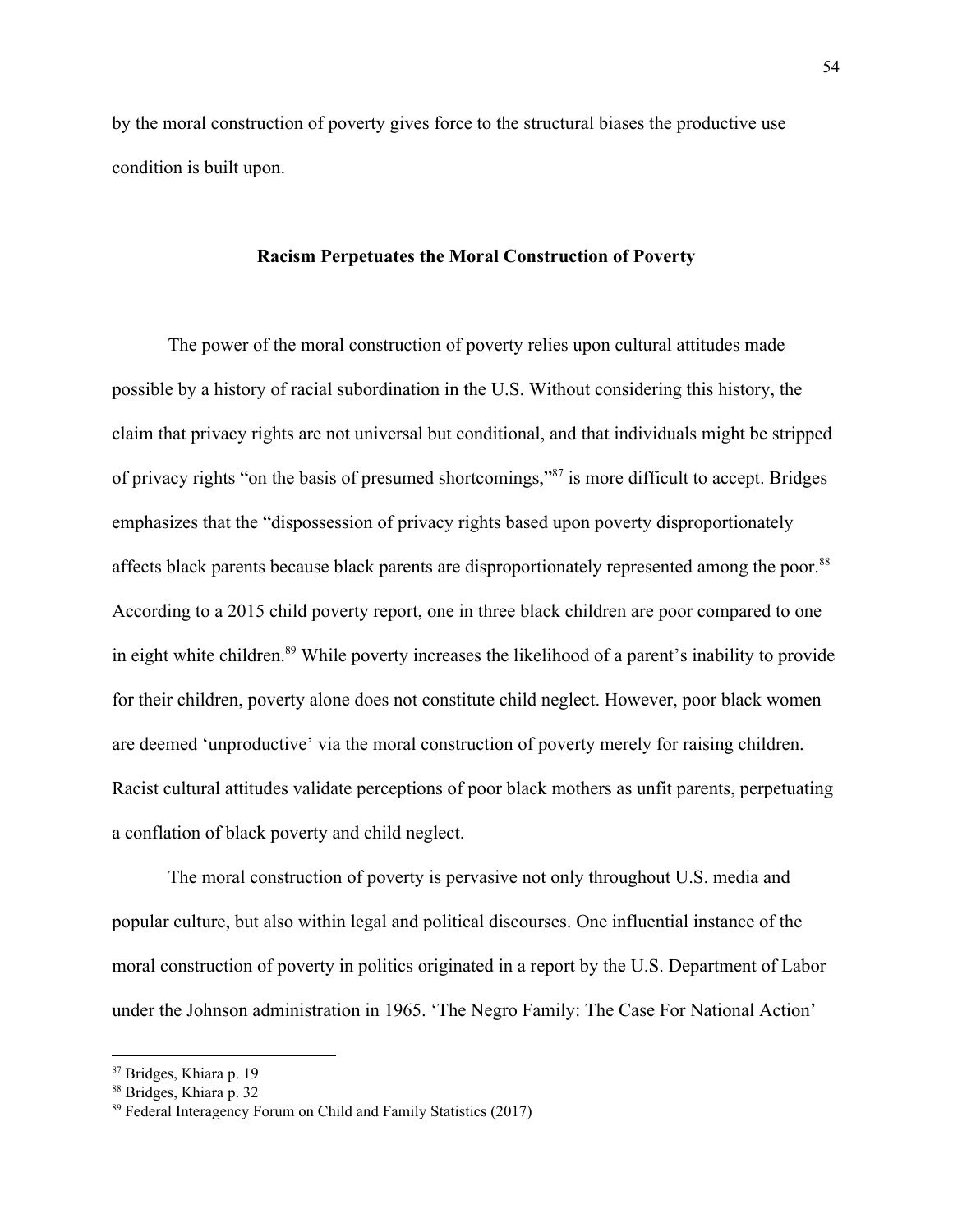by the moral construction of poverty gives force to the structural biases the productive use condition is built upon.

## **Racism Perpetuates the Moral Construction of Poverty**

The power of the moral construction of poverty relies upon cultural attitudes made possible by a history of racial subordination in the U.S. Without considering this history, the claim that privacy rights are not universal but conditional, and that individuals might be stripped of privacy rights "on the basis of presumed shortcomings,"<sup>87</sup> is more difficult to accept. Bridges emphasizes that the "dispossession of privacy rights based upon poverty disproportionately affects black parents because black parents are disproportionately represented among the poor.<sup>88</sup> According to a 2015 child poverty report, one in three black children are poor compared to one in eight white children.<sup>89</sup> While poverty increases the likelihood of a parent's inability to provide for their children, poverty alone does not constitute child neglect. However, poor black women are deemed 'unproductive' via the moral construction of poverty merely for raising children. Racist cultural attitudes validate perceptions of poor black mothers as unfit parents, perpetuating a conflation of black poverty and child neglect.

The moral construction of poverty is pervasive not only throughout U.S. media and popular culture, but also within legal and political discourses. One influential instance of the moral construction of poverty in politics originated in a report by the U.S. Department of Labor under the Johnson administration in 1965. 'The Negro Family: The Case For National Action'

<sup>87</sup> Bridges, Khiara p. 19

<sup>88</sup> Bridges, Khiara p. 32

<sup>89</sup> Federal Interagency Forum on Child and Family Statistics (2017)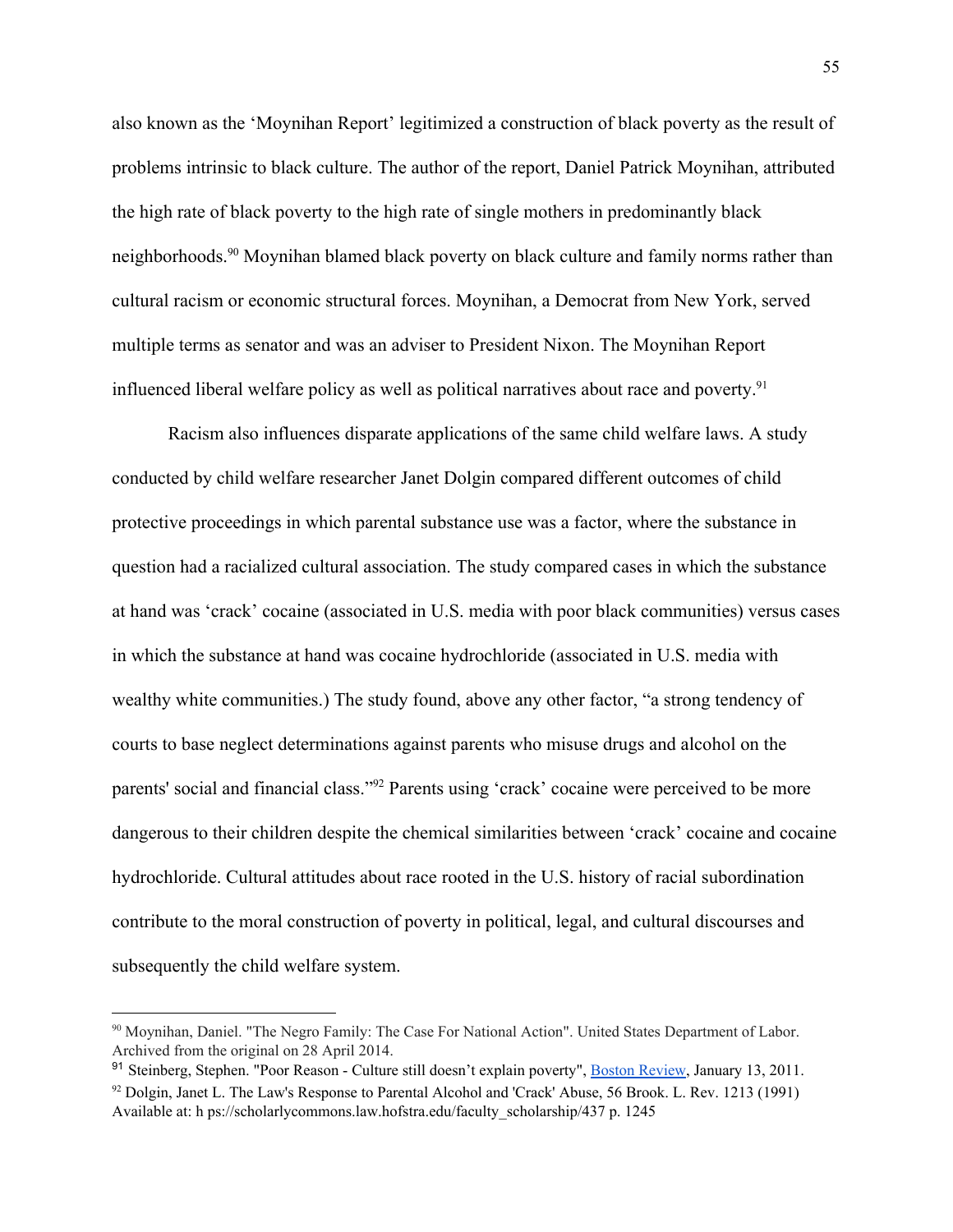also known as the 'Moynihan Report' legitimized a construction of black poverty as the result of problems intrinsic to black culture. The author of the report, Daniel Patrick Moynihan, attributed the high rate of black poverty to the high rate of single mothers in predominantly black neighborhoods.<sup>90</sup> Moynihan blamed black poverty on black culture and family norms rather than cultural racism or economic structural forces. Moynihan, a Democrat from New York, served multiple terms as senator and was an adviser to President Nixon. The Moynihan Report influenced liberal welfare policy as well as political narratives about race and poverty.<sup>91</sup>

Racism also influences disparate applications of the same child welfare laws. A study conducted by child welfare researcher Janet Dolgin compared different outcomes of child protective proceedings in which parental substance use was a factor, where the substance in question had a racialized cultural association. The study compared cases in which the substance at hand was 'crack' cocaine (associated in U.S. media with poor black communities) versus cases in which the substance at hand was cocaine hydrochloride (associated in U.S. media with wealthy white communities.) The study found, above any other factor, "a strong tendency of courts to base neglect determinations against parents who misuse drugs and alcohol on the parents' social and financial class."<sup>92</sup> Parents using 'crack' cocaine were perceived to be more dangerous to their children despite the chemical similarities between 'crack' cocaine and cocaine hydrochloride. Cultural attitudes about race rooted in the U.S. history of racial subordination contribute to the moral construction of poverty in political, legal, and cultural discourses and subsequently the child welfare system.

<sup>90</sup> Moynihan, Daniel. "The Negro Family: The Case For National Action". United States Department of Labor. Archived from the original on 28 April 2014.

<sup>91</sup> Steinberg, Stephen. "Poor Reason - Culture still doesn't explain poverty", Boston [Review,](https://en.wikipedia.org/wiki/Boston_Review) January 13, 2011.

<sup>92</sup> Dolgin, Janet L. The Law's Response to Parental Alcohol and 'Crack' Abuse, 56 Brook. L. Rev. 1213 (1991) Available at: h ps://scholarlycommons.law.hofstra.edu/faculty\_scholarship/437 p. 1245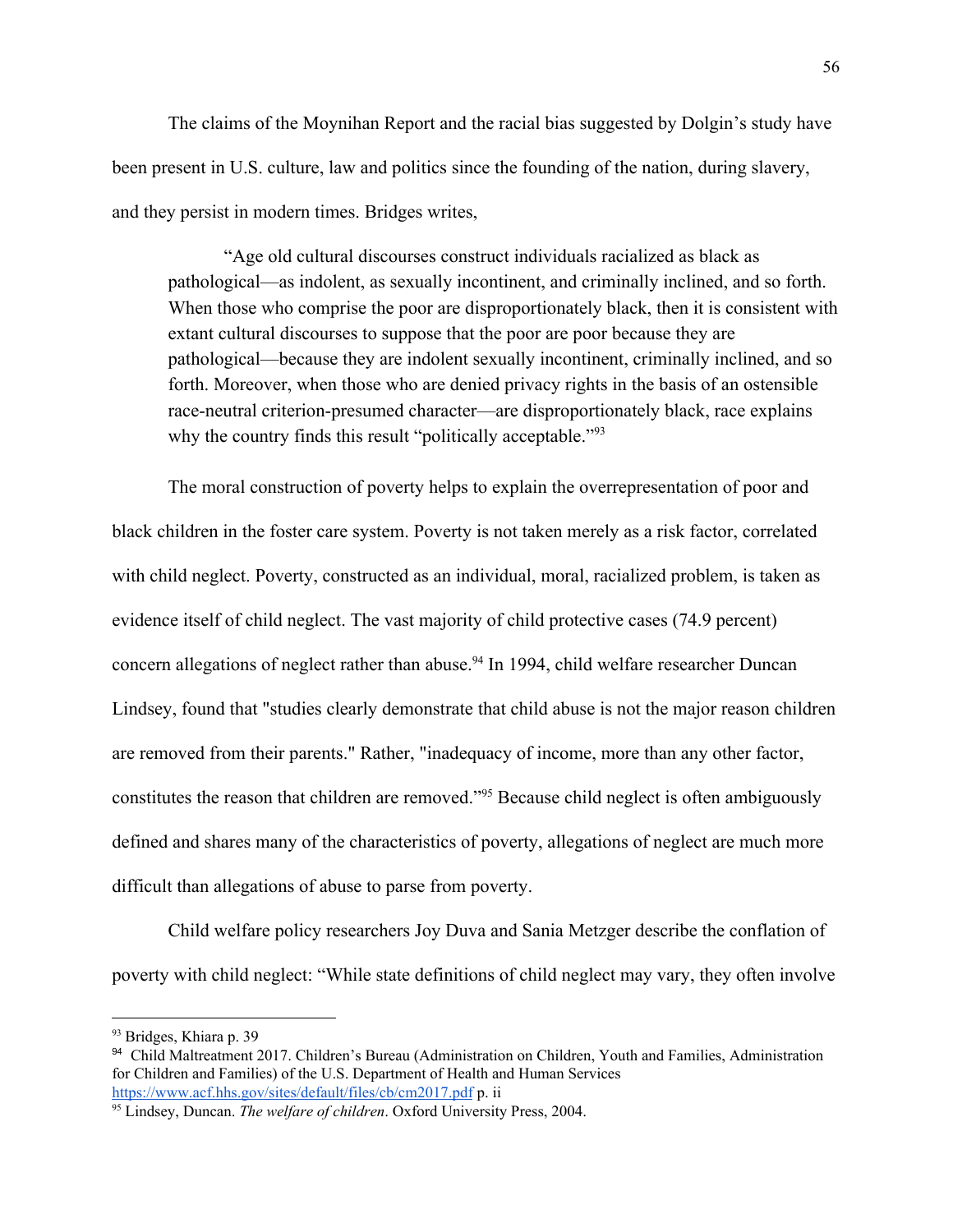The claims of the Moynihan Report and the racial bias suggested by Dolgin's study have been present in U.S. culture, law and politics since the founding of the nation, during slavery, and they persist in modern times. Bridges writes,

"Age old cultural discourses construct individuals racialized as black as pathological—as indolent, as sexually incontinent, and criminally inclined, and so forth. When those who comprise the poor are disproportionately black, then it is consistent with extant cultural discourses to suppose that the poor are poor because they are pathological—because they are indolent sexually incontinent, criminally inclined, and so forth. Moreover, when those who are denied privacy rights in the basis of an ostensible race-neutral criterion-presumed character—are disproportionately black, race explains why the country finds this result "politically acceptable."<sup>93</sup>

The moral construction of poverty helps to explain the overrepresentation of poor and black children in the foster care system. Poverty is not taken merely as a risk factor, correlated with child neglect. Poverty, constructed as an individual, moral, racialized problem, is taken as evidence itself of child neglect. The vast majority of child protective cases (74.9 percent) concern allegations of neglect rather than abuse.<sup>94</sup> In 1994, child welfare researcher Duncan Lindsey, found that "studies clearly demonstrate that child abuse is not the major reason children are removed from their parents." Rather, "inadequacy of income, more than any other factor, constitutes the reason that children are removed."<sup>95</sup> Because child neglect is often ambiguously defined and shares many of the characteristics of poverty, allegations of neglect are much more difficult than allegations of abuse to parse from poverty.

Child welfare policy researchers Joy Duva and Sania Metzger describe the conflation of poverty with child neglect: "While state definitions of child neglect may vary, they often involve

<sup>93</sup> Bridges, Khiara p. 39

<sup>94</sup> Child Maltreatment 2017. Children's Bureau (Administration on Children, Youth and Families, Administration for Children and Families) of the U.S. Department of Health and Human Services <https://www.acf.hhs.gov/sites/default/files/cb/cm2017.pdf> p. ii

<sup>95</sup> Lindsey, Duncan. *The welfare of children*. Oxford University Press, 2004.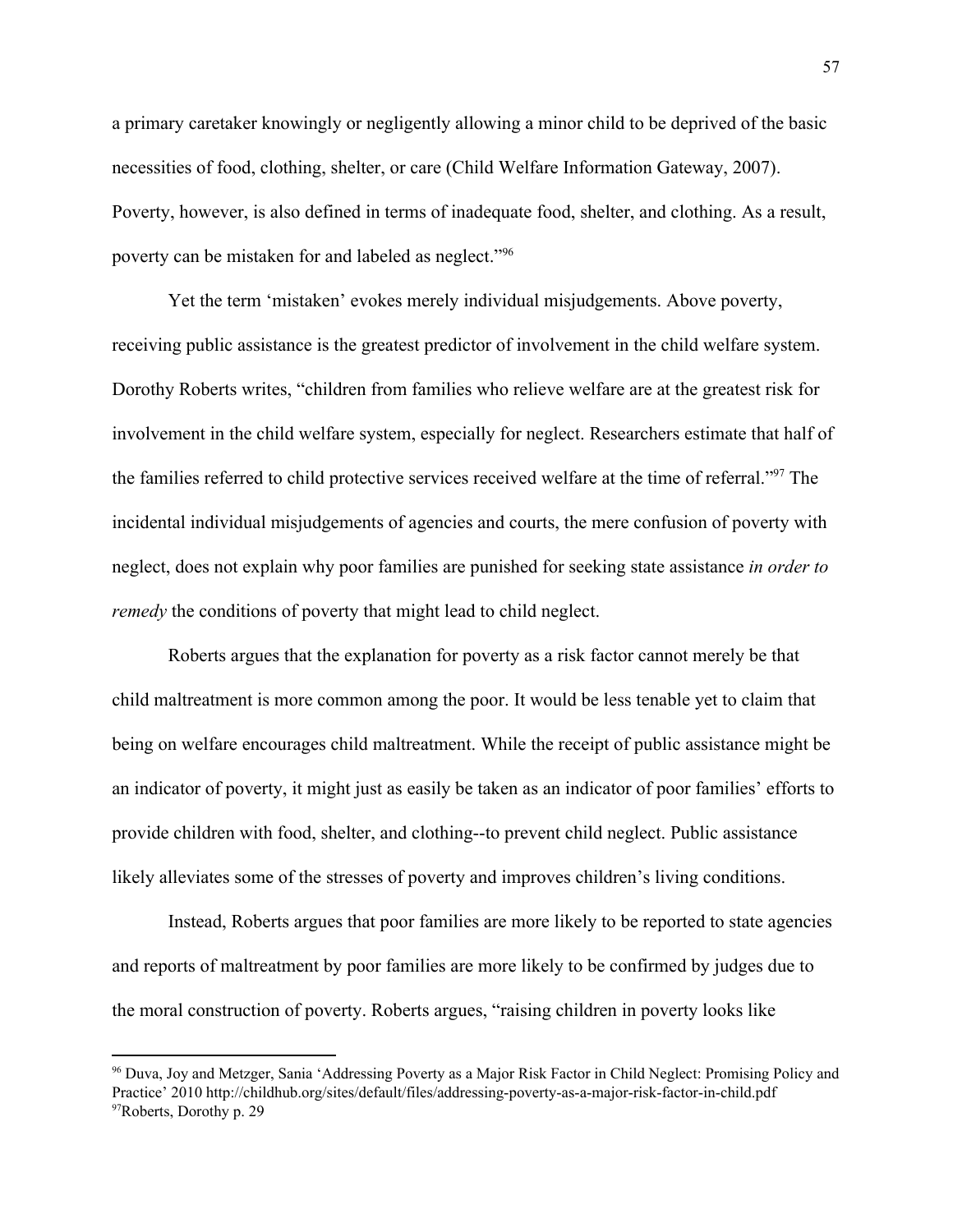a primary caretaker knowingly or negligently allowing a minor child to be deprived of the basic necessities of food, clothing, shelter, or care (Child Welfare Information Gateway, 2007). Poverty, however, is also defined in terms of inadequate food, shelter, and clothing. As a result, poverty can be mistaken for and labeled as neglect."<sup>96</sup>

Yet the term 'mistaken' evokes merely individual misjudgements. Above poverty, receiving public assistance is the greatest predictor of involvement in the child welfare system. Dorothy Roberts writes, "children from families who relieve welfare are at the greatest risk for involvement in the child welfare system, especially for neglect. Researchers estimate that half of the families referred to child protective services received welfare at the time of referral."<sup>97</sup> The incidental individual misjudgements of agencies and courts, the mere confusion of poverty with neglect, does not explain why poor families are punished for seeking state assistance *in order to remedy* the conditions of poverty that might lead to child neglect.

Roberts argues that the explanation for poverty as a risk factor cannot merely be that child maltreatment is more common among the poor. It would be less tenable yet to claim that being on welfare encourages child maltreatment. While the receipt of public assistance might be an indicator of poverty, it might just as easily be taken as an indicator of poor families' efforts to provide children with food, shelter, and clothing--to prevent child neglect. Public assistance likely alleviates some of the stresses of poverty and improves children's living conditions.

Instead, Roberts argues that poor families are more likely to be reported to state agencies and reports of maltreatment by poor families are more likely to be confirmed by judges due to the moral construction of poverty. Roberts argues, "raising children in poverty looks like

<sup>96</sup> Duva, Joy and Metzger, Sania 'Addressing Poverty as a Major Risk Factor in Child Neglect: Promising Policy and Practice' 2010 http://childhub.org/sites/default/files/addressing-poverty-as-a-major-risk-factor-in-child.pdf <sup>97</sup>Roberts, Dorothy p. 29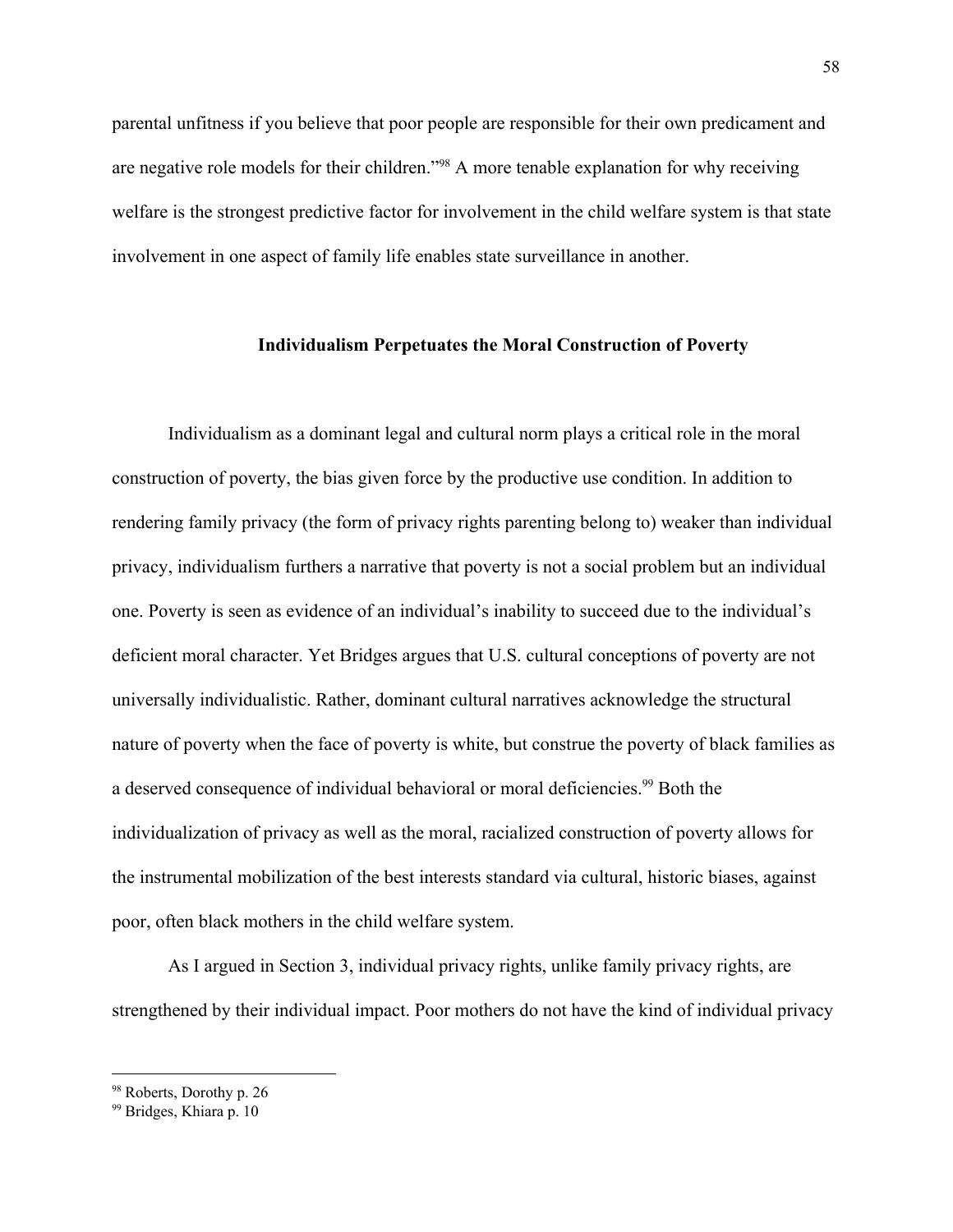parental unfitness if you believe that poor people are responsible for their own predicament and are negative role models for their children."<sup>98</sup> A more tenable explanation for why receiving welfare is the strongest predictive factor for involvement in the child welfare system is that state involvement in one aspect of family life enables state surveillance in another.

### **Individualism Perpetuates the Moral Construction of Poverty**

Individualism as a dominant legal and cultural norm plays a critical role in the moral construction of poverty, the bias given force by the productive use condition. In addition to rendering family privacy (the form of privacy rights parenting belong to) weaker than individual privacy, individualism furthers a narrative that poverty is not a social problem but an individual one. Poverty is seen as evidence of an individual's inability to succeed due to the individual's deficient moral character. Yet Bridges argues that U.S. cultural conceptions of poverty are not universally individualistic. Rather, dominant cultural narratives acknowledge the structural nature of poverty when the face of poverty is white, but construe the poverty of black families as a deserved consequence of individual behavioral or moral deficiencies.<sup>99</sup> Both the individualization of privacy as well as the moral, racialized construction of poverty allows for the instrumental mobilization of the best interests standard via cultural, historic biases, against poor, often black mothers in the child welfare system.

As I argued in Section 3, individual privacy rights, unlike family privacy rights, are strengthened by their individual impact. Poor mothers do not have the kind of individual privacy

<sup>98</sup> Roberts, Dorothy p. 26

<sup>99</sup> Bridges, Khiara p. 10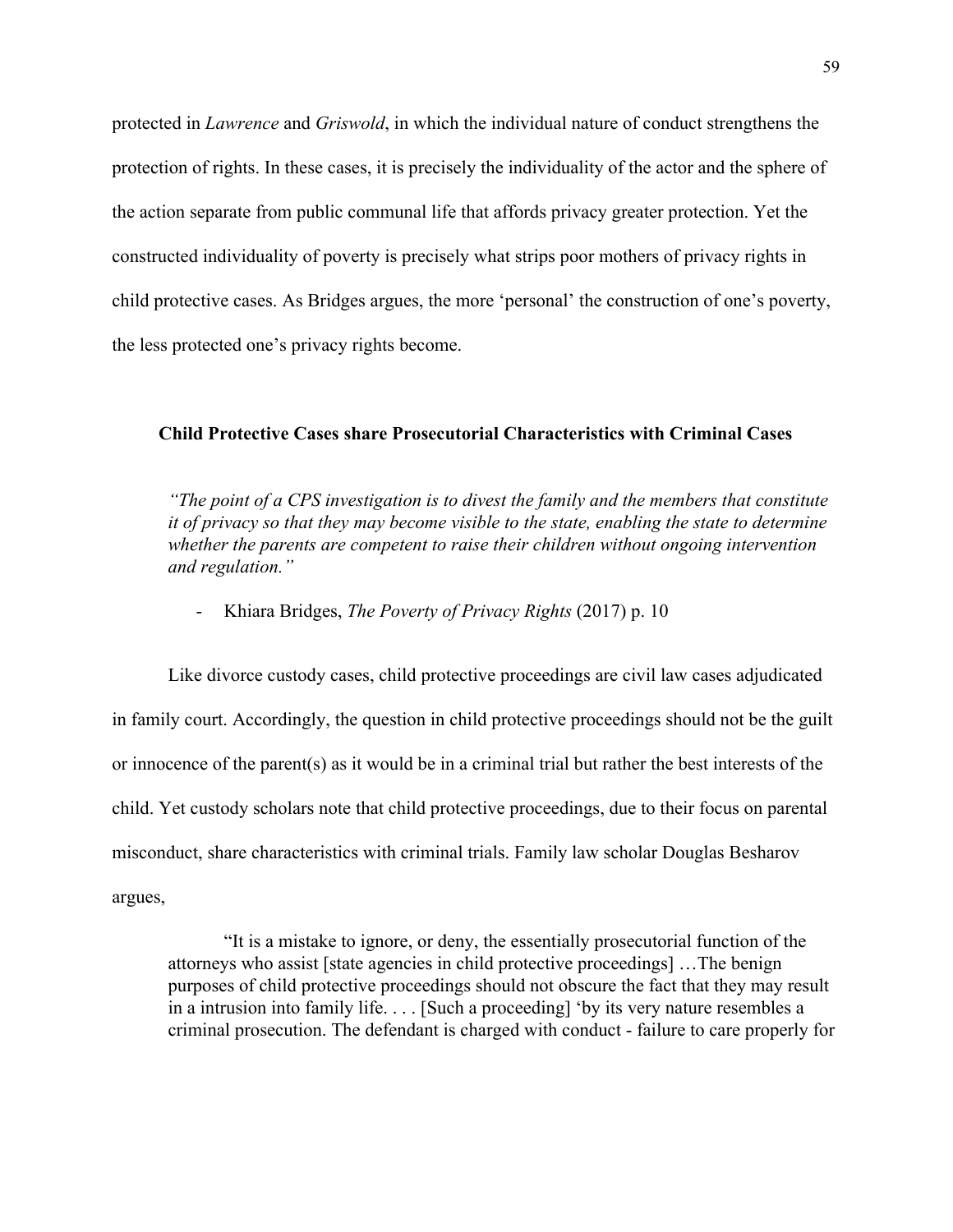protected in *Lawrence* and *Griswold*, in which the individual nature of conduct strengthens the protection of rights. In these cases, it is precisely the individuality of the actor and the sphere of the action separate from public communal life that affords privacy greater protection. Yet the constructed individuality of poverty is precisely what strips poor mothers of privacy rights in child protective cases. As Bridges argues, the more 'personal' the construction of one's poverty, the less protected one's privacy rights become.

### **Child Protective Cases share Prosecutorial Characteristics with Criminal Cases**

*"The point of a CPS investigation is to divest the family and the members that constitute it of privacy so that they may become visible to the state, enabling the state to determine whether the parents are competent to raise their children without ongoing intervention and regulation."*

- Khiara Bridges, *The Poverty of Privacy Rights* (2017) p. 10

Like divorce custody cases, child protective proceedings are civil law cases adjudicated in family court. Accordingly, the question in child protective proceedings should not be the guilt or innocence of the parent(s) as it would be in a criminal trial but rather the best interests of the child. Yet custody scholars note that child protective proceedings, due to their focus on parental misconduct, share characteristics with criminal trials. Family law scholar Douglas Besharov argues,

"It is a mistake to ignore, or deny, the essentially prosecutorial function of the attorneys who assist [state agencies in child protective proceedings] …The benign purposes of child protective proceedings should not obscure the fact that they may result in a intrusion into family life. . . . [Such a proceeding] 'by its very nature resembles a criminal prosecution. The defendant is charged with conduct - failure to care properly for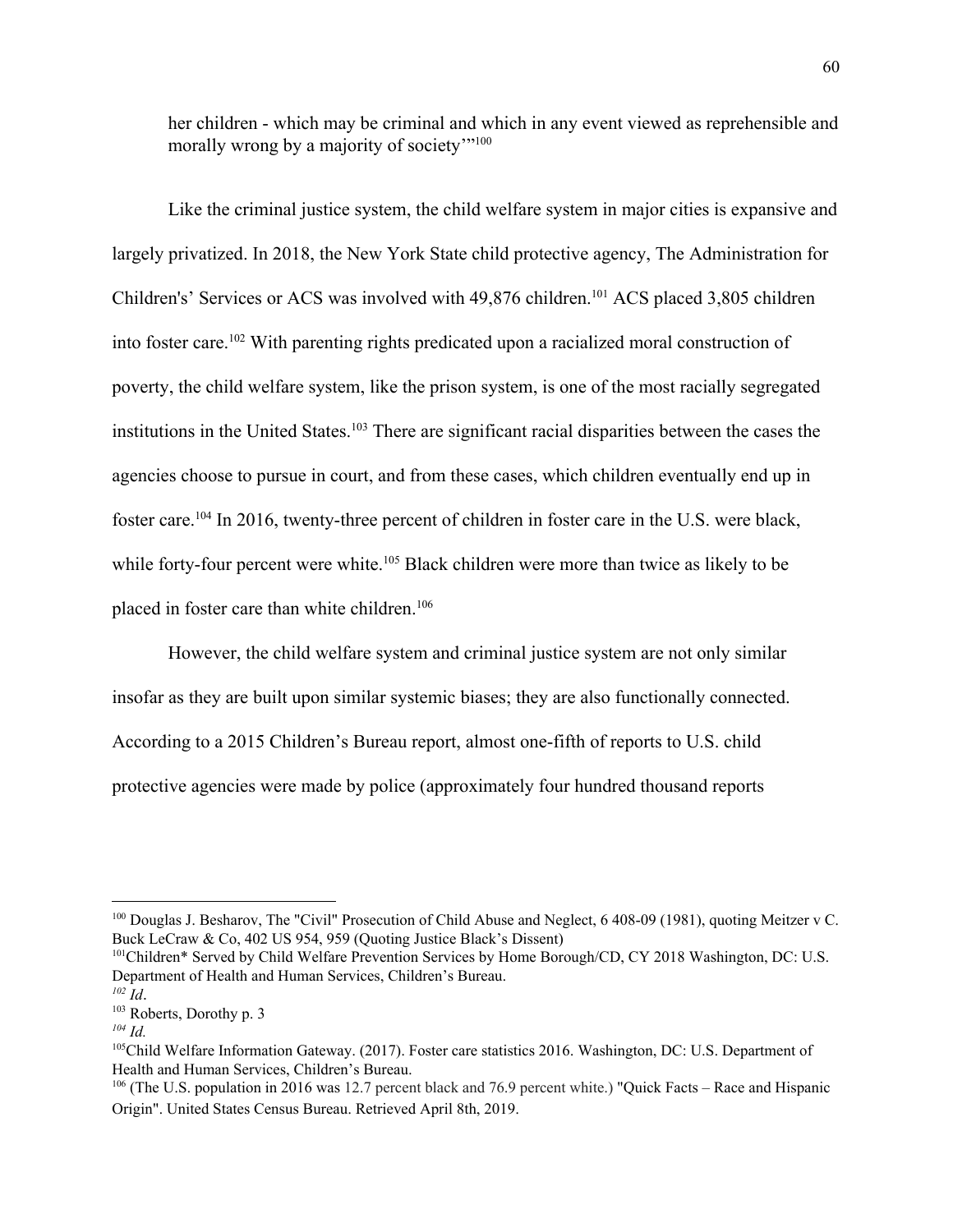her children - which may be criminal and which in any event viewed as reprehensible and morally wrong by a majority of society"<sup>100</sup>

Like the criminal justice system, the child welfare system in major cities is expansive and largely privatized. In 2018, the New York State child protective agency, The Administration for Children's' Services or ACS was involved with 49,876 children.<sup>101</sup> ACS placed 3,805 children into foster care.<sup>102</sup> With parenting rights predicated upon a racialized moral construction of poverty, the child welfare system, like the prison system, is one of the most racially segregated institutions in the United States.<sup>103</sup> There are significant racial disparities between the cases the agencies choose to pursue in court, and from these cases, which children eventually end up in foster care.<sup>104</sup> In 2016, twenty-three percent of children in foster care in the U.S. were black, while forty-four percent were white.<sup>105</sup> Black children were more than twice as likely to be placed in foster care than white children.<sup>106</sup>

However, the child welfare system and criminal justice system are not only similar insofar as they are built upon similar systemic biases; they are also functionally connected. According to a 2015 Children's Bureau report, almost one-fifth of reports to U.S. child protective agencies were made by police (approximately four hundred thousand reports

<sup>&</sup>lt;sup>100</sup> Douglas J. Besharov, The "Civil" Prosecution of Child Abuse and Neglect, 6 408-09 (1981), quoting Meitzer v C. Buck LeCraw & Co, 402 US 954, 959 (Quoting Justice Black's Dissent)

<sup>&</sup>lt;sup>101</sup>Children\* Served by Child Welfare Prevention Services by Home Borough/CD, CY 2018 Washington, DC: U.S. Department of Health and Human Services, Children's Bureau.

*<sup>102</sup> Id*.

<sup>103</sup> Roberts, Dorothy p. 3

*<sup>104</sup> Id.*

<sup>105</sup>Child Welfare Information Gateway. (2017). Foster care statistics 2016. Washington, DC: U.S. Department of Health and Human Services, Children's Bureau.

<sup>&</sup>lt;sup>106</sup> (The U.S. population in 2016 was 12.7 percent black and 76.9 percent white.) "Quick Facts – Race and Hispanic Origin". United States Census Bureau. Retrieved April 8th, 2019.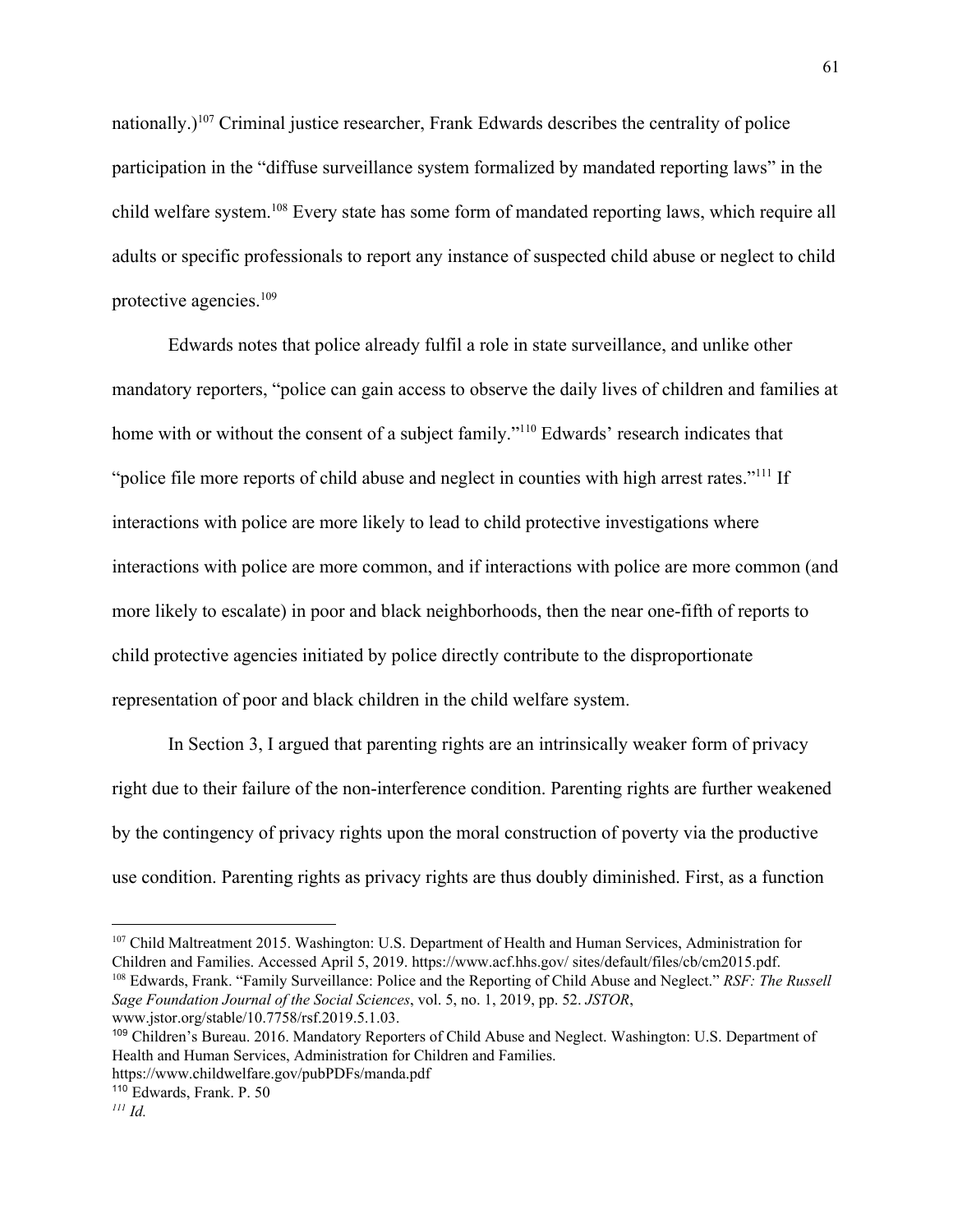nationally.)<sup>107</sup> Criminal justice researcher, Frank Edwards describes the centrality of police participation in the "diffuse surveillance system formalized by mandated reporting laws" in the child welfare system.<sup>108</sup> Every state has some form of mandated reporting laws, which require all adults or specific professionals to report any instance of suspected child abuse or neglect to child protective agencies.<sup>109</sup>

Edwards notes that police already fulfil a role in state surveillance, and unlike other mandatory reporters, "police can gain access to observe the daily lives of children and families at home with or without the consent of a subject family."<sup>110</sup> Edwards' research indicates that "police file more reports of child abuse and neglect in counties with high arrest rates."<sup>111</sup> If interactions with police are more likely to lead to child protective investigations where interactions with police are more common, and if interactions with police are more common (and more likely to escalate) in poor and black neighborhoods, then the near one-fifth of reports to child protective agencies initiated by police directly contribute to the disproportionate representation of poor and black children in the child welfare system.

In Section 3, I argued that parenting rights are an intrinsically weaker form of privacy right due to their failure of the non-interference condition. Parenting rights are further weakened by the contingency of privacy rights upon the moral construction of poverty via the productive use condition. Parenting rights as privacy rights are thus doubly diminished. First, as a function

<sup>107</sup> Child Maltreatment 2015. Washington: U.S. Department of Health and Human Services, Administration for Children and Families. Accessed April 5, 2019. https://www.acf.hhs.gov/ sites/default/files/cb/cm2015.pdf. <sup>108</sup> Edwards, Frank. "Family Surveillance: Police and the Reporting of Child Abuse and Neglect." *RSF: The Russell Sage Foundation Journal of the Social Sciences*, vol. 5, no. 1, 2019, pp. 52. *JSTOR*, www.jstor.org/stable/10.7758/rsf.2019.5.1.03.

<sup>109</sup> Children's Bureau. 2016. Mandatory Reporters of Child Abuse and Neglect. Washington: U.S. Department of Health and Human Services, Administration for Children and Families.

https://www.childwelfare.gov/pubPDFs/manda.pdf

<sup>110</sup> Edwards, Frank. P. 50 *<sup>111</sup> Id.*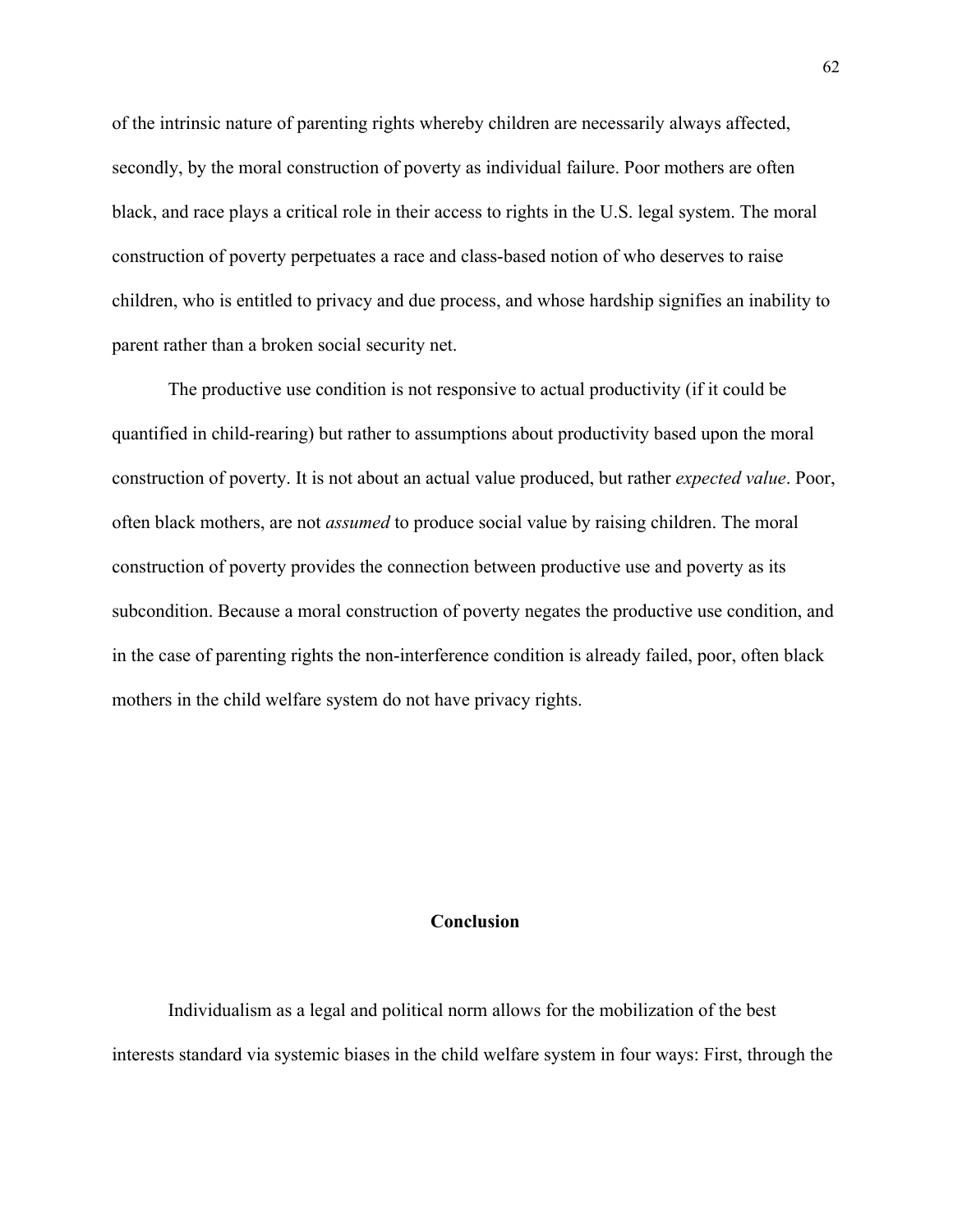of the intrinsic nature of parenting rights whereby children are necessarily always affected, secondly, by the moral construction of poverty as individual failure. Poor mothers are often black, and race plays a critical role in their access to rights in the U.S. legal system. The moral construction of poverty perpetuates a race and class-based notion of who deserves to raise children, who is entitled to privacy and due process, and whose hardship signifies an inability to parent rather than a broken social security net.

The productive use condition is not responsive to actual productivity (if it could be quantified in child-rearing) but rather to assumptions about productivity based upon the moral construction of poverty. It is not about an actual value produced, but rather *expected value*. Poor, often black mothers, are not *assumed* to produce social value by raising children. The moral construction of poverty provides the connection between productive use and poverty as its subcondition. Because a moral construction of poverty negates the productive use condition, and in the case of parenting rights the non-interference condition is already failed, poor, often black mothers in the child welfare system do not have privacy rights.

## **Conclusion**

Individualism as a legal and political norm allows for the mobilization of the best interests standard via systemic biases in the child welfare system in four ways: First, through the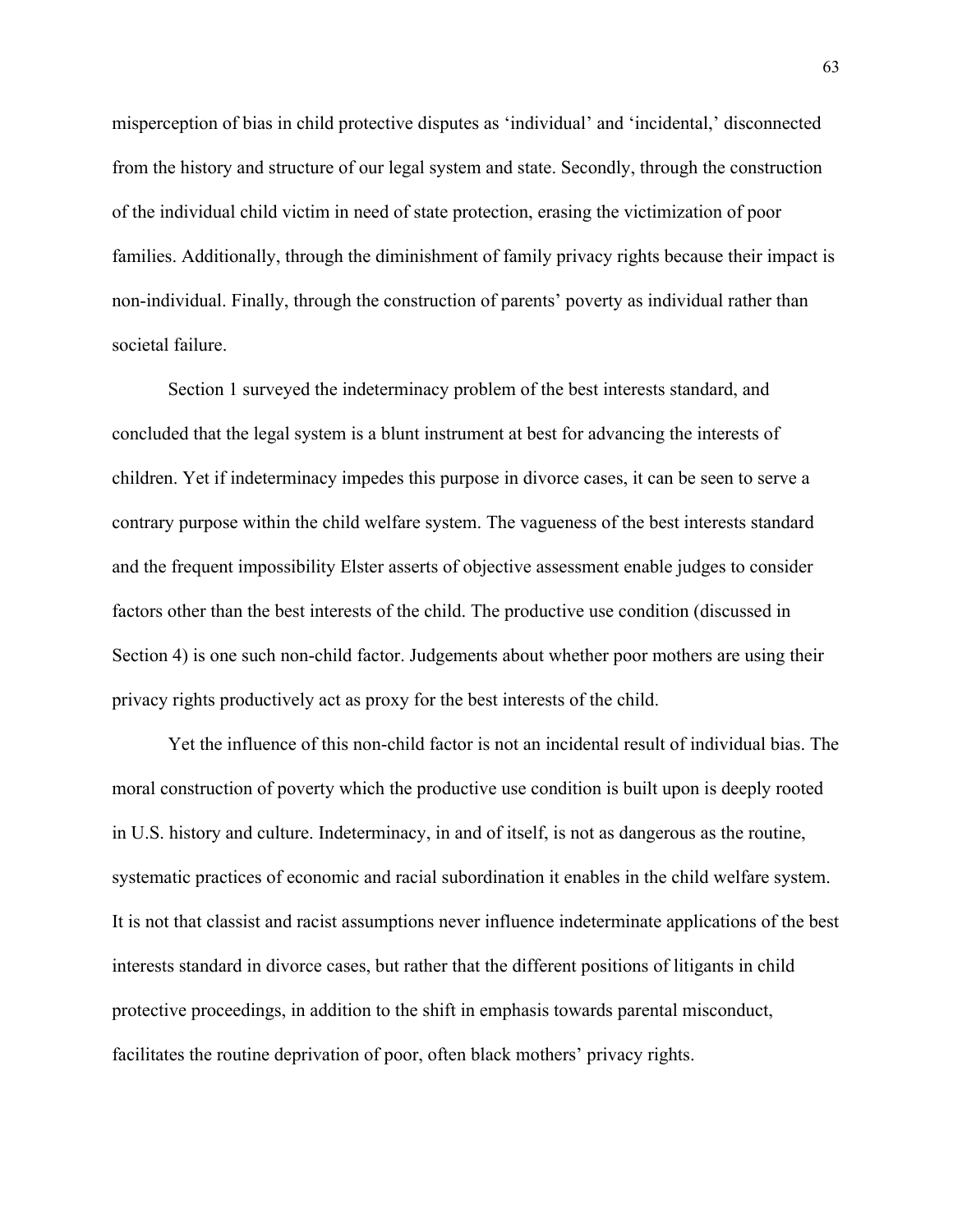misperception of bias in child protective disputes as 'individual' and 'incidental,' disconnected from the history and structure of our legal system and state. Secondly, through the construction of the individual child victim in need of state protection, erasing the victimization of poor families. Additionally, through the diminishment of family privacy rights because their impact is non-individual. Finally, through the construction of parents' poverty as individual rather than societal failure.

Section 1 surveyed the indeterminacy problem of the best interests standard, and concluded that the legal system is a blunt instrument at best for advancing the interests of children. Yet if indeterminacy impedes this purpose in divorce cases, it can be seen to serve a contrary purpose within the child welfare system. The vagueness of the best interests standard and the frequent impossibility Elster asserts of objective assessment enable judges to consider factors other than the best interests of the child. The productive use condition (discussed in Section 4) is one such non-child factor. Judgements about whether poor mothers are using their privacy rights productively act as proxy for the best interests of the child.

Yet the influence of this non-child factor is not an incidental result of individual bias. The moral construction of poverty which the productive use condition is built upon is deeply rooted in U.S. history and culture. Indeterminacy, in and of itself, is not as dangerous as the routine, systematic practices of economic and racial subordination it enables in the child welfare system. It is not that classist and racist assumptions never influence indeterminate applications of the best interests standard in divorce cases, but rather that the different positions of litigants in child protective proceedings, in addition to the shift in emphasis towards parental misconduct, facilitates the routine deprivation of poor, often black mothers' privacy rights.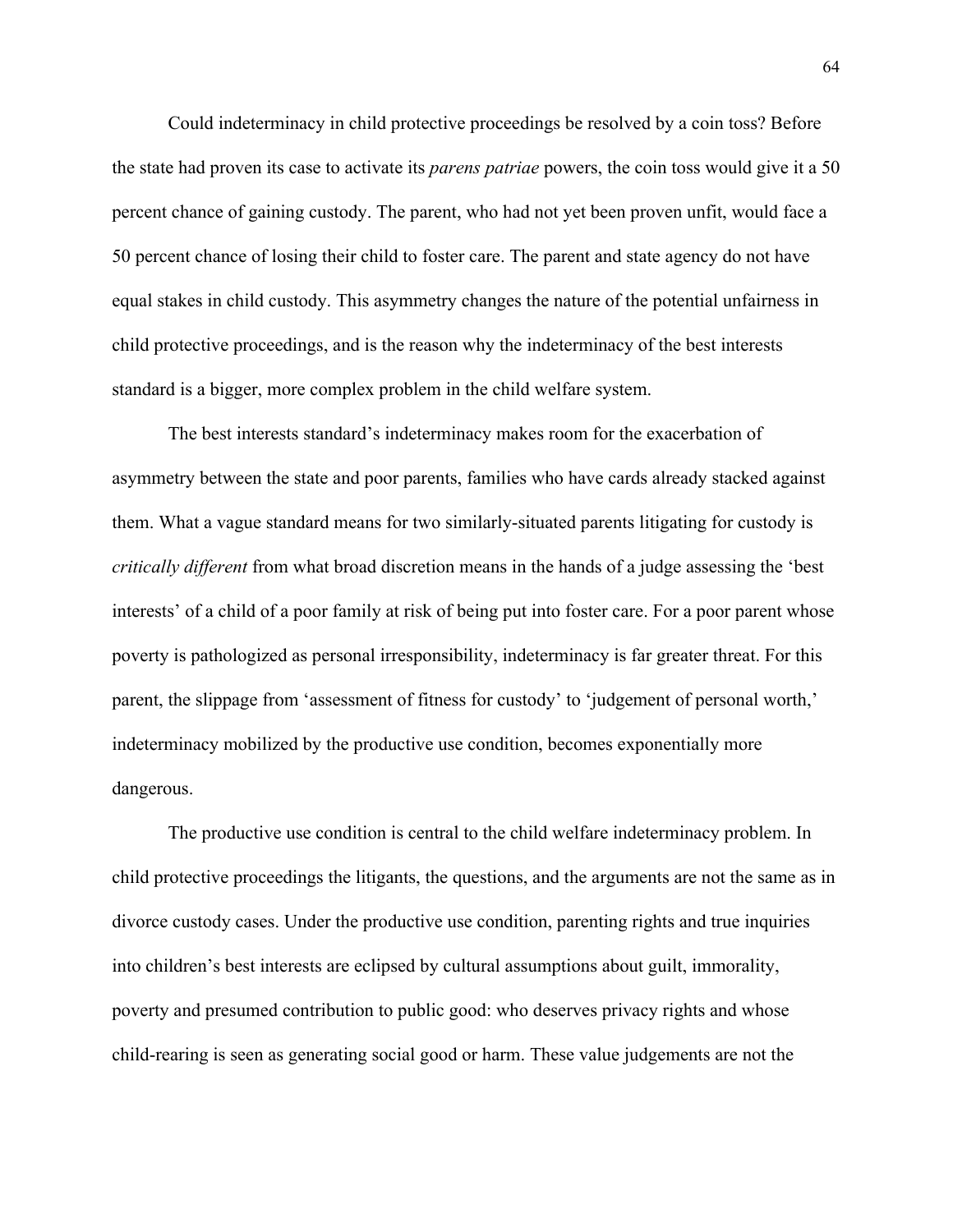Could indeterminacy in child protective proceedings be resolved by a coin toss? Before the state had proven its case to activate its *parens patriae* powers, the coin toss would give it a 50 percent chance of gaining custody. The parent, who had not yet been proven unfit, would face a 50 percent chance of losing their child to foster care. The parent and state agency do not have equal stakes in child custody. This asymmetry changes the nature of the potential unfairness in child protective proceedings, and is the reason why the indeterminacy of the best interests standard is a bigger, more complex problem in the child welfare system.

The best interests standard's indeterminacy makes room for the exacerbation of asymmetry between the state and poor parents, families who have cards already stacked against them. What a vague standard means for two similarly-situated parents litigating for custody is *critically different* from what broad discretion means in the hands of a judge assessing the 'best interests' of a child of a poor family at risk of being put into foster care. For a poor parent whose poverty is pathologized as personal irresponsibility, indeterminacy is far greater threat. For this parent, the slippage from 'assessment of fitness for custody' to 'judgement of personal worth,' indeterminacy mobilized by the productive use condition, becomes exponentially more dangerous.

The productive use condition is central to the child welfare indeterminacy problem. In child protective proceedings the litigants, the questions, and the arguments are not the same as in divorce custody cases. Under the productive use condition, parenting rights and true inquiries into children's best interests are eclipsed by cultural assumptions about guilt, immorality, poverty and presumed contribution to public good: who deserves privacy rights and whose child-rearing is seen as generating social good or harm. These value judgements are not the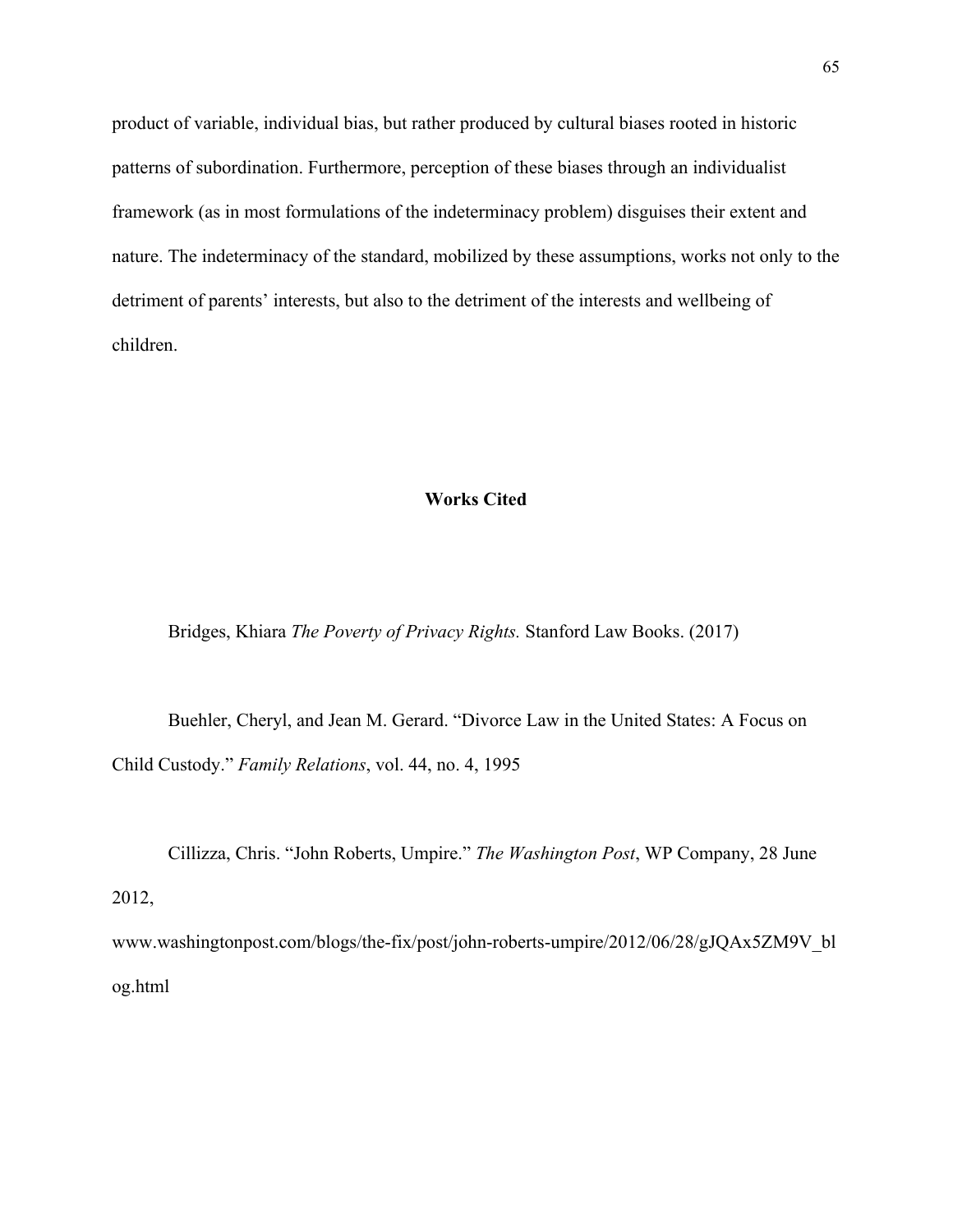product of variable, individual bias, but rather produced by cultural biases rooted in historic patterns of subordination. Furthermore, perception of these biases through an individualist framework (as in most formulations of the indeterminacy problem) disguises their extent and nature. The indeterminacy of the standard, mobilized by these assumptions, works not only to the detriment of parents' interests, but also to the detriment of the interests and wellbeing of children.

## **Works Cited**

Bridges, Khiara *The Poverty of Privacy Rights.* Stanford Law Books. (2017)

Buehler, Cheryl, and Jean M. Gerard. "Divorce Law in the United States: A Focus on Child Custody." *Family Relations*, vol. 44, no. 4, 1995

Cillizza, Chris. "John Roberts, Umpire." *The Washington Post*, WP Company, 28 June

2012,

www.washingtonpost.com/blogs/the-fix/post/john-roberts-umpire/2012/06/28/gJQAx5ZM9V\_bl og.html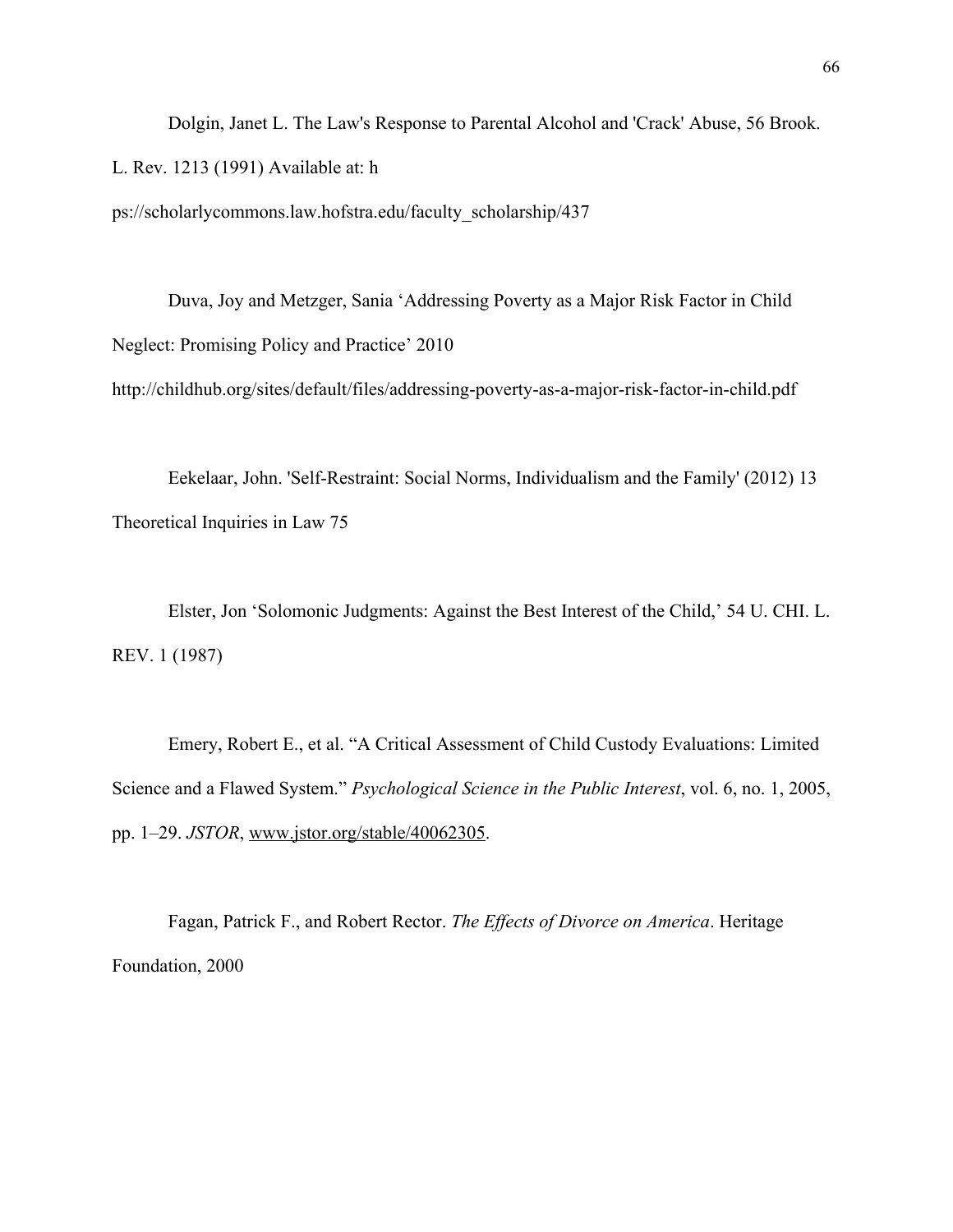Dolgin, Janet L. The Law's Response to Parental Alcohol and 'Crack' Abuse, 56 Brook. L. Rev. 1213 (1991) Available at: h

ps://scholarlycommons.law.hofstra.edu/faculty\_scholarship/437

Duva, Joy and Metzger, Sania 'Addressing Poverty as a Major Risk Factor in Child Neglect: Promising Policy and Practice' 2010 http://childhub.org/sites/default/files/addressing-poverty-as-a-major-risk-factor-in-child.pdf

Eekelaar, John. 'Self-Restraint: Social Norms, Individualism and the Family' (2012) 13 Theoretical Inquiries in Law 75

Elster, Jon 'Solomonic Judgments: Against the Best Interest of the Child,' 54 U. CHI. L. REV. 1 (1987)

Emery, Robert E., et al. "A Critical Assessment of Child Custody Evaluations: Limited Science and a Flawed System." *Psychological Science in the Public Interest*, vol. 6, no. 1, 2005, pp. 1–29. *JSTOR*, [www.jstor.org/stable/40062305.](http://www.jstor.org/stable/40062305)

Fagan, Patrick F., and Robert Rector. *The Effects of Divorce on America*. Heritage Foundation, 2000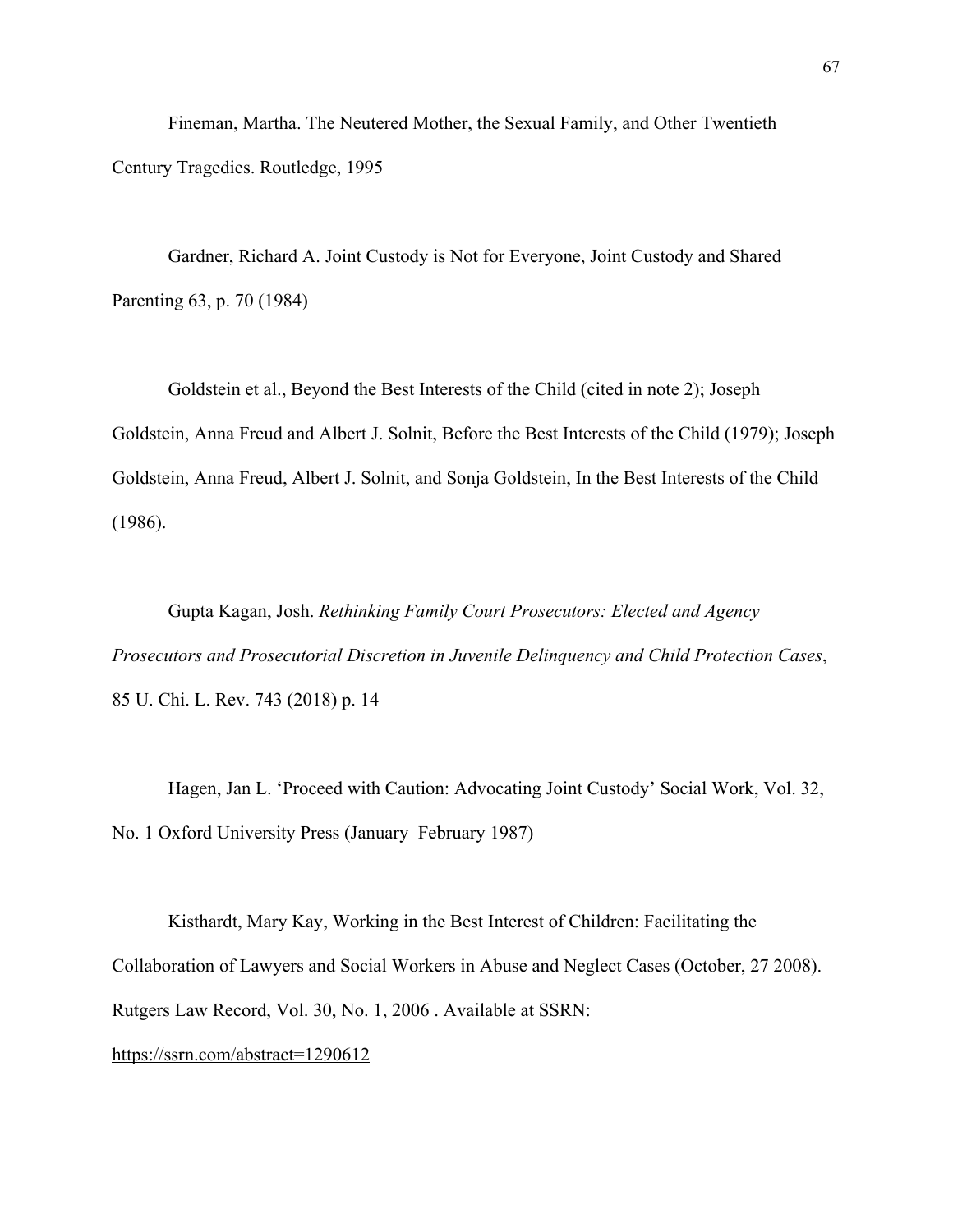Fineman, Martha. The Neutered Mother, the Sexual Family, and Other Twentieth Century Tragedies. Routledge, 1995

Gardner, Richard A. Joint Custody is Not for Everyone, Joint Custody and Shared Parenting 63, p. 70 (1984)

Goldstein et al., Beyond the Best Interests of the Child (cited in note 2); Joseph Goldstein, Anna Freud and Albert J. Solnit, Before the Best Interests of the Child (1979); Joseph Goldstein, Anna Freud, Albert J. Solnit, and Sonja Goldstein, In the Best Interests of the Child (1986).

Gupta Kagan, Josh. *Rethinking Family Court Prosecutors: Elected and Agency Prosecutors and Prosecutorial Discretion in Juvenile Delinquency and Child Protection Cases*, 85 U. Chi. L. Rev. 743 (2018) p. 14

Hagen, Jan L. 'Proceed with Caution: Advocating Joint Custody' Social Work, Vol. 32, No. 1 Oxford University Press (January–February 1987)

Kisthardt, Mary Kay, Working in the Best Interest of Children: Facilitating the Collaboration of Lawyers and Social Workers in Abuse and Neglect Cases (October, 27 2008). Rutgers Law Record, Vol. 30, No. 1, 2006 . Available at SSRN: <https://ssrn.com/abstract=1290612>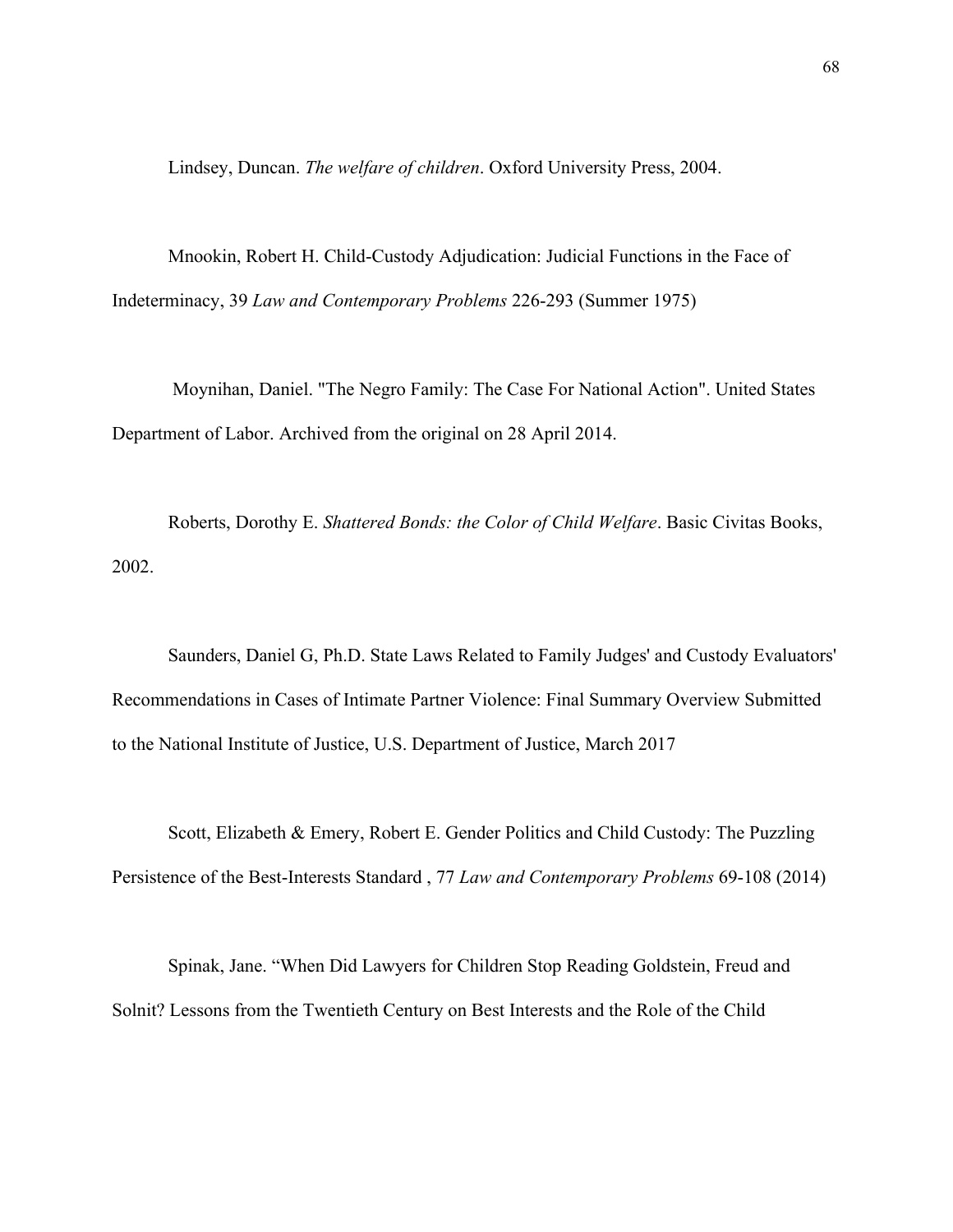Lindsey, Duncan. *The welfare of children*. Oxford University Press, 2004.

Mnookin, Robert H. Child-Custody Adjudication: Judicial Functions in the Face of Indeterminacy, 39 *Law and Contemporary Problems* 226-293 (Summer 1975)

 Moynihan, Daniel. "The Negro Family: The Case For National Action". United States Department of Labor. Archived from the original on 28 April 2014.

Roberts, Dorothy E. *Shattered Bonds: the Color of Child Welfare*. Basic Civitas Books, 2002.

Saunders, Daniel G, Ph.D. State Laws Related to Family Judges' and Custody Evaluators' Recommendations in Cases of Intimate Partner Violence: Final Summary Overview Submitted to the National Institute of Justice, U.S. Department of Justice, March 2017

Scott, Elizabeth & Emery, Robert E. Gender Politics and Child Custody: The Puzzling Persistence of the Best-Interests Standard , 77 *Law and Contemporary Problems* 69-108 (2014)

Spinak, Jane. "When Did Lawyers for Children Stop Reading Goldstein, Freud and Solnit? Lessons from the Twentieth Century on Best Interests and the Role of the Child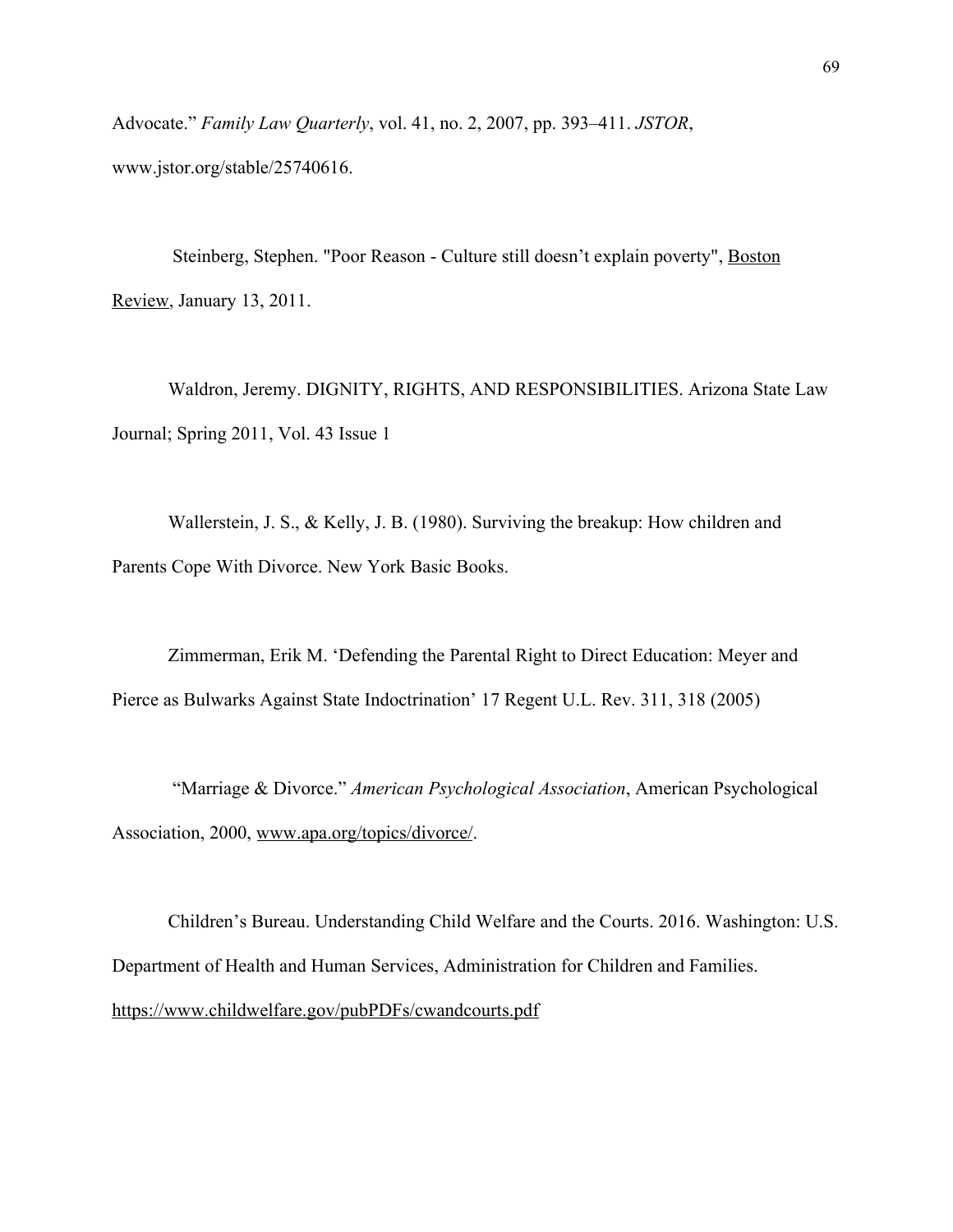Advocate." *Family Law Quarterly*, vol. 41, no. 2, 2007, pp. 393–411. *JSTOR*, www.jstor.org/stable/25740616.

Steinberg, Stephen. "Poor Reason - Culture still doesn't explain poverty", [Boston](https://en.wikipedia.org/wiki/Boston_Review) [Review,](https://en.wikipedia.org/wiki/Boston_Review) January 13, 2011.

Waldron, Jeremy. DIGNITY, RIGHTS, AND RESPONSIBILITIES. Arizona State Law Journal; Spring 2011, Vol. 43 Issue 1

Wallerstein, J. S., & Kelly, J. B. (1980). Surviving the breakup: How children and Parents Cope With Divorce. New York Basic Books.

Zimmerman, Erik M. 'Defending the Parental Right to Direct Education: Meyer and Pierce as Bulwarks Against State Indoctrination' 17 Regent U.L. Rev. 311, 318 (2005)

 "Marriage & Divorce." *American Psychological Association*, American Psychological Association, 2000, [www.apa.org/topics/divorce/.](http://www.apa.org/topics/divorce/)

Children's Bureau. Understanding Child Welfare and the Courts. 2016. Washington: U.S. Department of Health and Human Services, Administration for Children and Families. <https://www.childwelfare.gov/pubPDFs/cwandcourts.pdf>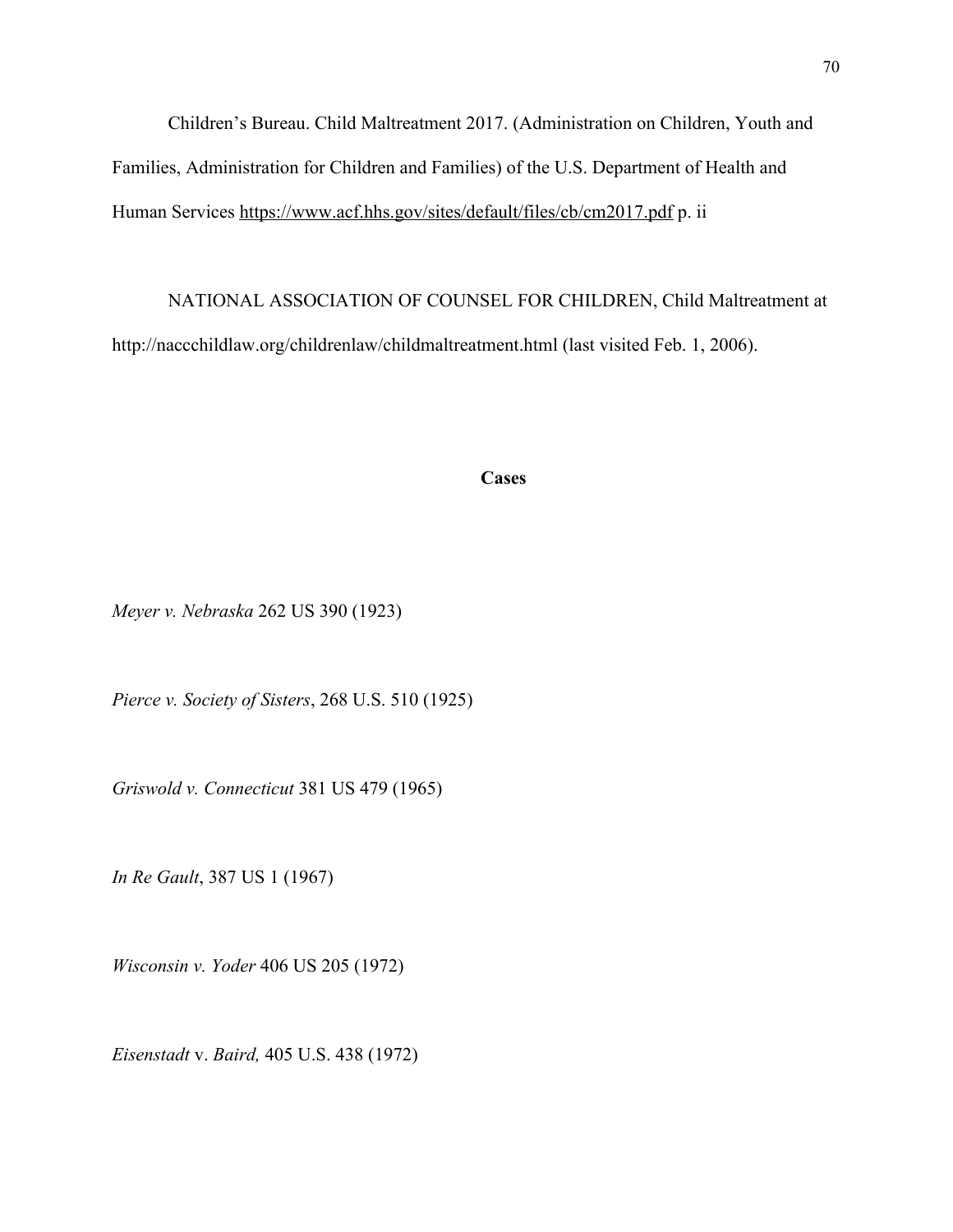Children's Bureau. Child Maltreatment 2017. (Administration on Children, Youth and Families, Administration for Children and Families) of the U.S. Department of Health and Human Services <https://www.acf.hhs.gov/sites/default/files/cb/cm2017.pdf>p. ii

NATIONAL ASSOCIATION OF COUNSEL FOR CHILDREN, Child Maltreatment at http://naccchildlaw.org/childrenlaw/childmaltreatment.html (last visited Feb. 1, 2006).

**Cases**

*Meyer v. Nebraska* 262 US 390 (1923)

*Pierce v. Society of Sisters*, 268 U.S. 510 (1925)

*Griswold v. Connecticut* 381 US 479 (1965)

*In Re Gault*, 387 US 1 (1967)

*Wisconsin v. Yoder* 406 US 205 (1972)

*Eisenstadt* v. *Baird,* 405 U.S. 438 (1972)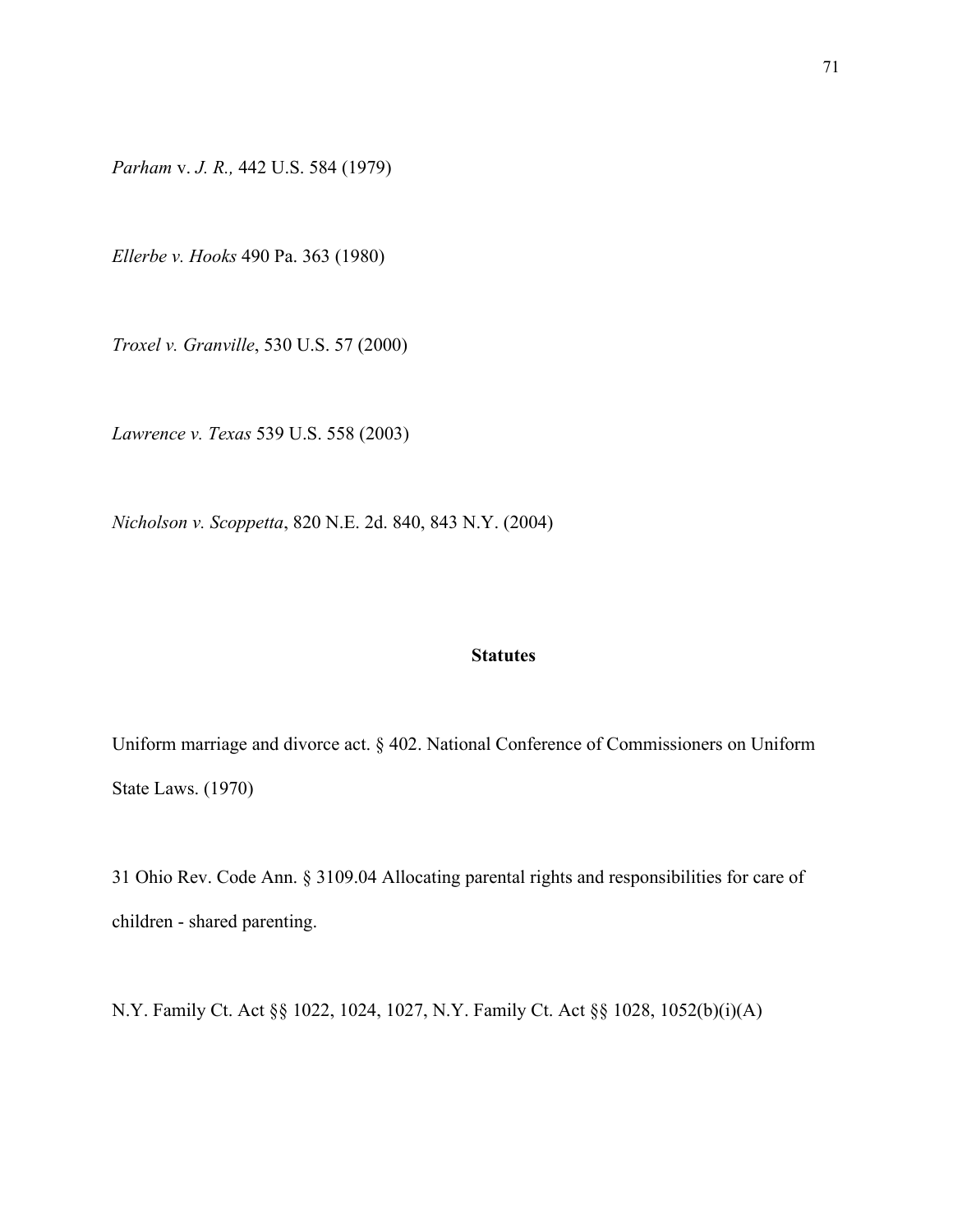*Parham* v. *J. R.,* 442 U.S. 584 (1979)

*Ellerbe v. Hooks* 490 Pa. 363 (1980)

*Troxel v. Granville*, 530 U.S. 57 (2000)

*Lawrence v. Texas* 539 U.S. 558 (2003)

*Nicholson v. Scoppetta*, 820 N.E. 2d. 840, 843 N.Y. (2004)

## **Statutes**

Uniform marriage and divorce act. § 402. National Conference of Commissioners on Uniform State Laws. (1970)

31 Ohio Rev. Code Ann. § 3109.04 Allocating parental rights and responsibilities for care of children - shared parenting.

N.Y. Family Ct. Act §§ 1022, 1024, 1027, N.Y. Family Ct. Act §§ 1028, 1052(b)(i)(A)